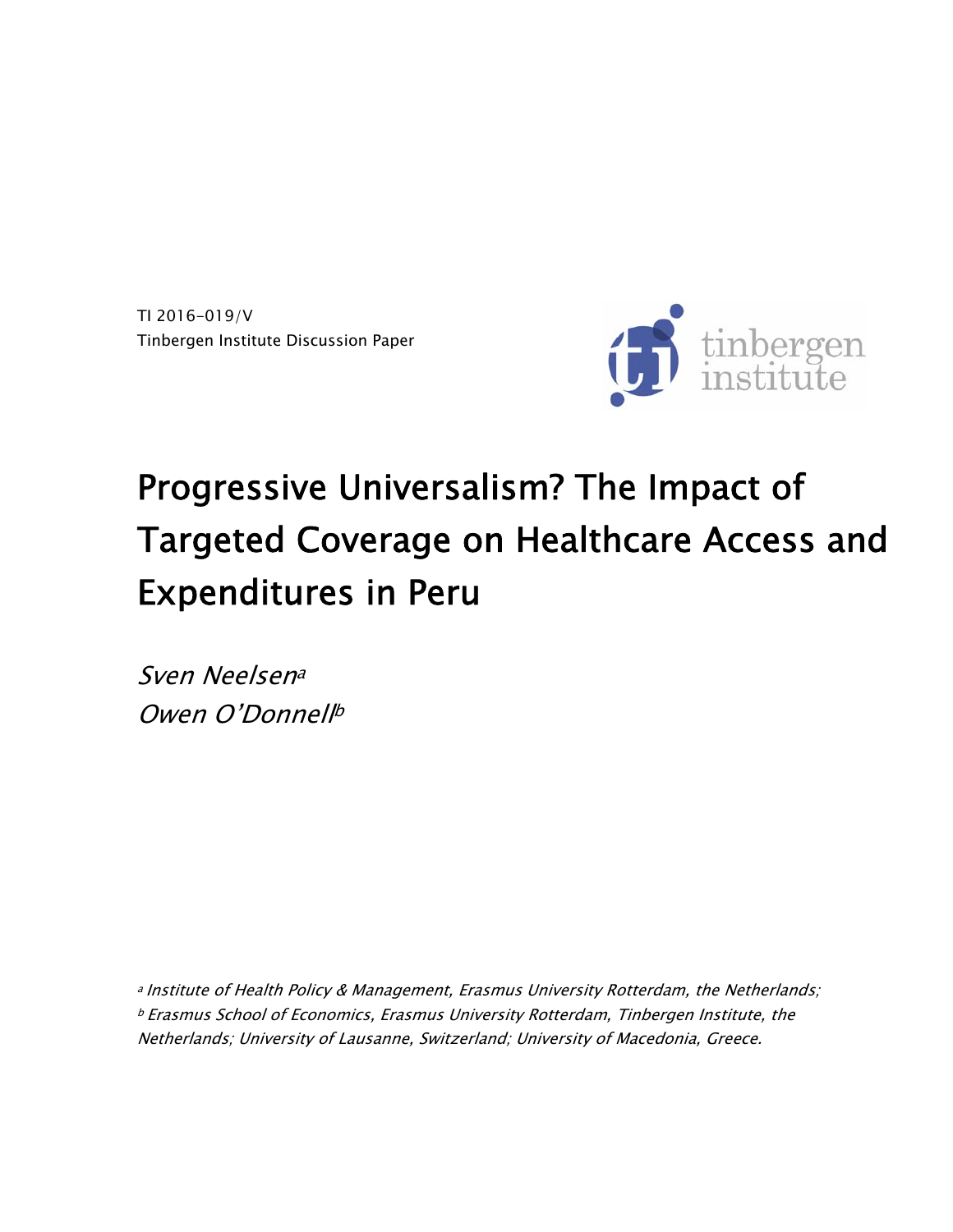TI 2016-019/V Tinbergen Institute Discussion Paper



# Progressive Universalism? The Impact of Targeted Coverage on Healthcare Access and Expenditures in Peru

Sven Neelsen<sup>a</sup> Owen O'Donnell<sup>b</sup>

a Institute of Health Policy & Management, Erasmus University Rotterdam, the Netherlands; **b Erasmus School of Economics, Erasmus University Rotterdam, Tinbergen Institute, the** Netherlands; University of Lausanne, Switzerland; University of Macedonia, Greece.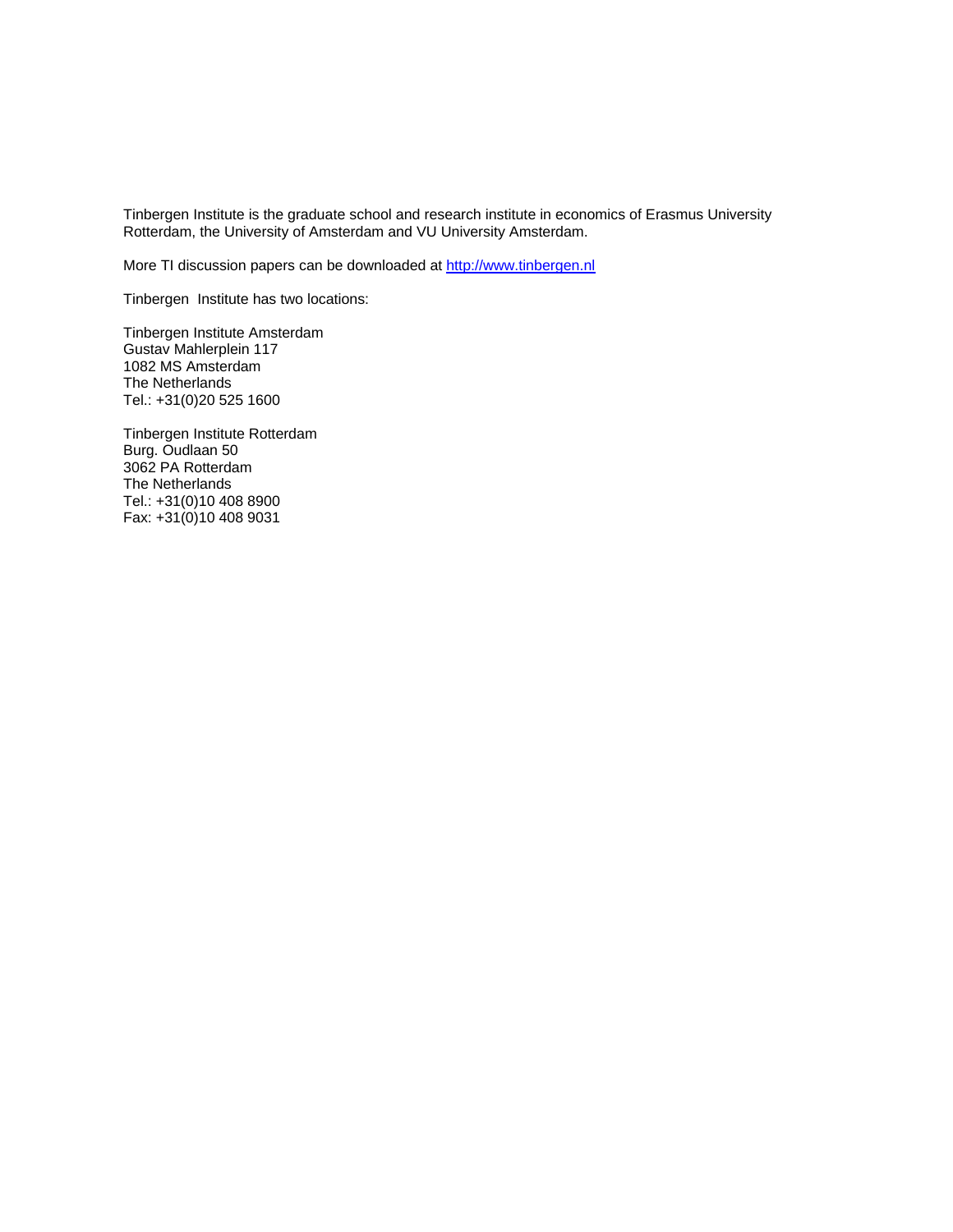Tinbergen Institute is the graduate school and research institute in economics of Erasmus University Rotterdam, the University of Amsterdam and VU University Amsterdam.

More TI discussion papers can be downloaded at http://www.tinbergen.nl

Tinbergen Institute has two locations:

Tinbergen Institute Amsterdam Gustav Mahlerplein 117 1082 MS Amsterdam The Netherlands Tel.: +31(0)20 525 1600

Tinbergen Institute Rotterdam Burg. Oudlaan 50 3062 PA Rotterdam The Netherlands Tel.: +31(0)10 408 8900 Fax: +31(0)10 408 9031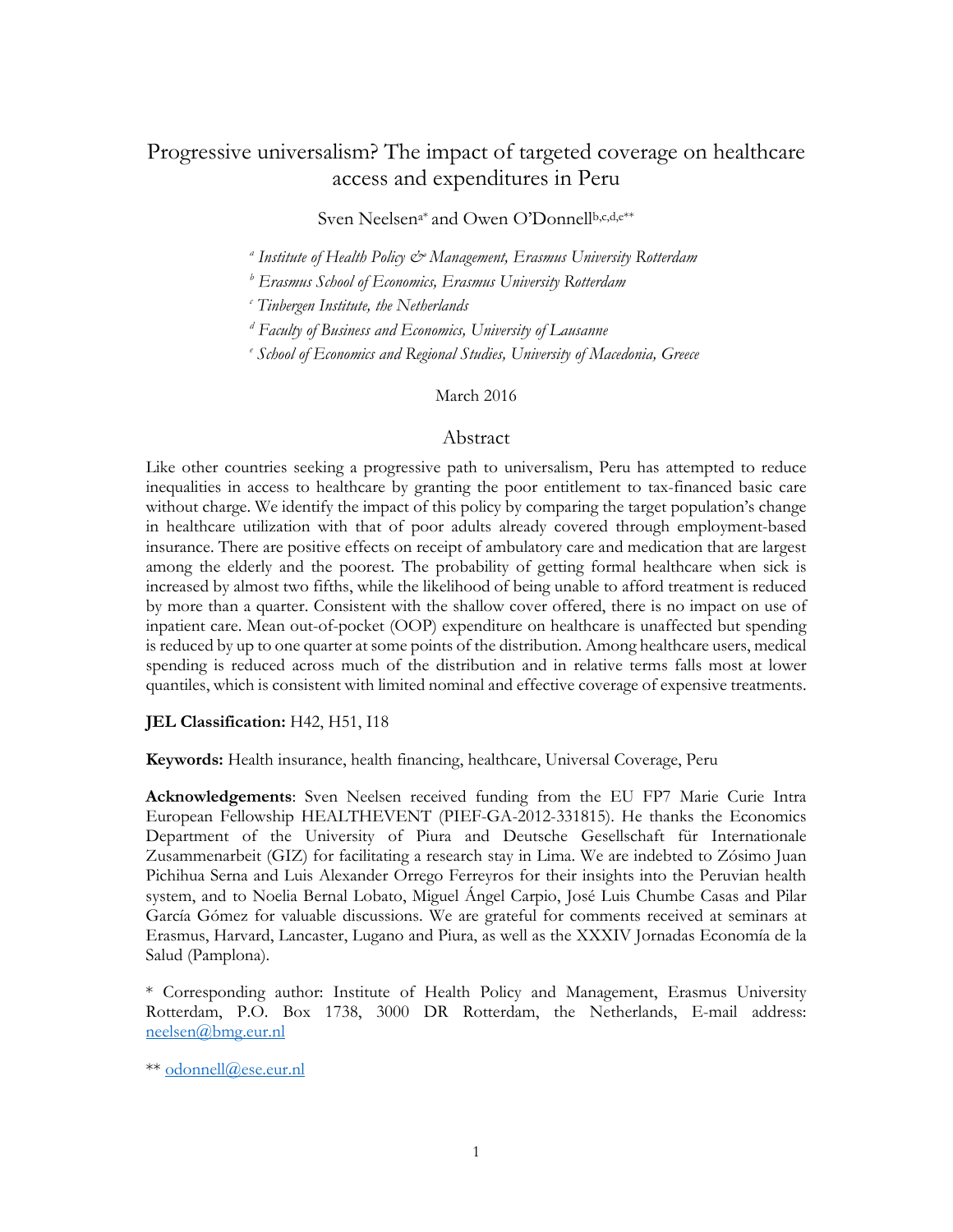## Progressive universalism? The impact of targeted coverage on healthcare access and expenditures in Peru

Sven Neelsen<sup>a\*</sup> and Owen O'Donnellb,c,d,e\*\*

<sup>a</sup> Institute of Health Policy & Management, Erasmus University Rotterdam

*b Erasmus School of Economics, Erasmus University Rotterdam* 

*c Tinbergen Institute, the Netherlands* 

*d Faculty of Business and Economics, University of Lausanne* 

*e School of Economics and Regional Studies, University of Macedonia, Greece* 

#### March 2016

## Abstract

Like other countries seeking a progressive path to universalism, Peru has attempted to reduce inequalities in access to healthcare by granting the poor entitlement to tax-financed basic care without charge. We identify the impact of this policy by comparing the target population's change in healthcare utilization with that of poor adults already covered through employment-based insurance. There are positive effects on receipt of ambulatory care and medication that are largest among the elderly and the poorest. The probability of getting formal healthcare when sick is increased by almost two fifths, while the likelihood of being unable to afford treatment is reduced by more than a quarter. Consistent with the shallow cover offered, there is no impact on use of inpatient care. Mean out-of-pocket (OOP) expenditure on healthcare is unaffected but spending is reduced by up to one quarter at some points of the distribution. Among healthcare users, medical spending is reduced across much of the distribution and in relative terms falls most at lower quantiles, which is consistent with limited nominal and effective coverage of expensive treatments.

#### **JEL Classification:** H42, H51, I18

**Keywords:** Health insurance, health financing, healthcare, Universal Coverage, Peru

**Acknowledgements**: Sven Neelsen received funding from the EU FP7 Marie Curie Intra European Fellowship HEALTHEVENT (PIEF-GA-2012-331815). He thanks the Economics Department of the University of Piura and Deutsche Gesellschaft für Internationale Zusammenarbeit (GIZ) for facilitating a research stay in Lima. We are indebted to Zósimo Juan Pichihua Serna and Luis Alexander Orrego Ferreyros for their insights into the Peruvian health system, and to Noelia Bernal Lobato, Miguel Ángel Carpio, José Luis Chumbe Casas and Pilar García Gómez for valuable discussions. We are grateful for comments received at seminars at Erasmus, Harvard, Lancaster, Lugano and Piura, as well as the XXXIV Jornadas Economía de la Salud (Pamplona).

\* Corresponding author: Institute of Health Policy and Management, Erasmus University Rotterdam, P.O. Box 1738, 3000 DR Rotterdam, the Netherlands, E-mail address: neelsen@bmg.eur.nl

\*\* odonnell@ese.eur.nl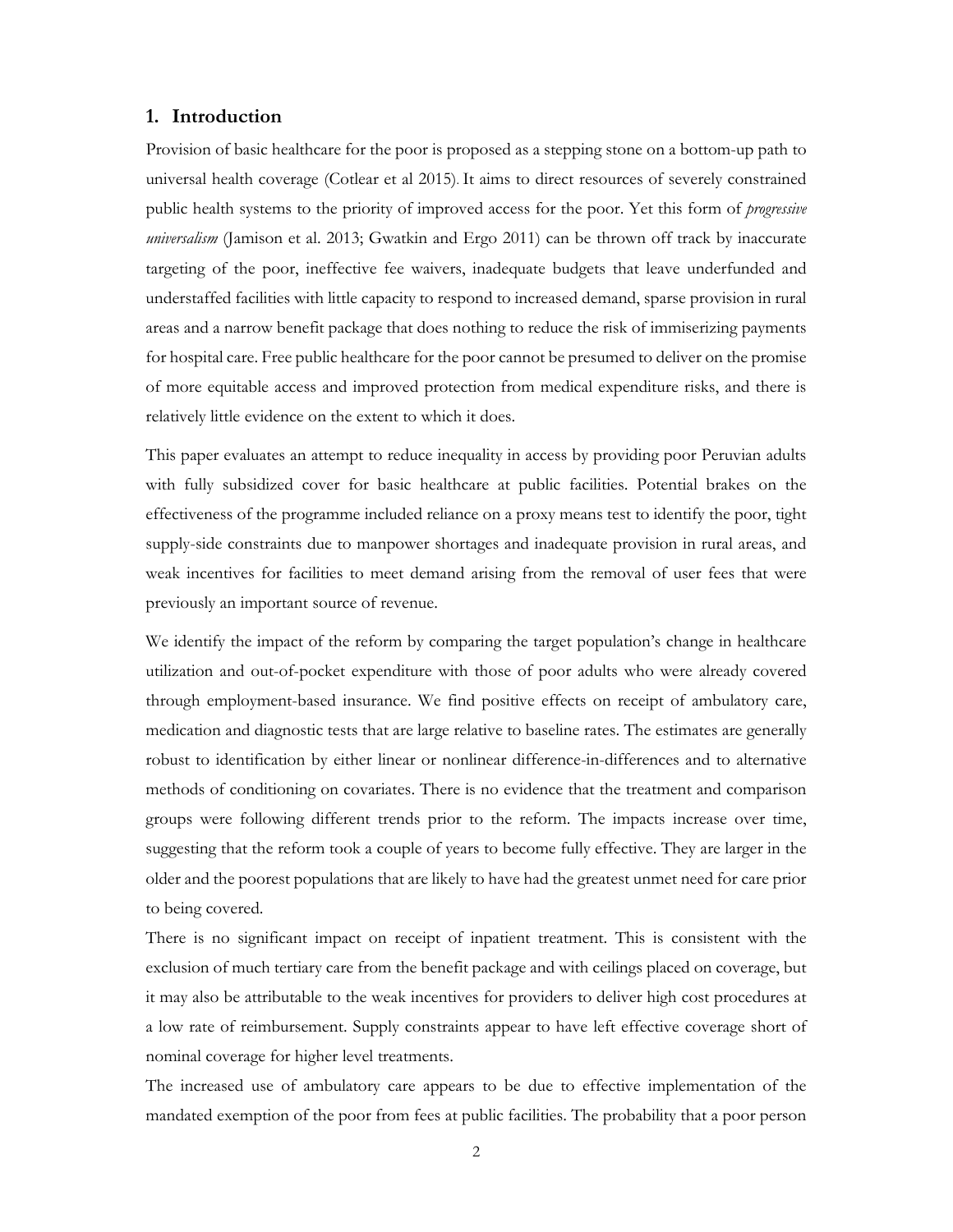#### **1. Introduction**

Provision of basic healthcare for the poor is proposed as a stepping stone on a bottom-up path to universal health coverage (Cotlear et al 2015). It aims to direct resources of severely constrained public health systems to the priority of improved access for the poor. Yet this form of *progressive universalism* (Jamison et al. 2013; Gwatkin and Ergo 2011) can be thrown off track by inaccurate targeting of the poor, ineffective fee waivers, inadequate budgets that leave underfunded and understaffed facilities with little capacity to respond to increased demand, sparse provision in rural areas and a narrow benefit package that does nothing to reduce the risk of immiserizing payments for hospital care. Free public healthcare for the poor cannot be presumed to deliver on the promise of more equitable access and improved protection from medical expenditure risks, and there is relatively little evidence on the extent to which it does.

This paper evaluates an attempt to reduce inequality in access by providing poor Peruvian adults with fully subsidized cover for basic healthcare at public facilities. Potential brakes on the effectiveness of the programme included reliance on a proxy means test to identify the poor, tight supply-side constraints due to manpower shortages and inadequate provision in rural areas, and weak incentives for facilities to meet demand arising from the removal of user fees that were previously an important source of revenue.

We identify the impact of the reform by comparing the target population's change in healthcare utilization and out-of-pocket expenditure with those of poor adults who were already covered through employment-based insurance. We find positive effects on receipt of ambulatory care, medication and diagnostic tests that are large relative to baseline rates. The estimates are generally robust to identification by either linear or nonlinear difference-in-differences and to alternative methods of conditioning on covariates. There is no evidence that the treatment and comparison groups were following different trends prior to the reform. The impacts increase over time, suggesting that the reform took a couple of years to become fully effective. They are larger in the older and the poorest populations that are likely to have had the greatest unmet need for care prior to being covered.

There is no significant impact on receipt of inpatient treatment. This is consistent with the exclusion of much tertiary care from the benefit package and with ceilings placed on coverage, but it may also be attributable to the weak incentives for providers to deliver high cost procedures at a low rate of reimbursement. Supply constraints appear to have left effective coverage short of nominal coverage for higher level treatments.

The increased use of ambulatory care appears to be due to effective implementation of the mandated exemption of the poor from fees at public facilities. The probability that a poor person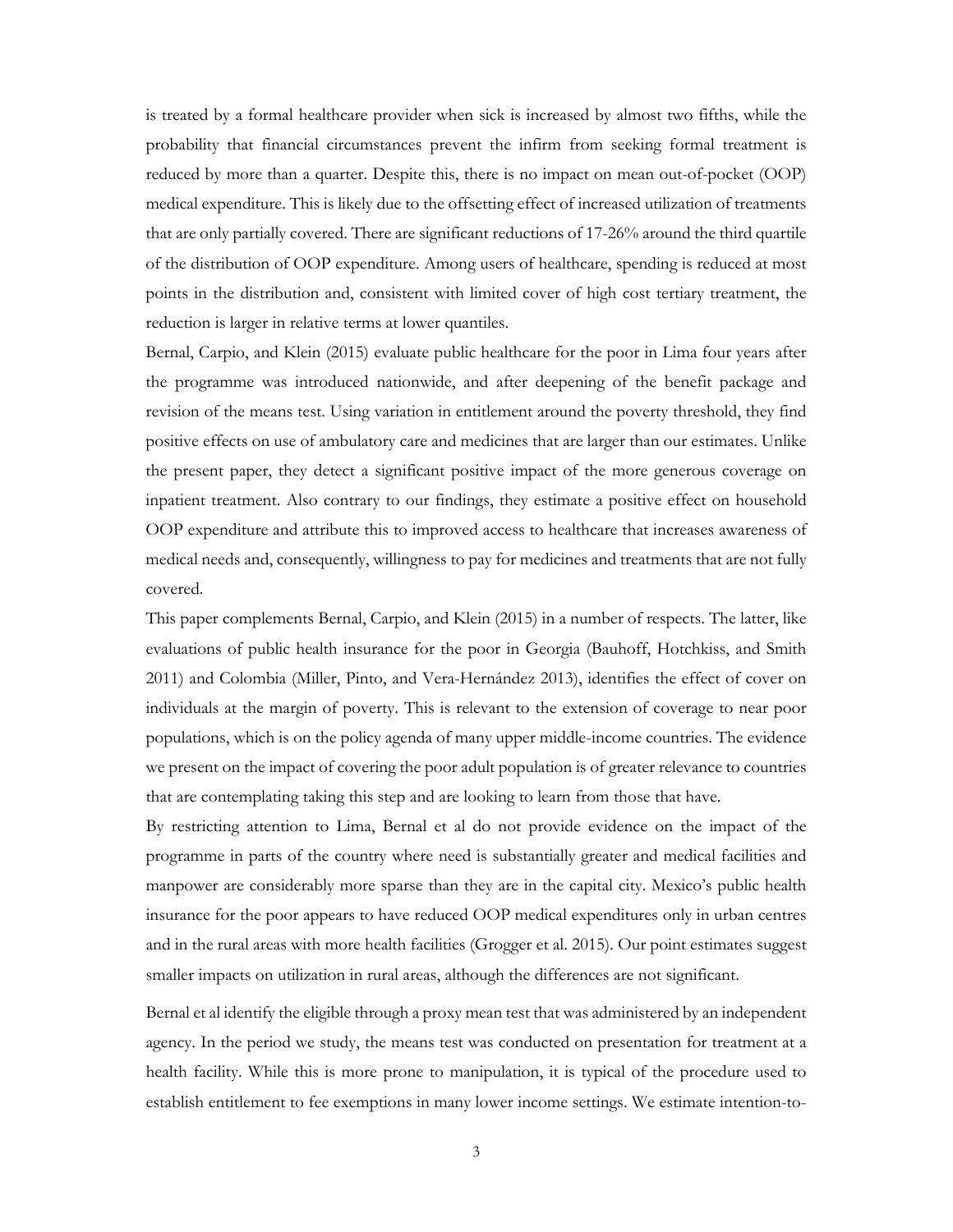is treated by a formal healthcare provider when sick is increased by almost two fifths, while the probability that financial circumstances prevent the infirm from seeking formal treatment is reduced by more than a quarter. Despite this, there is no impact on mean out-of-pocket (OOP) medical expenditure. This is likely due to the offsetting effect of increased utilization of treatments that are only partially covered. There are significant reductions of 17-26% around the third quartile of the distribution of OOP expenditure. Among users of healthcare, spending is reduced at most points in the distribution and, consistent with limited cover of high cost tertiary treatment, the reduction is larger in relative terms at lower quantiles.

Bernal, Carpio, and Klein (2015) evaluate public healthcare for the poor in Lima four years after the programme was introduced nationwide, and after deepening of the benefit package and revision of the means test. Using variation in entitlement around the poverty threshold, they find positive effects on use of ambulatory care and medicines that are larger than our estimates. Unlike the present paper, they detect a significant positive impact of the more generous coverage on inpatient treatment. Also contrary to our findings, they estimate a positive effect on household OOP expenditure and attribute this to improved access to healthcare that increases awareness of medical needs and, consequently, willingness to pay for medicines and treatments that are not fully covered.

This paper complements Bernal, Carpio, and Klein (2015) in a number of respects. The latter, like evaluations of public health insurance for the poor in Georgia (Bauhoff, Hotchkiss, and Smith 2011) and Colombia (Miller, Pinto, and Vera-Hernández 2013), identifies the effect of cover on individuals at the margin of poverty. This is relevant to the extension of coverage to near poor populations, which is on the policy agenda of many upper middle-income countries. The evidence we present on the impact of covering the poor adult population is of greater relevance to countries that are contemplating taking this step and are looking to learn from those that have.

By restricting attention to Lima, Bernal et al do not provide evidence on the impact of the programme in parts of the country where need is substantially greater and medical facilities and manpower are considerably more sparse than they are in the capital city. Mexico's public health insurance for the poor appears to have reduced OOP medical expenditures only in urban centres and in the rural areas with more health facilities (Grogger et al. 2015). Our point estimates suggest smaller impacts on utilization in rural areas, although the differences are not significant.

Bernal et al identify the eligible through a proxy mean test that was administered by an independent agency. In the period we study, the means test was conducted on presentation for treatment at a health facility. While this is more prone to manipulation, it is typical of the procedure used to establish entitlement to fee exemptions in many lower income settings. We estimate intention-to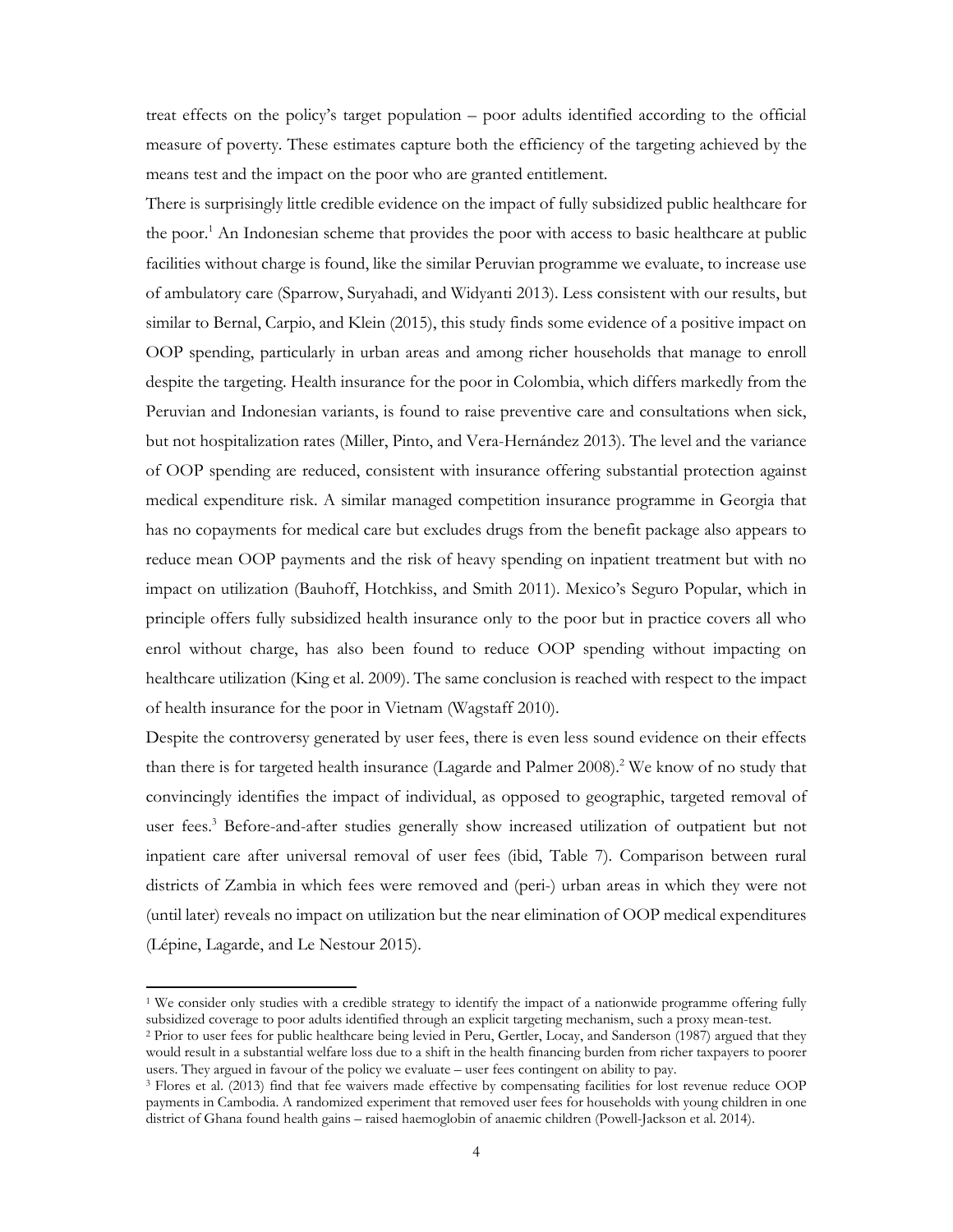treat effects on the policy's target population – poor adults identified according to the official measure of poverty. These estimates capture both the efficiency of the targeting achieved by the means test and the impact on the poor who are granted entitlement.

There is surprisingly little credible evidence on the impact of fully subsidized public healthcare for the poor.<sup>1</sup> An Indonesian scheme that provides the poor with access to basic healthcare at public facilities without charge is found, like the similar Peruvian programme we evaluate, to increase use of ambulatory care (Sparrow, Suryahadi, and Widyanti 2013). Less consistent with our results, but similar to Bernal, Carpio, and Klein (2015), this study finds some evidence of a positive impact on OOP spending, particularly in urban areas and among richer households that manage to enroll despite the targeting. Health insurance for the poor in Colombia, which differs markedly from the Peruvian and Indonesian variants, is found to raise preventive care and consultations when sick, but not hospitalization rates (Miller, Pinto, and Vera-Hernández 2013). The level and the variance of OOP spending are reduced, consistent with insurance offering substantial protection against medical expenditure risk. A similar managed competition insurance programme in Georgia that has no copayments for medical care but excludes drugs from the benefit package also appears to reduce mean OOP payments and the risk of heavy spending on inpatient treatment but with no impact on utilization (Bauhoff, Hotchkiss, and Smith 2011). Mexico's Seguro Popular, which in principle offers fully subsidized health insurance only to the poor but in practice covers all who enrol without charge, has also been found to reduce OOP spending without impacting on healthcare utilization (King et al. 2009). The same conclusion is reached with respect to the impact of health insurance for the poor in Vietnam (Wagstaff 2010).

Despite the controversy generated by user fees, there is even less sound evidence on their effects than there is for targeted health insurance (Lagarde and Palmer 2008).<sup>2</sup> We know of no study that convincingly identifies the impact of individual, as opposed to geographic, targeted removal of user fees.<sup>3</sup> Before-and-after studies generally show increased utilization of outpatient but not inpatient care after universal removal of user fees (ibid, Table 7). Comparison between rural districts of Zambia in which fees were removed and (peri-) urban areas in which they were not (until later) reveals no impact on utilization but the near elimination of OOP medical expenditures (Lépine, Lagarde, and Le Nestour 2015).

<sup>1</sup> We consider only studies with a credible strategy to identify the impact of a nationwide programme offering fully subsidized coverage to poor adults identified through an explicit targeting mechanism, such a proxy mean-test.

<sup>2</sup> Prior to user fees for public healthcare being levied in Peru, Gertler, Locay, and Sanderson (1987) argued that they would result in a substantial welfare loss due to a shift in the health financing burden from richer taxpayers to poorer users. They argued in favour of the policy we evaluate – user fees contingent on ability to pay.

<sup>3</sup> Flores et al. (2013) find that fee waivers made effective by compensating facilities for lost revenue reduce OOP payments in Cambodia. A randomized experiment that removed user fees for households with young children in one district of Ghana found health gains – raised haemoglobin of anaemic children (Powell-Jackson et al. 2014).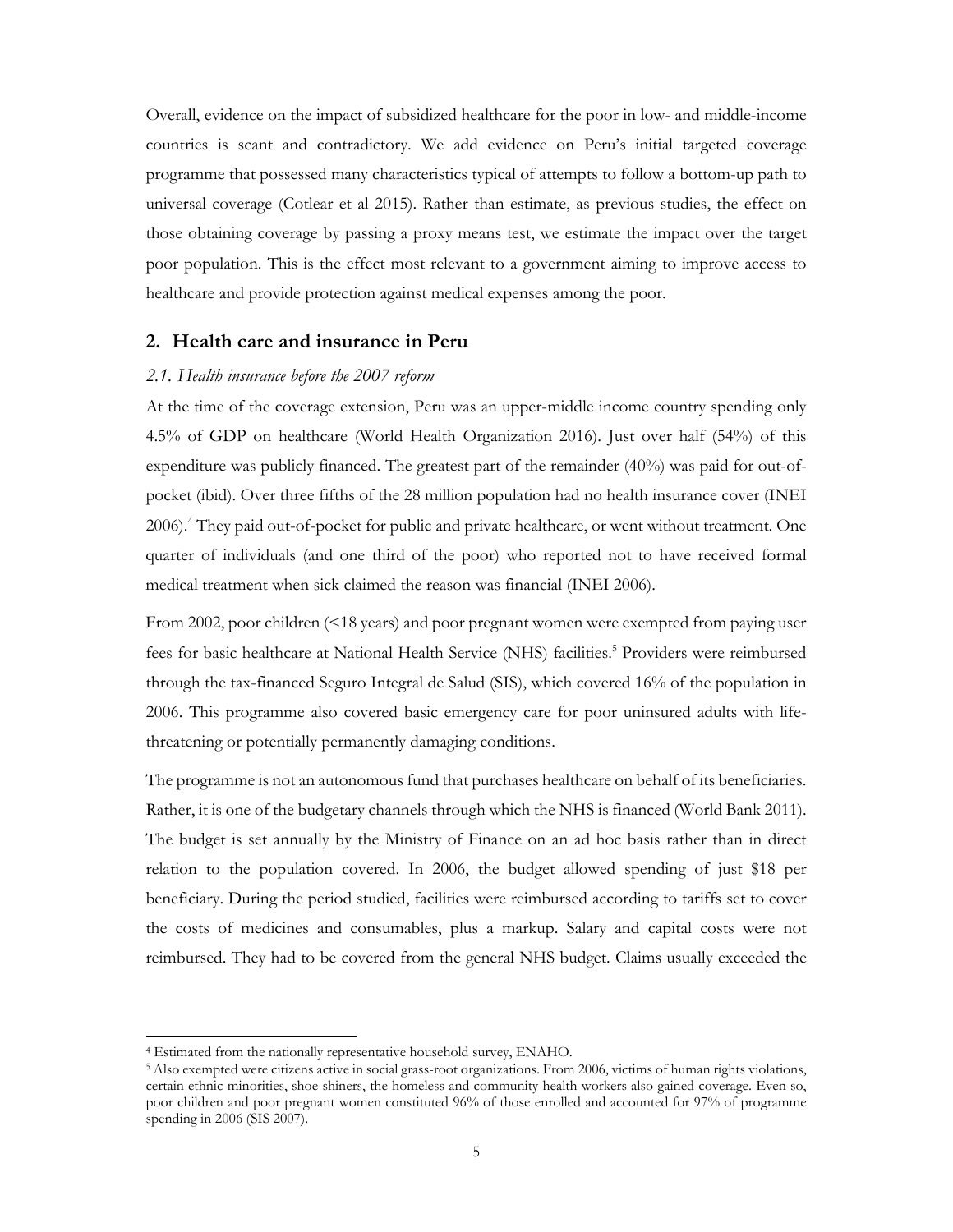Overall, evidence on the impact of subsidized healthcare for the poor in low- and middle-income countries is scant and contradictory. We add evidence on Peru's initial targeted coverage programme that possessed many characteristics typical of attempts to follow a bottom-up path to universal coverage (Cotlear et al 2015). Rather than estimate, as previous studies, the effect on those obtaining coverage by passing a proxy means test, we estimate the impact over the target poor population. This is the effect most relevant to a government aiming to improve access to healthcare and provide protection against medical expenses among the poor.

## **2. Health care and insurance in Peru**

## *2.1. Health insurance before the 2007 reform*

At the time of the coverage extension, Peru was an upper-middle income country spending only 4.5% of GDP on healthcare (World Health Organization 2016). Just over half (54%) of this expenditure was publicly financed. The greatest part of the remainder (40%) was paid for out-ofpocket (ibid). Over three fifths of the 28 million population had no health insurance cover (INEI 2006).<sup>4</sup> They paid out-of-pocket for public and private healthcare, or went without treatment. One quarter of individuals (and one third of the poor) who reported not to have received formal medical treatment when sick claimed the reason was financial (INEI 2006).

From 2002, poor children (<18 years) and poor pregnant women were exempted from paying user fees for basic healthcare at National Health Service (NHS) facilities.<sup>5</sup> Providers were reimbursed through the tax-financed Seguro Integral de Salud (SIS), which covered 16% of the population in 2006. This programme also covered basic emergency care for poor uninsured adults with lifethreatening or potentially permanently damaging conditions.

The programme is not an autonomous fund that purchases healthcare on behalf of its beneficiaries. Rather, it is one of the budgetary channels through which the NHS is financed (World Bank 2011). The budget is set annually by the Ministry of Finance on an ad hoc basis rather than in direct relation to the population covered. In 2006, the budget allowed spending of just \$18 per beneficiary. During the period studied, facilities were reimbursed according to tariffs set to cover the costs of medicines and consumables, plus a markup. Salary and capital costs were not reimbursed. They had to be covered from the general NHS budget. Claims usually exceeded the

<sup>4</sup> Estimated from the nationally representative household survey, ENAHO.

<sup>5</sup> Also exempted were citizens active in social grass-root organizations. From 2006, victims of human rights violations, certain ethnic minorities, shoe shiners, the homeless and community health workers also gained coverage. Even so, poor children and poor pregnant women constituted 96% of those enrolled and accounted for 97% of programme spending in 2006 (SIS 2007).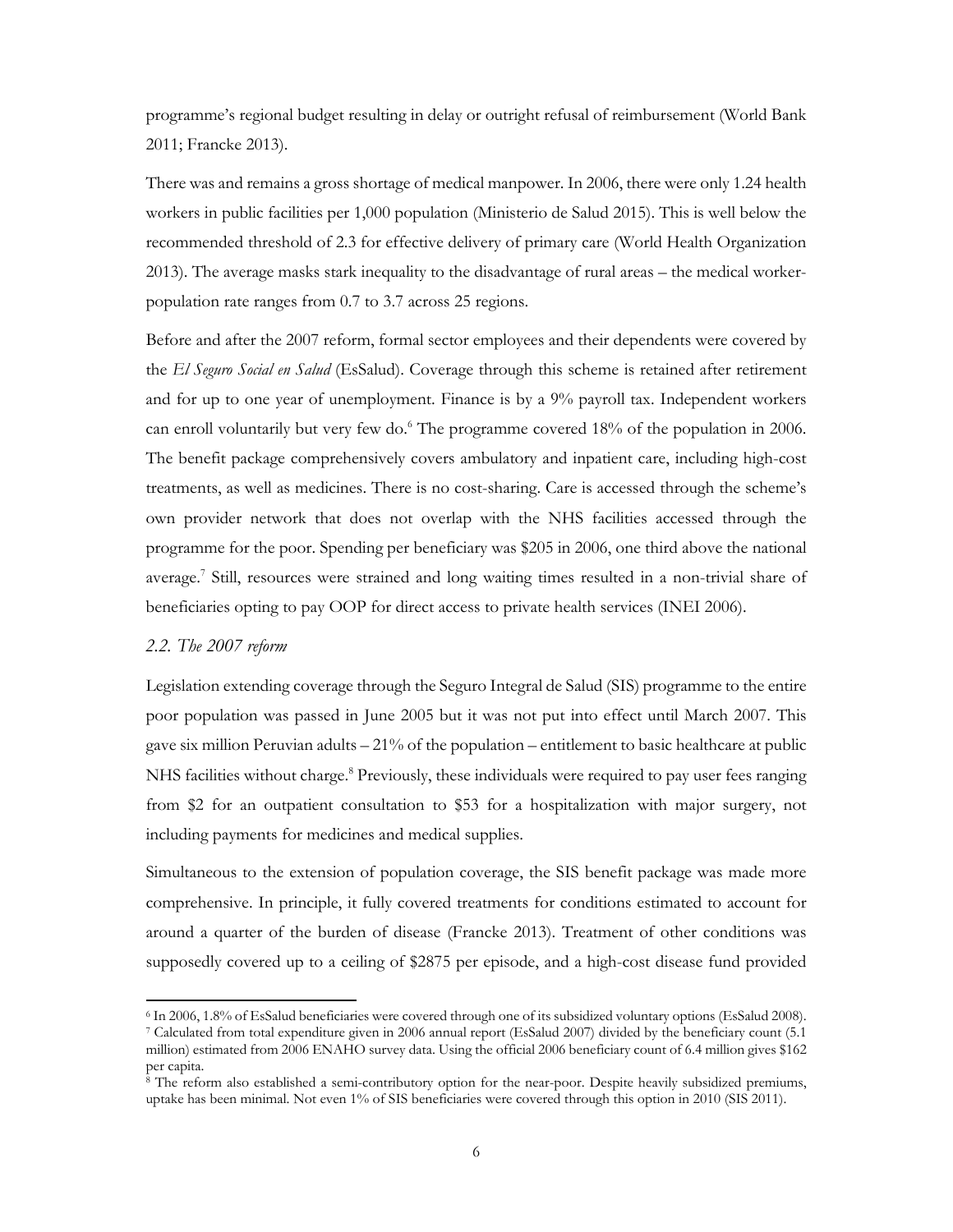programme's regional budget resulting in delay or outright refusal of reimbursement (World Bank 2011; Francke 2013).

There was and remains a gross shortage of medical manpower. In 2006, there were only 1.24 health workers in public facilities per 1,000 population (Ministerio de Salud 2015). This is well below the recommended threshold of 2.3 for effective delivery of primary care (World Health Organization 2013). The average masks stark inequality to the disadvantage of rural areas – the medical workerpopulation rate ranges from 0.7 to 3.7 across 25 regions.

Before and after the 2007 reform, formal sector employees and their dependents were covered by the *El Seguro Social en Salud* (EsSalud). Coverage through this scheme is retained after retirement and for up to one year of unemployment. Finance is by a 9% payroll tax. Independent workers can enroll voluntarily but very few do.<sup>6</sup> The programme covered 18% of the population in 2006. The benefit package comprehensively covers ambulatory and inpatient care, including high-cost treatments, as well as medicines. There is no cost-sharing. Care is accessed through the scheme's own provider network that does not overlap with the NHS facilities accessed through the programme for the poor. Spending per beneficiary was \$205 in 2006, one third above the national average.<sup>7</sup> Still, resources were strained and long waiting times resulted in a non-trivial share of beneficiaries opting to pay OOP for direct access to private health services (INEI 2006).

## *2.2. The 2007 reform*

Legislation extending coverage through the Seguro Integral de Salud (SIS) programme to the entire poor population was passed in June 2005 but it was not put into effect until March 2007. This gave six million Peruvian adults  $-21\%$  of the population – entitlement to basic healthcare at public NHS facilities without charge.<sup>8</sup> Previously, these individuals were required to pay user fees ranging from \$2 for an outpatient consultation to \$53 for a hospitalization with major surgery, not including payments for medicines and medical supplies.

Simultaneous to the extension of population coverage, the SIS benefit package was made more comprehensive. In principle, it fully covered treatments for conditions estimated to account for around a quarter of the burden of disease (Francke 2013). Treatment of other conditions was supposedly covered up to a ceiling of \$2875 per episode, and a high-cost disease fund provided

<sup>&</sup>lt;sup>6</sup> In 2006, 1.8% of EsSalud beneficiaries were covered through one of its subsidized voluntary options (EsSalud 2008).<br><sup>7</sup> Calculated from total expenditure given in 2006 annual report (EsSalud 2007) divided by the benefi million) estimated from 2006 ENAHO survey data. Using the official 2006 beneficiary count of 6.4 million gives \$162 per capita.

 $8$  The reform also established a semi-contributory option for the near-poor. Despite heavily subsidized premiums, uptake has been minimal. Not even 1% of SIS beneficiaries were covered through this option in 2010 (SIS 2011).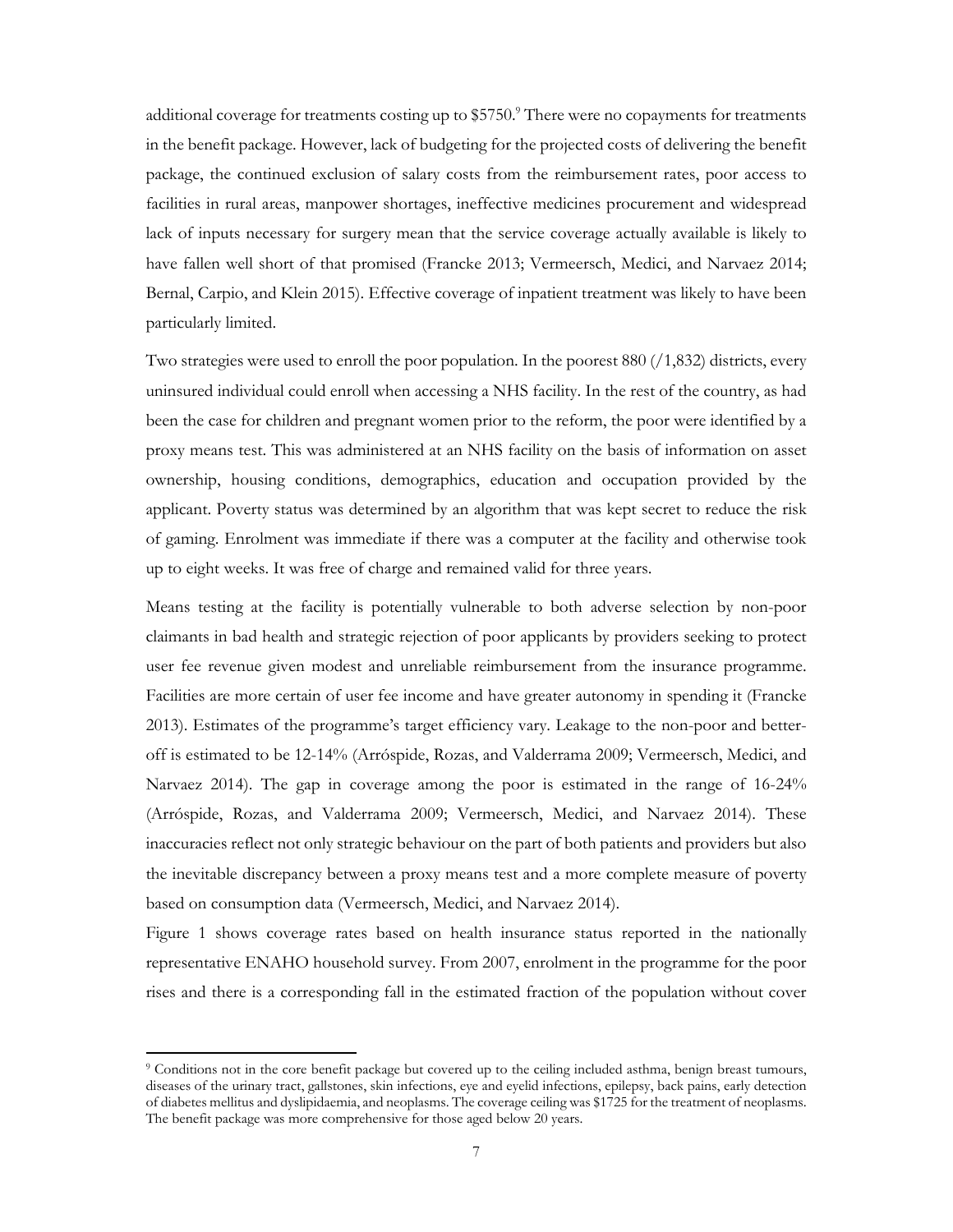additional coverage for treatments costing up to \$5750.<sup>9</sup> There were no copayments for treatments in the benefit package. However, lack of budgeting for the projected costs of delivering the benefit package, the continued exclusion of salary costs from the reimbursement rates, poor access to facilities in rural areas, manpower shortages, ineffective medicines procurement and widespread lack of inputs necessary for surgery mean that the service coverage actually available is likely to have fallen well short of that promised (Francke 2013; Vermeersch, Medici, and Narvaez 2014; Bernal, Carpio, and Klein 2015). Effective coverage of inpatient treatment was likely to have been particularly limited.

Two strategies were used to enroll the poor population. In the poorest 880 (/1,832) districts, every uninsured individual could enroll when accessing a NHS facility. In the rest of the country, as had been the case for children and pregnant women prior to the reform, the poor were identified by a proxy means test. This was administered at an NHS facility on the basis of information on asset ownership, housing conditions, demographics, education and occupation provided by the applicant. Poverty status was determined by an algorithm that was kept secret to reduce the risk of gaming. Enrolment was immediate if there was a computer at the facility and otherwise took up to eight weeks. It was free of charge and remained valid for three years.

Means testing at the facility is potentially vulnerable to both adverse selection by non-poor claimants in bad health and strategic rejection of poor applicants by providers seeking to protect user fee revenue given modest and unreliable reimbursement from the insurance programme. Facilities are more certain of user fee income and have greater autonomy in spending it (Francke 2013). Estimates of the programme's target efficiency vary. Leakage to the non-poor and betteroff is estimated to be 12-14% (Arróspide, Rozas, and Valderrama 2009; Vermeersch, Medici, and Narvaez 2014). The gap in coverage among the poor is estimated in the range of 16-24% (Arróspide, Rozas, and Valderrama 2009; Vermeersch, Medici, and Narvaez 2014). These inaccuracies reflect not only strategic behaviour on the part of both patients and providers but also the inevitable discrepancy between a proxy means test and a more complete measure of poverty based on consumption data (Vermeersch, Medici, and Narvaez 2014).

Figure 1 shows coverage rates based on health insurance status reported in the nationally representative ENAHO household survey. From 2007, enrolment in the programme for the poor rises and there is a corresponding fall in the estimated fraction of the population without cover

<sup>9</sup> Conditions not in the core benefit package but covered up to the ceiling included asthma, benign breast tumours, diseases of the urinary tract, gallstones, skin infections, eye and eyelid infections, epilepsy, back pains, early detection of diabetes mellitus and dyslipidaemia, and neoplasms. The coverage ceiling was \$1725 for the treatment of neoplasms. The benefit package was more comprehensive for those aged below 20 years.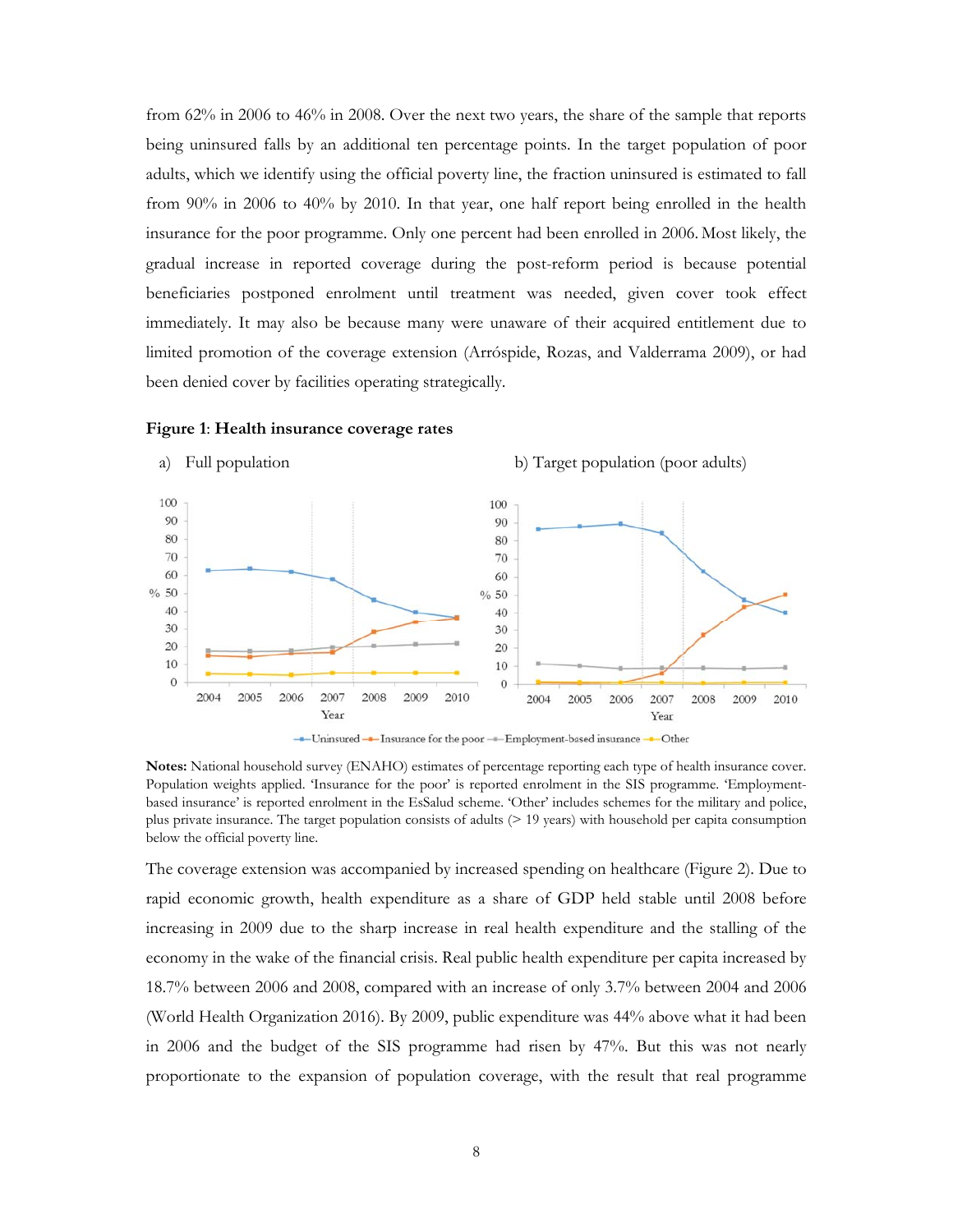from 62% in 2006 to 46% in 2008. Over the next two years, the share of the sample that reports being uninsured falls by an additional ten percentage points. In the target population of poor adults, which we identify using the official poverty line, the fraction uninsured is estimated to fall from 90% in 2006 to 40% by 2010. In that year, one half report being enrolled in the health insurance for the poor programme. Only one percent had been enrolled in 2006. Most likely, the gradual increase in reported coverage during the post-reform period is because potential beneficiaries postponed enrolment until treatment was needed, given cover took effect immediately. It may also be because many were unaware of their acquired entitlement due to limited promotion of the coverage extension (Arróspide, Rozas, and Valderrama 2009), or had been denied cover by facilities operating strategically.



#### **Figure 1**: **Health insurance coverage rates**

**Notes:** National household survey (ENAHO) estimates of percentage reporting each type of health insurance cover. Population weights applied. 'Insurance for the poor' is reported enrolment in the SIS programme. 'Employmentbased insurance' is reported enrolment in the EsSalud scheme. 'Other' includes schemes for the military and police, plus private insurance. The target population consists of adults (> 19 years) with household per capita consumption below the official poverty line.

The coverage extension was accompanied by increased spending on healthcare (Figure 2). Due to rapid economic growth, health expenditure as a share of GDP held stable until 2008 before increasing in 2009 due to the sharp increase in real health expenditure and the stalling of the economy in the wake of the financial crisis. Real public health expenditure per capita increased by 18.7% between 2006 and 2008, compared with an increase of only 3.7% between 2004 and 2006 (World Health Organization 2016). By 2009, public expenditure was 44% above what it had been in 2006 and the budget of the SIS programme had risen by 47%. But this was not nearly proportionate to the expansion of population coverage, with the result that real programme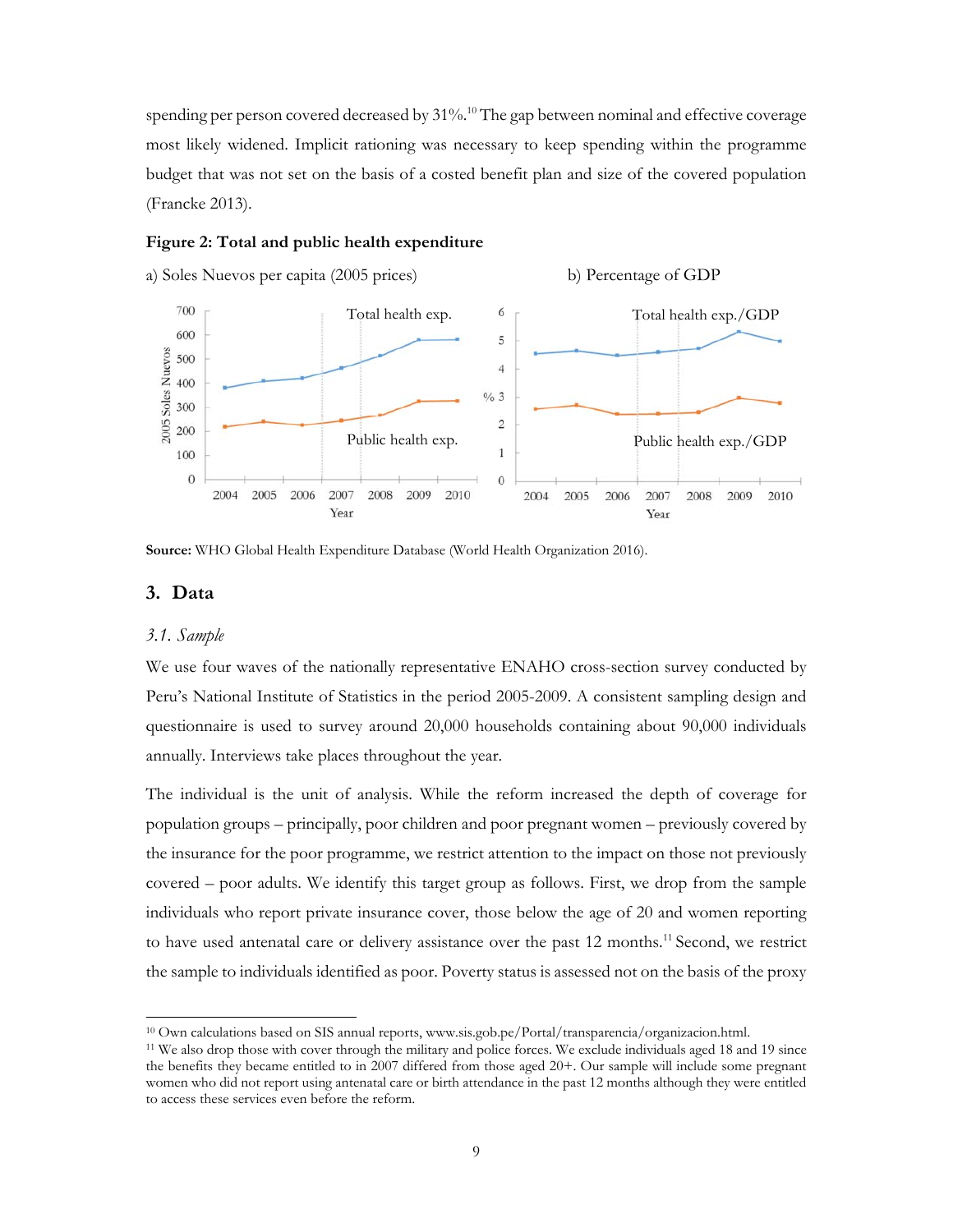spending per person covered decreased by 31%.<sup>10</sup> The gap between nominal and effective coverage most likely widened. Implicit rationing was necessary to keep spending within the programme budget that was not set on the basis of a costed benefit plan and size of the covered population (Francke 2013).

#### **Figure 2: Total and public health expenditure**



**Source:** WHO Global Health Expenditure Database (World Health Organization 2016).

## **3. Data**

#### *3.1. Sample*

We use four waves of the nationally representative ENAHO cross-section survey conducted by Peru's National Institute of Statistics in the period 2005-2009. A consistent sampling design and questionnaire is used to survey around 20,000 households containing about 90,000 individuals annually. Interviews take places throughout the year.

The individual is the unit of analysis. While the reform increased the depth of coverage for population groups – principally, poor children and poor pregnant women – previously covered by the insurance for the poor programme, we restrict attention to the impact on those not previously covered – poor adults. We identify this target group as follows. First, we drop from the sample individuals who report private insurance cover, those below the age of 20 and women reporting to have used antenatal care or delivery assistance over the past 12 months.<sup>11</sup> Second, we restrict the sample to individuals identified as poor. Poverty status is assessed not on the basis of the proxy

<sup>&</sup>lt;sup>10</sup> Own calculations based on SIS annual reports, www.sis.gob.pe/Portal/transparencia/organizacion.html.<br><sup>11</sup> We also drop those with cover through the military and police forces. We exclude individuals aged 18 and 19 si the benefits they became entitled to in 2007 differed from those aged 20+. Our sample will include some pregnant women who did not report using antenatal care or birth attendance in the past 12 months although they were entitled to access these services even before the reform.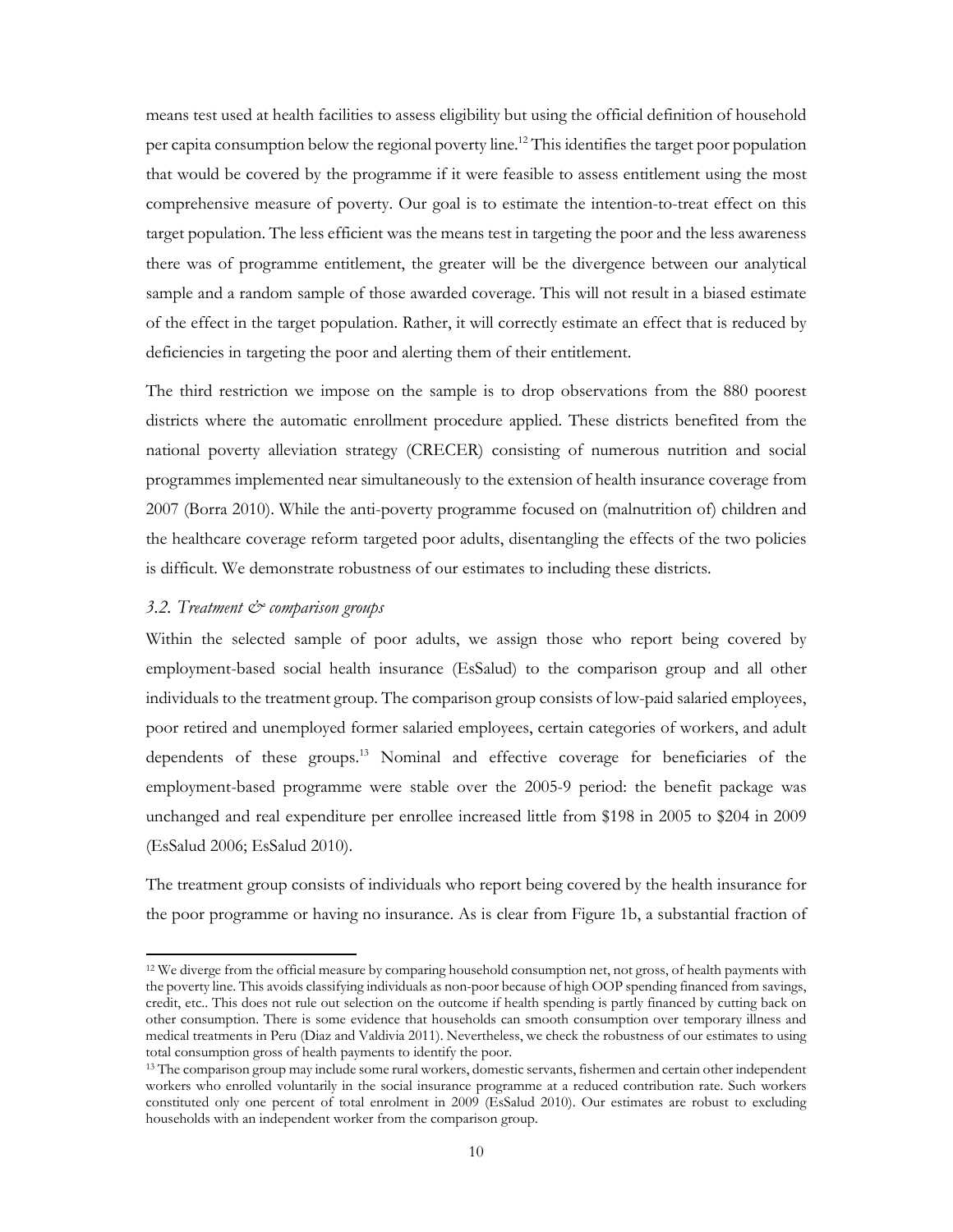means test used at health facilities to assess eligibility but using the official definition of household per capita consumption below the regional poverty line.12 This identifies the target poor population that would be covered by the programme if it were feasible to assess entitlement using the most comprehensive measure of poverty. Our goal is to estimate the intention-to-treat effect on this target population. The less efficient was the means test in targeting the poor and the less awareness there was of programme entitlement, the greater will be the divergence between our analytical sample and a random sample of those awarded coverage. This will not result in a biased estimate of the effect in the target population. Rather, it will correctly estimate an effect that is reduced by deficiencies in targeting the poor and alerting them of their entitlement.

The third restriction we impose on the sample is to drop observations from the 880 poorest districts where the automatic enrollment procedure applied. These districts benefited from the national poverty alleviation strategy (CRECER) consisting of numerous nutrition and social programmes implemented near simultaneously to the extension of health insurance coverage from 2007 (Borra 2010). While the anti-poverty programme focused on (malnutrition of) children and the healthcare coverage reform targeted poor adults, disentangling the effects of the two policies is difficult. We demonstrate robustness of our estimates to including these districts.

## *3.2. Treatment & comparison groups*

Within the selected sample of poor adults, we assign those who report being covered by employment-based social health insurance (EsSalud) to the comparison group and all other individuals to the treatment group. The comparison group consists of low-paid salaried employees, poor retired and unemployed former salaried employees, certain categories of workers, and adult dependents of these groups.<sup>13</sup> Nominal and effective coverage for beneficiaries of the employment-based programme were stable over the 2005-9 period: the benefit package was unchanged and real expenditure per enrollee increased little from \$198 in 2005 to \$204 in 2009 (EsSalud 2006; EsSalud 2010).

The treatment group consists of individuals who report being covered by the health insurance for the poor programme or having no insurance. As is clear from Figure 1b, a substantial fraction of

<sup>12</sup> We diverge from the official measure by comparing household consumption net, not gross, of health payments with the poverty line. This avoids classifying individuals as non-poor because of high OOP spending financed from savings, credit, etc.. This does not rule out selection on the outcome if health spending is partly financed by cutting back on other consumption. There is some evidence that households can smooth consumption over temporary illness and medical treatments in Peru (Diaz and Valdivia 2011). Nevertheless, we check the robustness of our estimates to using total consumption gross of health payments to identify the poor.

<sup>&</sup>lt;sup>13</sup> The comparison group may include some rural workers, domestic servants, fishermen and certain other independent workers who enrolled voluntarily in the social insurance programme at a reduced contribution rate. Such workers constituted only one percent of total enrolment in 2009 (EsSalud 2010). Our estimates are robust to excluding households with an independent worker from the comparison group.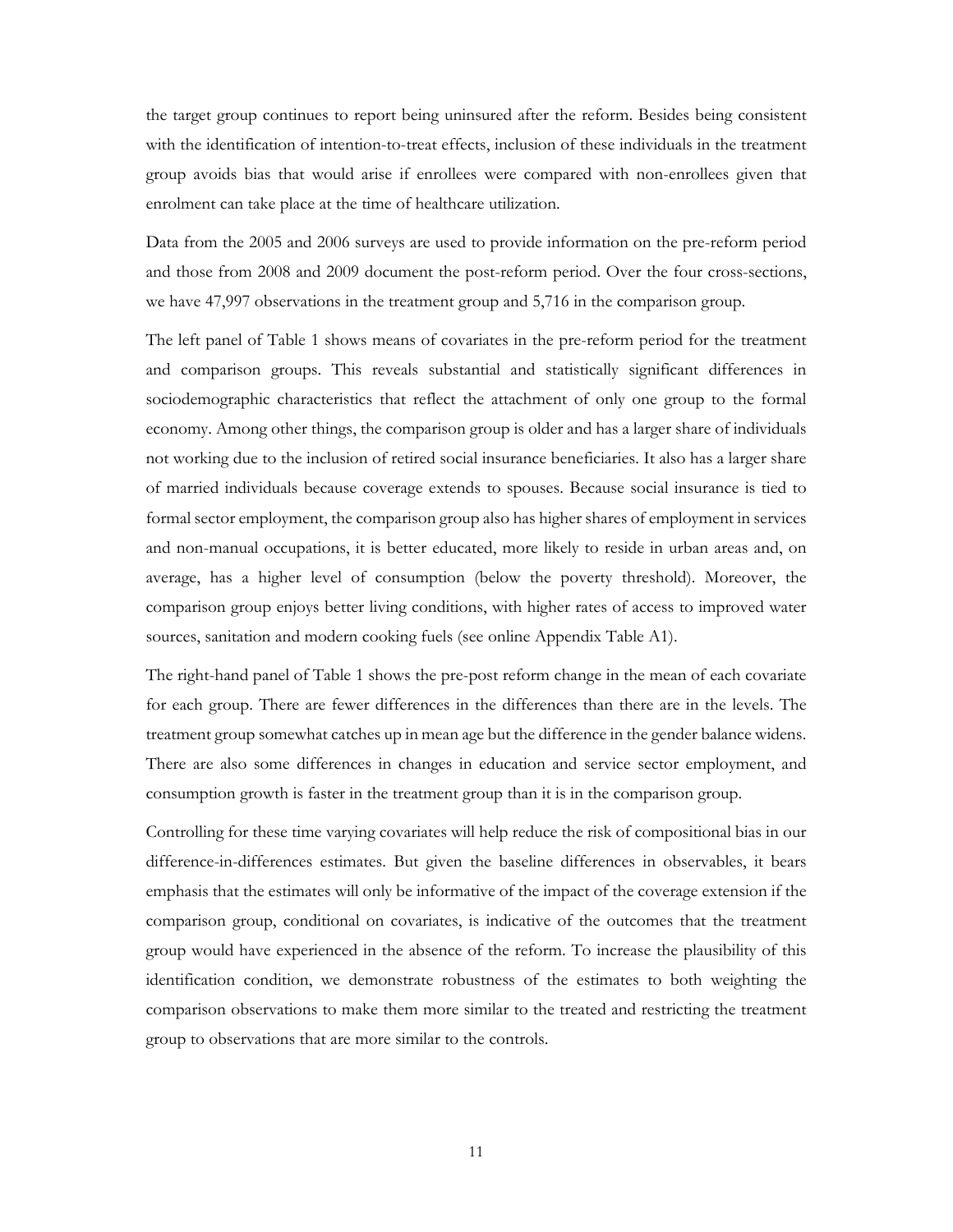the target group continues to report being uninsured after the reform. Besides being consistent with the identification of intention-to-treat effects, inclusion of these individuals in the treatment group avoids bias that would arise if enrollees were compared with non-enrollees given that enrolment can take place at the time of healthcare utilization.

Data from the 2005 and 2006 surveys are used to provide information on the pre-reform period and those from 2008 and 2009 document the post-reform period. Over the four cross-sections, we have 47,997 observations in the treatment group and 5,716 in the comparison group.

The left panel of Table 1 shows means of covariates in the pre-reform period for the treatment and comparison groups. This reveals substantial and statistically significant differences in sociodemographic characteristics that reflect the attachment of only one group to the formal economy. Among other things, the comparison group is older and has a larger share of individuals not working due to the inclusion of retired social insurance beneficiaries. It also has a larger share of married individuals because coverage extends to spouses. Because social insurance is tied to formal sector employment, the comparison group also has higher shares of employment in services and non-manual occupations, it is better educated, more likely to reside in urban areas and, on average, has a higher level of consumption (below the poverty threshold). Moreover, the comparison group enjoys better living conditions, with higher rates of access to improved water sources, sanitation and modern cooking fuels (see online Appendix Table A1).

The right-hand panel of Table 1 shows the pre-post reform change in the mean of each covariate for each group. There are fewer differences in the differences than there are in the levels. The treatment group somewhat catches up in mean age but the difference in the gender balance widens. There are also some differences in changes in education and service sector employment, and consumption growth is faster in the treatment group than it is in the comparison group.

Controlling for these time varying covariates will help reduce the risk of compositional bias in our difference-in-differences estimates. But given the baseline differences in observables, it bears emphasis that the estimates will only be informative of the impact of the coverage extension if the comparison group, conditional on covariates, is indicative of the outcomes that the treatment group would have experienced in the absence of the reform. To increase the plausibility of this identification condition, we demonstrate robustness of the estimates to both weighting the comparison observations to make them more similar to the treated and restricting the treatment group to observations that are more similar to the controls.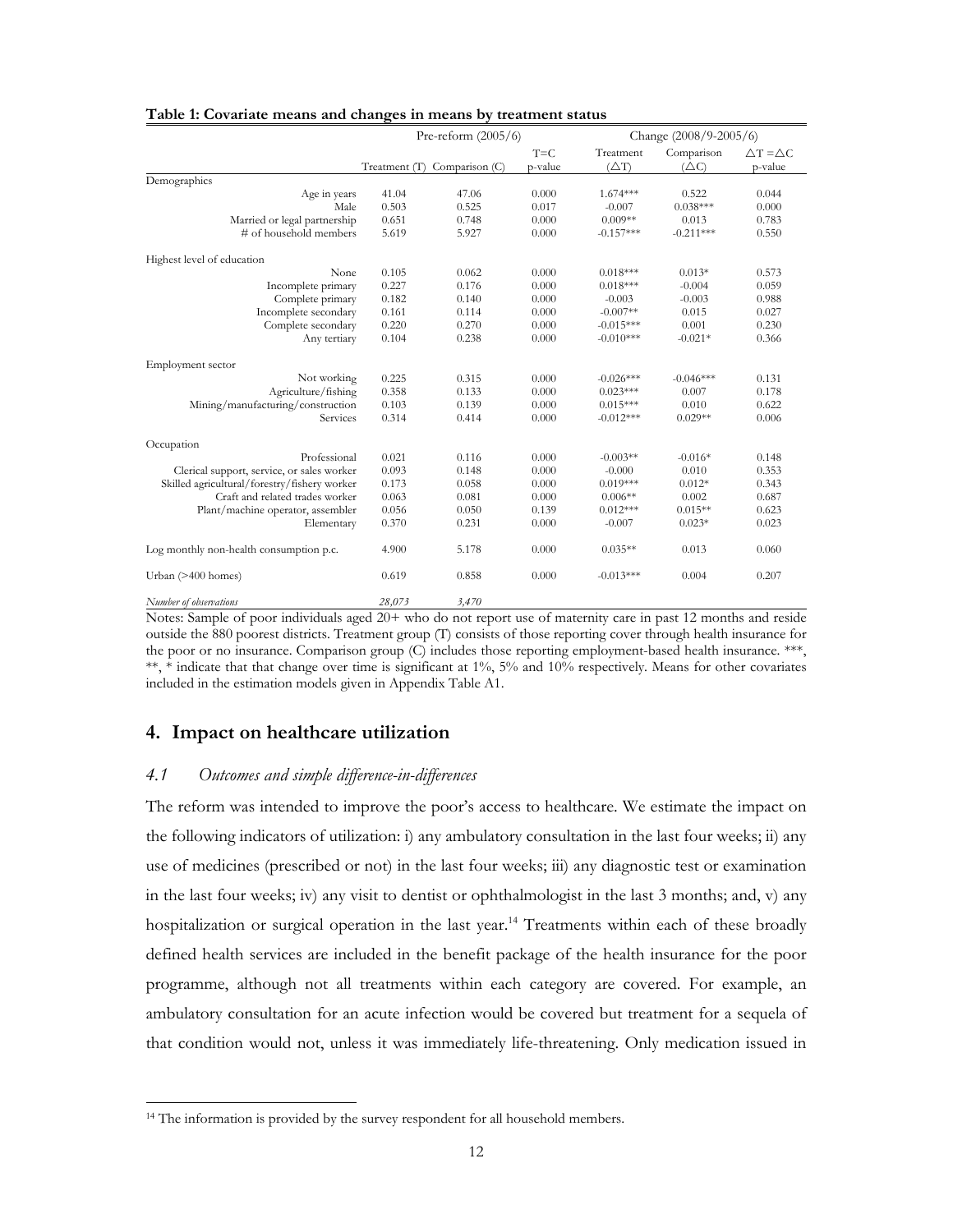|                                              | Pre-reform $(2005/6)$ |                |         |              | Change (2008/9-2005/6) |                             |  |
|----------------------------------------------|-----------------------|----------------|---------|--------------|------------------------|-----------------------------|--|
|                                              |                       |                | $T = C$ | Treatment    | Comparison             | $\triangle T = \triangle C$ |  |
|                                              | Treatment (T)         | Comparison (C) | p-value | $(\Delta T)$ | $(\triangle C)$        | p-value                     |  |
| Demographics                                 |                       |                |         |              |                        |                             |  |
| Age in years                                 | 41.04                 | 47.06          | 0.000   | $1.674***$   | 0.522                  | 0.044                       |  |
| Male                                         | 0.503                 | 0.525          | 0.017   | $-0.007$     | $0.038***$             | 0.000                       |  |
| Married or legal partnership                 | 0.651                 | 0.748          | 0.000   | $0.009**$    | 0.013                  | 0.783                       |  |
| # of household members                       | 5.619                 | 5.927          | 0.000   | $-0.157***$  | $-0.211***$            | 0.550                       |  |
| Highest level of education                   |                       |                |         |              |                        |                             |  |
| None                                         | 0.105                 | 0.062          | 0.000   | $0.018***$   | $0.013*$               | 0.573                       |  |
| Incomplete primary                           | 0.227                 | 0.176          | 0.000   | $0.018***$   | $-0.004$               | 0.059                       |  |
| Complete primary                             | 0.182                 | 0.140          | 0.000   | $-0.003$     | $-0.003$               | 0.988                       |  |
| Incomplete secondary                         | 0.161                 | 0.114          | 0.000   | $-0.007**$   | 0.015                  | 0.027                       |  |
| Complete secondary                           | 0.220                 | 0.270          | 0.000   | $-0.015***$  | 0.001                  | 0.230                       |  |
| Any tertiary                                 | 0.104                 | 0.238          | 0.000   | $-0.010***$  | $-0.021*$              | 0.366                       |  |
| Employment sector                            |                       |                |         |              |                        |                             |  |
| Not working                                  | 0.225                 | 0.315          | 0.000   | $-0.026***$  | $-0.046***$            | 0.131                       |  |
| Agriculture/fishing                          | 0.358                 | 0.133          | 0.000   | $0.023***$   | 0.007                  | 0.178                       |  |
| Mining/manufacturing/construction            | 0.103                 | 0.139          | 0.000   | $0.015***$   | 0.010                  | 0.622                       |  |
| Services                                     | 0.314                 | 0.414          | 0.000   | $-0.012***$  | $0.029**$              | 0.006                       |  |
| Occupation                                   |                       |                |         |              |                        |                             |  |
| Professional                                 | 0.021                 | 0.116          | 0.000   | $-0.003**$   | $-0.016*$              | 0.148                       |  |
| Clerical support, service, or sales worker   | 0.093                 | 0.148          | 0.000   | $-0.000$     | 0.010                  | 0.353                       |  |
| Skilled agricultural/forestry/fishery worker | 0.173                 | 0.058          | 0.000   | $0.019***$   | $0.012*$               | 0.343                       |  |
| Craft and related trades worker              | 0.063                 | 0.081          | 0.000   | $0.006**$    | 0.002                  | 0.687                       |  |
| Plant/machine operator, assembler            | 0.056                 | 0.050          | 0.139   | $0.012***$   | $0.015**$              | 0.623                       |  |
| Elementary                                   | 0.370                 | 0.231          | 0.000   | $-0.007$     | $0.023*$               | 0.023                       |  |
| Log monthly non-health consumption p.c.      | 4.900                 | 5.178          | 0.000   | $0.035**$    | 0.013                  | 0.060                       |  |
| Urban (>400 homes)                           | 0.619                 | 0.858          | 0.000   | $-0.013***$  | 0.004                  | 0.207                       |  |
| Number of observations                       | 28,073                | 3,470          |         |              |                        |                             |  |

#### **Table 1: Covariate means and changes in means by treatment status**

Notes: Sample of poor individuals aged 20+ who do not report use of maternity care in past 12 months and reside outside the 880 poorest districts. Treatment group (T) consists of those reporting cover through health insurance for the poor or no insurance. Comparison group (C) includes those reporting employment-based health insurance. \*\*\*, \*\*,  $*$  indicate that that change over time is significant at 1%, 5% and 10% respectively. Means for other covariates included in the estimation models given in Appendix Table A1.

## **4. Impact on healthcare utilization**

#### *4.1 Outcomes and simple difference-in-differences*

The reform was intended to improve the poor's access to healthcare. We estimate the impact on the following indicators of utilization: i) any ambulatory consultation in the last four weeks; ii) any use of medicines (prescribed or not) in the last four weeks; iii) any diagnostic test or examination in the last four weeks; iv) any visit to dentist or ophthalmologist in the last 3 months; and, v) any hospitalization or surgical operation in the last year.<sup>14</sup> Treatments within each of these broadly defined health services are included in the benefit package of the health insurance for the poor programme, although not all treatments within each category are covered. For example, an ambulatory consultation for an acute infection would be covered but treatment for a sequela of that condition would not, unless it was immediately life-threatening. Only medication issued in

<sup>&</sup>lt;sup>14</sup> The information is provided by the survey respondent for all household members.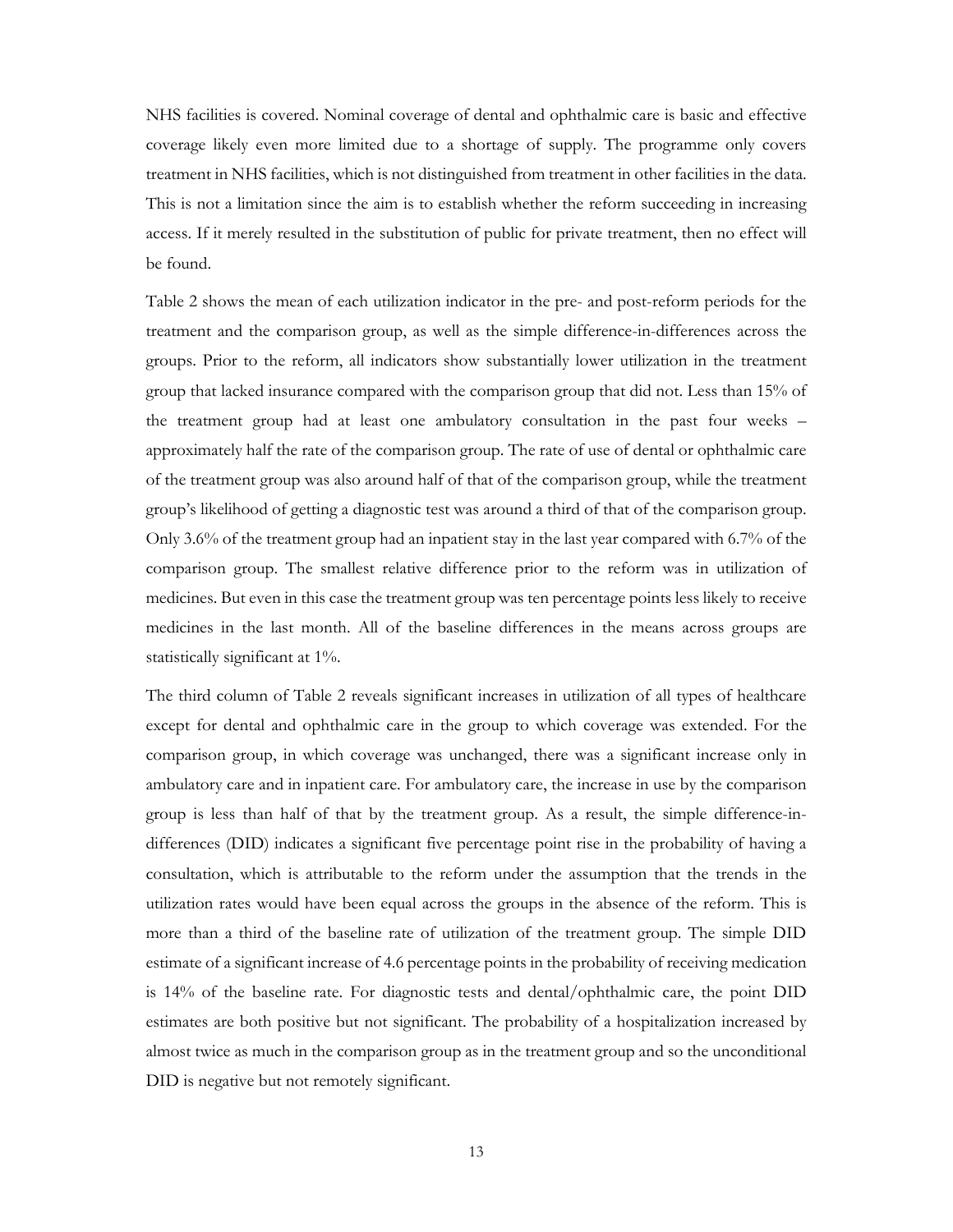NHS facilities is covered. Nominal coverage of dental and ophthalmic care is basic and effective coverage likely even more limited due to a shortage of supply. The programme only covers treatment in NHS facilities, which is not distinguished from treatment in other facilities in the data. This is not a limitation since the aim is to establish whether the reform succeeding in increasing access. If it merely resulted in the substitution of public for private treatment, then no effect will be found.

Table 2 shows the mean of each utilization indicator in the pre- and post-reform periods for the treatment and the comparison group, as well as the simple difference-in-differences across the groups. Prior to the reform, all indicators show substantially lower utilization in the treatment group that lacked insurance compared with the comparison group that did not. Less than 15% of the treatment group had at least one ambulatory consultation in the past four weeks – approximately half the rate of the comparison group. The rate of use of dental or ophthalmic care of the treatment group was also around half of that of the comparison group, while the treatment group's likelihood of getting a diagnostic test was around a third of that of the comparison group. Only 3.6% of the treatment group had an inpatient stay in the last year compared with 6.7% of the comparison group. The smallest relative difference prior to the reform was in utilization of medicines. But even in this case the treatment group was ten percentage points less likely to receive medicines in the last month. All of the baseline differences in the means across groups are statistically significant at 1%.

The third column of Table 2 reveals significant increases in utilization of all types of healthcare except for dental and ophthalmic care in the group to which coverage was extended. For the comparison group, in which coverage was unchanged, there was a significant increase only in ambulatory care and in inpatient care. For ambulatory care, the increase in use by the comparison group is less than half of that by the treatment group. As a result, the simple difference-indifferences (DID) indicates a significant five percentage point rise in the probability of having a consultation, which is attributable to the reform under the assumption that the trends in the utilization rates would have been equal across the groups in the absence of the reform. This is more than a third of the baseline rate of utilization of the treatment group. The simple DID estimate of a significant increase of 4.6 percentage points in the probability of receiving medication is 14% of the baseline rate. For diagnostic tests and dental/ophthalmic care, the point DID estimates are both positive but not significant. The probability of a hospitalization increased by almost twice as much in the comparison group as in the treatment group and so the unconditional DID is negative but not remotely significant.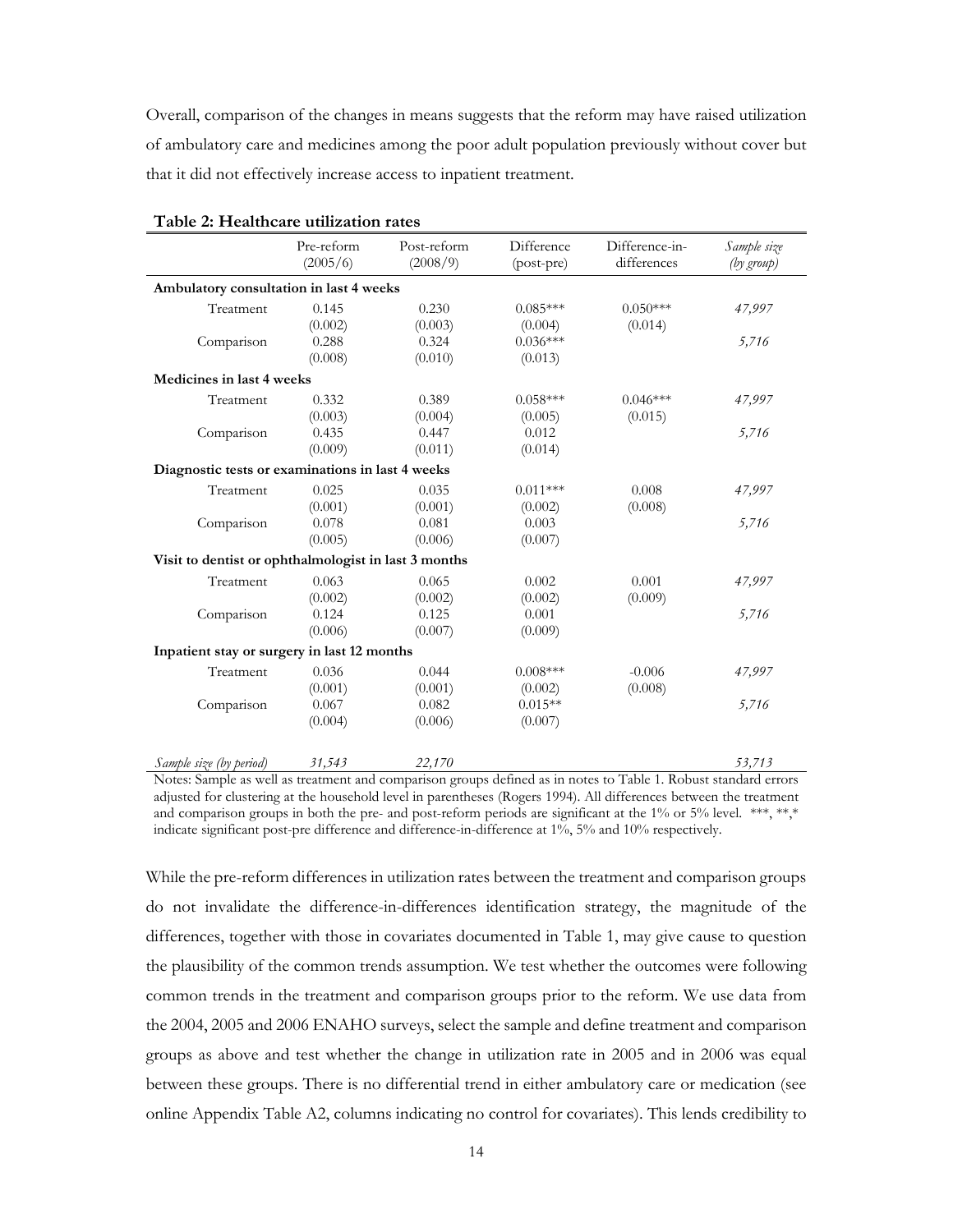Overall, comparison of the changes in means suggests that the reform may have raised utilization of ambulatory care and medicines among the poor adult population previously without cover but that it did not effectively increase access to inpatient treatment.

|                                                      | Pre-reform<br>(2005/6) | Post-reform<br>(2008/9) | Difference<br>(post-pre) | Difference-in-<br>differences | Sample size<br>(by group) |
|------------------------------------------------------|------------------------|-------------------------|--------------------------|-------------------------------|---------------------------|
| Ambulatory consultation in last 4 weeks              |                        |                         |                          |                               |                           |
| Treatment                                            | 0.145                  | 0.230                   | $0.085***$               | $0.050***$                    | 47,997                    |
|                                                      | (0.002)                | (0.003)                 | (0.004)                  | (0.014)                       |                           |
| Comparison                                           | 0.288                  | 0.324                   | $0.036***$               |                               | 5,716                     |
|                                                      | (0.008)                | (0.010)                 | (0.013)                  |                               |                           |
| Medicines in last 4 weeks                            |                        |                         |                          |                               |                           |
| Treatment                                            | 0.332                  | 0.389                   | $0.058***$               | $0.046***$                    | 47,997                    |
|                                                      | (0.003)                | (0.004)                 | (0.005)                  | (0.015)                       |                           |
| Comparison                                           | 0.435                  | 0.447                   | 0.012                    |                               | 5,716                     |
|                                                      | (0.009)                | (0.011)                 | (0.014)                  |                               |                           |
| Diagnostic tests or examinations in last 4 weeks     |                        |                         |                          |                               |                           |
| Treatment                                            | 0.025                  | 0.035                   | $0.011***$               | 0.008                         | 47,997                    |
|                                                      | (0.001)                | (0.001)                 | (0.002)                  | (0.008)                       |                           |
| Comparison                                           | 0.078                  | 0.081                   | 0.003                    |                               | 5,716                     |
|                                                      | (0.005)                | (0.006)                 | (0.007)                  |                               |                           |
| Visit to dentist or ophthalmologist in last 3 months |                        |                         |                          |                               |                           |
| Treatment                                            | 0.063                  | 0.065                   | 0.002                    | 0.001                         | 47,997                    |
|                                                      | (0.002)                | (0.002)                 | (0.002)                  | (0.009)                       |                           |
| Comparison                                           | 0.124                  | 0.125                   | 0.001                    |                               | 5,716                     |
|                                                      | (0.006)                | (0.007)                 | (0.009)                  |                               |                           |
| Inpatient stay or surgery in last 12 months          |                        |                         |                          |                               |                           |
| Treatment                                            | 0.036                  | 0.044                   | $0.008***$               | $-0.006$                      | 47,997                    |
|                                                      | (0.001)                | (0.001)                 | (0.002)                  | (0.008)                       |                           |
| Comparison                                           | 0.067                  | 0.082                   | $0.015**$                |                               | 5,716                     |
|                                                      | (0.004)                | (0.006)                 | (0.007)                  |                               |                           |
| Sample size (by period)                              | 31,543                 | 22,170                  |                          |                               | 53,713                    |

Notes: Sample as well as treatment and comparison groups defined as in notes to Table 1. Robust standard errors adjusted for clustering at the household level in parentheses (Rogers 1994). All differences between the treatment and comparison groups in both the pre- and post-reform periods are significant at the 1% or 5% level. \*\*\*, \*\*,\* indicate significant post-pre difference and difference-in-difference at 1%, 5% and 10% respectively.

While the pre-reform differences in utilization rates between the treatment and comparison groups do not invalidate the difference-in-differences identification strategy, the magnitude of the differences, together with those in covariates documented in Table 1, may give cause to question the plausibility of the common trends assumption. We test whether the outcomes were following common trends in the treatment and comparison groups prior to the reform. We use data from the 2004, 2005 and 2006 ENAHO surveys, select the sample and define treatment and comparison groups as above and test whether the change in utilization rate in 2005 and in 2006 was equal between these groups. There is no differential trend in either ambulatory care or medication (see online Appendix Table A2, columns indicating no control for covariates). This lends credibility to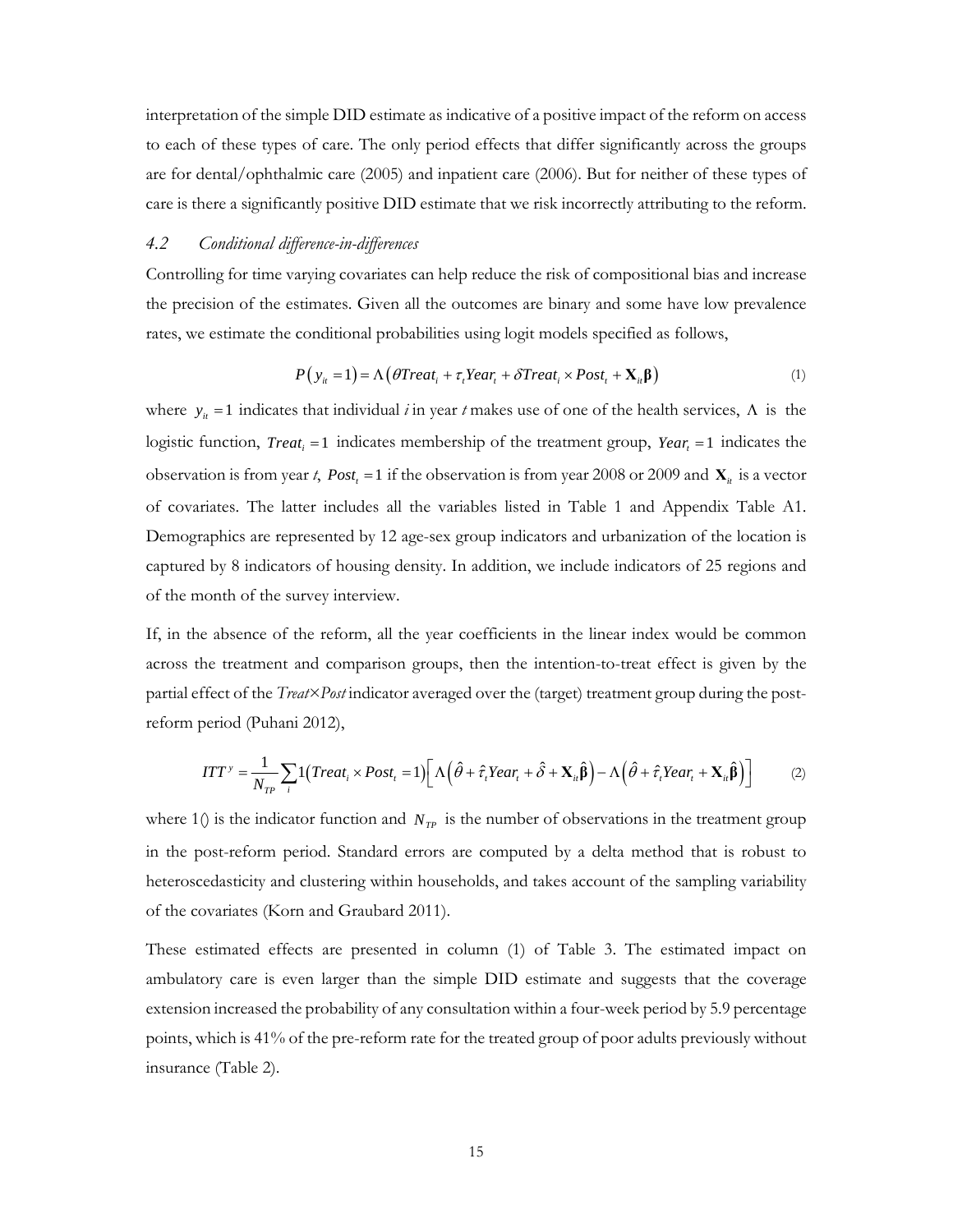interpretation of the simple DID estimate as indicative of a positive impact of the reform on access to each of these types of care. The only period effects that differ significantly across the groups are for dental/ophthalmic care (2005) and inpatient care (2006). But for neither of these types of care is there a significantly positive DID estimate that we risk incorrectly attributing to the reform.

#### *4.2 Conditional difference-in-differences*

Controlling for time varying covariates can help reduce the risk of compositional bias and increase the precision of the estimates. Given all the outcomes are binary and some have low prevalence rates, we estimate the conditional probabilities using logit models specified as follows,

$$
P(y_{it} = 1) = \Lambda \left( \theta Treat_i + \tau_t Year_t + \delta Treat_i \times Post_t + \mathbf{X}_{it} \mathbf{\beta} \right)
$$
 (1)

where  $y_{it} = 1$  indicates that individual *i* in year *t* makes use of one of the health services,  $\Lambda$  is the logistic function,  $Treat_i = 1$  indicates membership of the treatment group,  $Year_i = 1$  indicates the observation is from year *t*,  $Post<sub>t</sub> = 1$  if the observation is from year 2008 or 2009 and  $\mathbf{X}<sub>i</sub>$  is a vector of covariates. The latter includes all the variables listed in Table 1 and Appendix Table A1. Demographics are represented by 12 age-sex group indicators and urbanization of the location is captured by 8 indicators of housing density. In addition, we include indicators of 25 regions and of the month of the survey interview.

If, in the absence of the reform, all the year coefficients in the linear index would be common across the treatment and comparison groups, then the intention-to-treat effect is given by the partial effect of the *Treat×Post* indicator averaged over the (target) treatment group during the postreform period (Puhani 2012),

$$
ITT^{\gamma} = \frac{1}{N_{TP}} \sum_{i} \mathbb{1} \big( Treat_i \times Post_i = 1 \big) \bigg[ \Lambda \big( \hat{\theta} + \hat{\tau}_i Year_i + \hat{\delta} + \mathbf{X}_{ii} \hat{\beta} \big) - \Lambda \big( \hat{\theta} + \hat{\tau}_i Year_i + \mathbf{X}_{ii} \hat{\beta} \big) \bigg] \tag{2}
$$

where 1() is the indicator function and  $N_{TP}$  is the number of observations in the treatment group in the post-reform period. Standard errors are computed by a delta method that is robust to heteroscedasticity and clustering within households, and takes account of the sampling variability of the covariates (Korn and Graubard 2011).

These estimated effects are presented in column (1) of Table 3. The estimated impact on ambulatory care is even larger than the simple DID estimate and suggests that the coverage extension increased the probability of any consultation within a four-week period by 5.9 percentage points, which is 41% of the pre-reform rate for the treated group of poor adults previously without insurance (Table 2).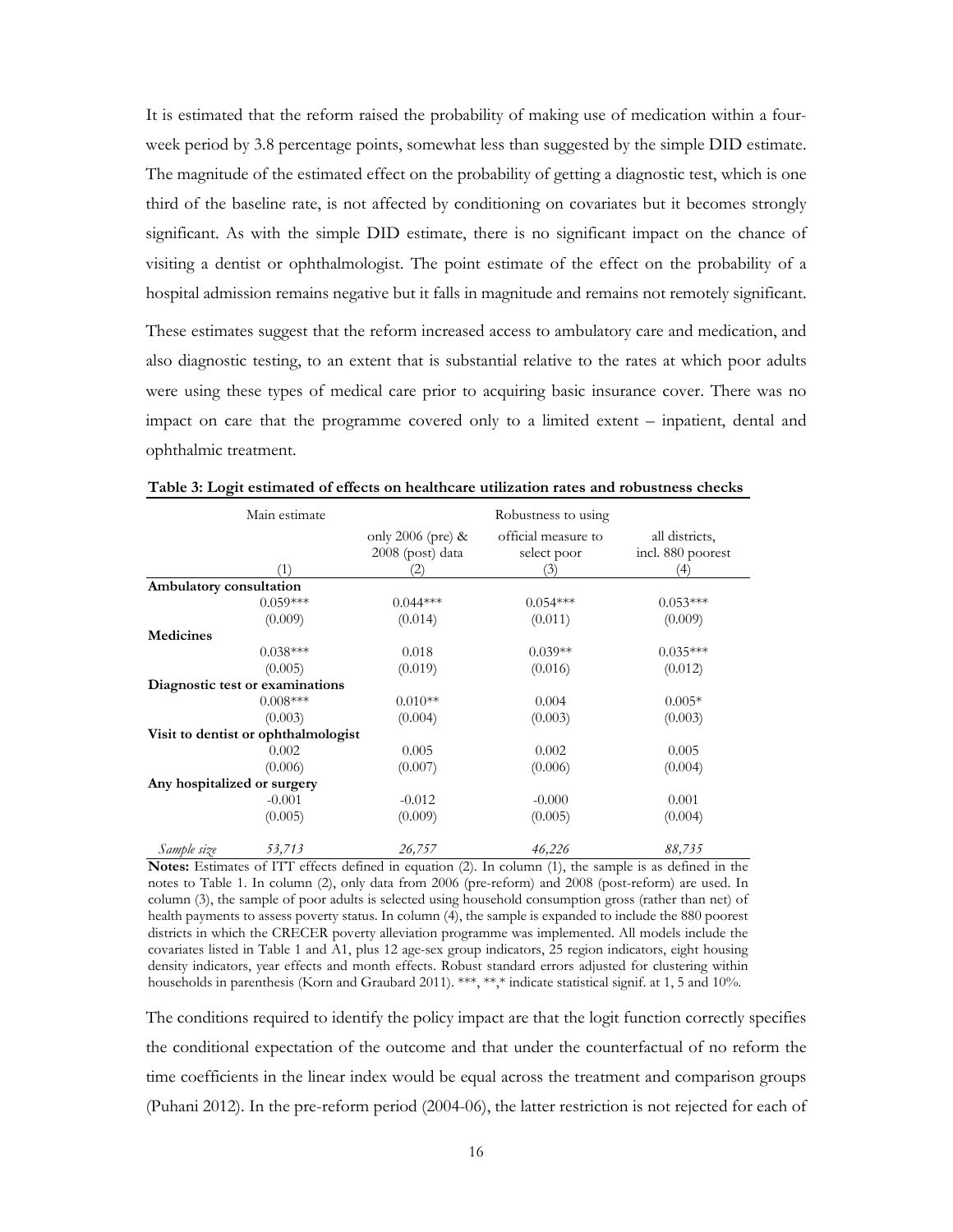It is estimated that the reform raised the probability of making use of medication within a fourweek period by 3.8 percentage points, somewhat less than suggested by the simple DID estimate. The magnitude of the estimated effect on the probability of getting a diagnostic test, which is one third of the baseline rate, is not affected by conditioning on covariates but it becomes strongly significant. As with the simple DID estimate, there is no significant impact on the chance of visiting a dentist or ophthalmologist. The point estimate of the effect on the probability of a hospital admission remains negative but it falls in magnitude and remains not remotely significant.

These estimates suggest that the reform increased access to ambulatory care and medication, and also diagnostic testing, to an extent that is substantial relative to the rates at which poor adults were using these types of medical care prior to acquiring basic insurance cover. There was no impact on care that the programme covered only to a limited extent – inpatient, dental and ophthalmic treatment.

|                             | Main estimate                       |                                                | Robustness to using                       |                                            |  |  |  |  |
|-----------------------------|-------------------------------------|------------------------------------------------|-------------------------------------------|--------------------------------------------|--|--|--|--|
|                             |                                     | only 2006 (pre) $\&$<br>2008 (post) data<br>2) | official measure to<br>select poor<br>(3) | all districts,<br>incl. 880 poorest<br>(4) |  |  |  |  |
| Ambulatory consultation     |                                     |                                                |                                           |                                            |  |  |  |  |
|                             | $0.059***$                          | $0.044***$                                     | $0.054***$                                | $0.053***$                                 |  |  |  |  |
|                             | (0.009)                             | (0.014)                                        | (0.011)                                   | (0.009)                                    |  |  |  |  |
| <b>Medicines</b>            |                                     |                                                |                                           |                                            |  |  |  |  |
|                             | $0.038***$                          | 0.018                                          | $0.039**$                                 | $0.035***$                                 |  |  |  |  |
|                             | (0.005)                             | (0.019)                                        | (0.016)                                   | (0.012)                                    |  |  |  |  |
|                             | Diagnostic test or examinations     |                                                |                                           |                                            |  |  |  |  |
|                             | $0.008***$                          | $0.010**$                                      | 0.004                                     | $0.005*$                                   |  |  |  |  |
|                             | (0.003)                             | (0.004)                                        | (0.003)                                   | (0.003)                                    |  |  |  |  |
|                             | Visit to dentist or ophthalmologist |                                                |                                           |                                            |  |  |  |  |
|                             | 0.002                               | 0.005                                          | 0.002                                     | 0.005                                      |  |  |  |  |
|                             | (0.006)                             | (0.007)                                        | (0.006)                                   | (0.004)                                    |  |  |  |  |
| Any hospitalized or surgery |                                     |                                                |                                           |                                            |  |  |  |  |
|                             | $-0.001$                            | $-0.012$                                       | $-0.000$                                  | 0.001                                      |  |  |  |  |
|                             | (0.005)                             | (0.009)                                        | (0.005)                                   | (0.004)                                    |  |  |  |  |
| Sample size                 | 53,713                              | 26,757                                         | 46,226                                    | 88,735                                     |  |  |  |  |

**Table 3: Logit estimated of effects on healthcare utilization rates and robustness checks** 

**Notes:** Estimates of ITT effects defined in equation (2). In column (1), the sample is as defined in the notes to Table 1. In column (2), only data from 2006 (pre-reform) and 2008 (post-reform) are used. In column (3), the sample of poor adults is selected using household consumption gross (rather than net) of health payments to assess poverty status. In column (4), the sample is expanded to include the 880 poorest districts in which the CRECER poverty alleviation programme was implemented. All models include the covariates listed in Table 1 and A1, plus 12 age-sex group indicators, 25 region indicators, eight housing density indicators, year effects and month effects. Robust standard errors adjusted for clustering within households in parenthesis (Korn and Graubard 2011). \*\*\*, \*\*,\* indicate statistical signif. at 1, 5 and 10%.

The conditions required to identify the policy impact are that the logit function correctly specifies the conditional expectation of the outcome and that under the counterfactual of no reform the time coefficients in the linear index would be equal across the treatment and comparison groups (Puhani 2012). In the pre-reform period (2004-06), the latter restriction is not rejected for each of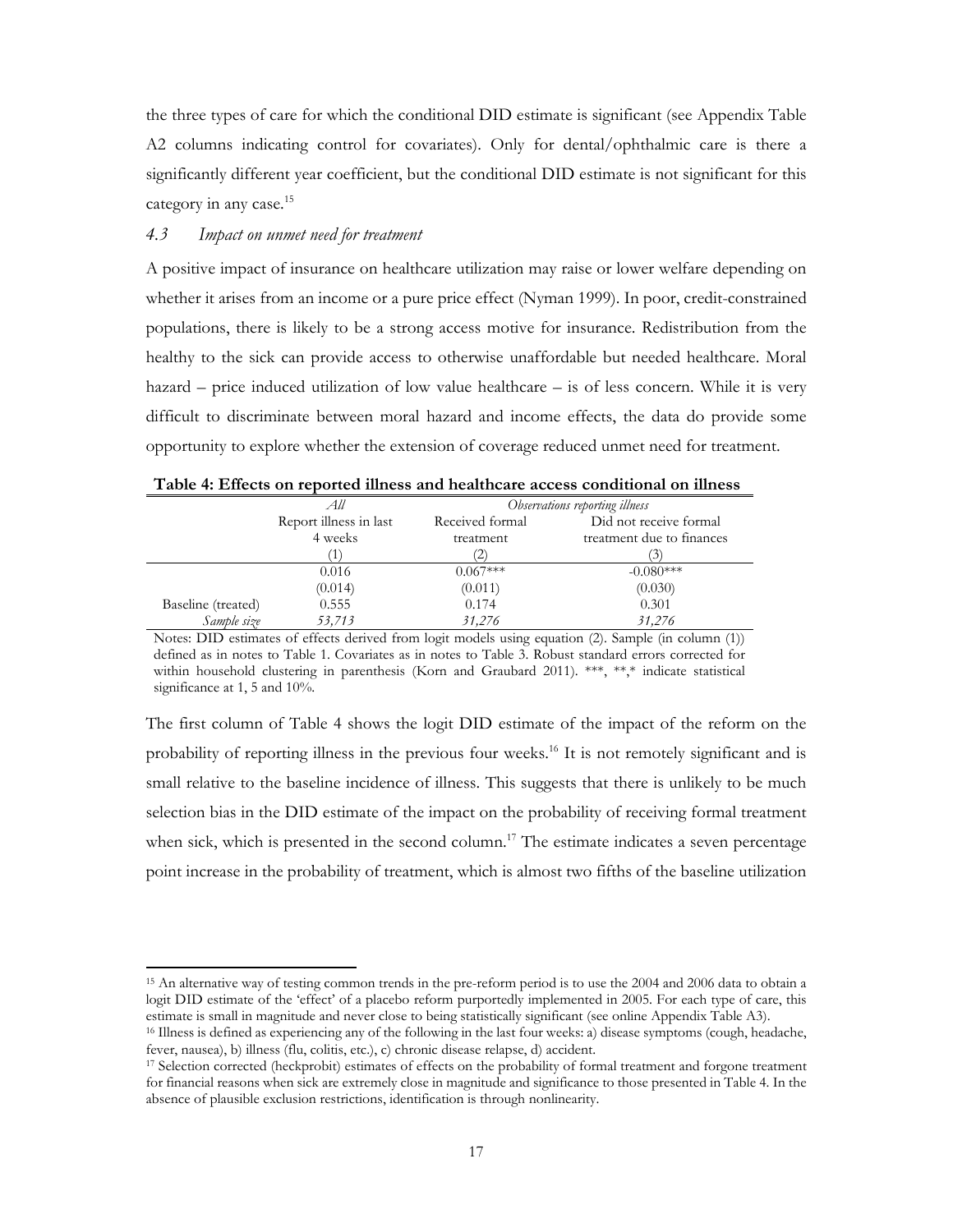the three types of care for which the conditional DID estimate is significant (see Appendix Table A2 columns indicating control for covariates). Only for dental/ophthalmic care is there a significantly different year coefficient, but the conditional DID estimate is not significant for this category in any case.<sup>15</sup>

### *4.3 Impact on unmet need for treatment*

A positive impact of insurance on healthcare utilization may raise or lower welfare depending on whether it arises from an income or a pure price effect (Nyman 1999). In poor, credit-constrained populations, there is likely to be a strong access motive for insurance. Redistribution from the healthy to the sick can provide access to otherwise unaffordable but needed healthcare. Moral hazard – price induced utilization of low value healthcare – is of less concern. While it is very difficult to discriminate between moral hazard and income effects, the data do provide some opportunity to explore whether the extension of coverage reduced unmet need for treatment.

|                    | All                    |                 | Observations reporting illness |
|--------------------|------------------------|-----------------|--------------------------------|
|                    | Report illness in last | Received formal | Did not receive formal         |
|                    | 4 weeks                | treatment       | treatment due to finances      |
|                    |                        | 2)              | $\mathcal{I}$                  |
|                    | 0.016                  | $0.067***$      | $-0.080***$                    |
|                    | (0.014)                | (0.011)         | (0.030)                        |
| Baseline (treated) | 0.555                  | 0.174           | 0.301                          |
| Sample size        | 53,713                 | 31,276          | 31,276                         |

**Table 4: Effects on reported illness and healthcare access conditional on illness** 

Notes: DID estimates of effects derived from logit models using equation (2). Sample (in column (1)) defined as in notes to Table 1. Covariates as in notes to Table 3. Robust standard errors corrected for within household clustering in parenthesis (Korn and Graubard 2011). \*\*\*, \*\*,\* indicate statistical significance at 1, 5 and 10%.

The first column of Table 4 shows the logit DID estimate of the impact of the reform on the probability of reporting illness in the previous four weeks.<sup>16</sup> It is not remotely significant and is small relative to the baseline incidence of illness. This suggests that there is unlikely to be much selection bias in the DID estimate of the impact on the probability of receiving formal treatment when sick, which is presented in the second column.<sup>17</sup> The estimate indicates a seven percentage point increase in the probability of treatment, which is almost two fifths of the baseline utilization

<sup>&</sup>lt;sup>15</sup> An alternative way of testing common trends in the pre-reform period is to use the 2004 and 2006 data to obtain a logit DID estimate of the 'effect' of a placebo reform purportedly implemented in 2005. For each type of care, this estimate is small in magnitude and never close to being statistically significant (see online Appendix Table A3).<br><sup>16</sup> Illness is defined as experiencing any of the following in the last four weeks: a) disease symptoms (co

fever, nausea), b) illness (flu, colitis, etc.), c) chronic disease relapse, d) accident. 17 Selection corrected (heckprobit) estimates of effects on the probability of formal treatment and forgone treatment

for financial reasons when sick are extremely close in magnitude and significance to those presented in Table 4. In the absence of plausible exclusion restrictions, identification is through nonlinearity.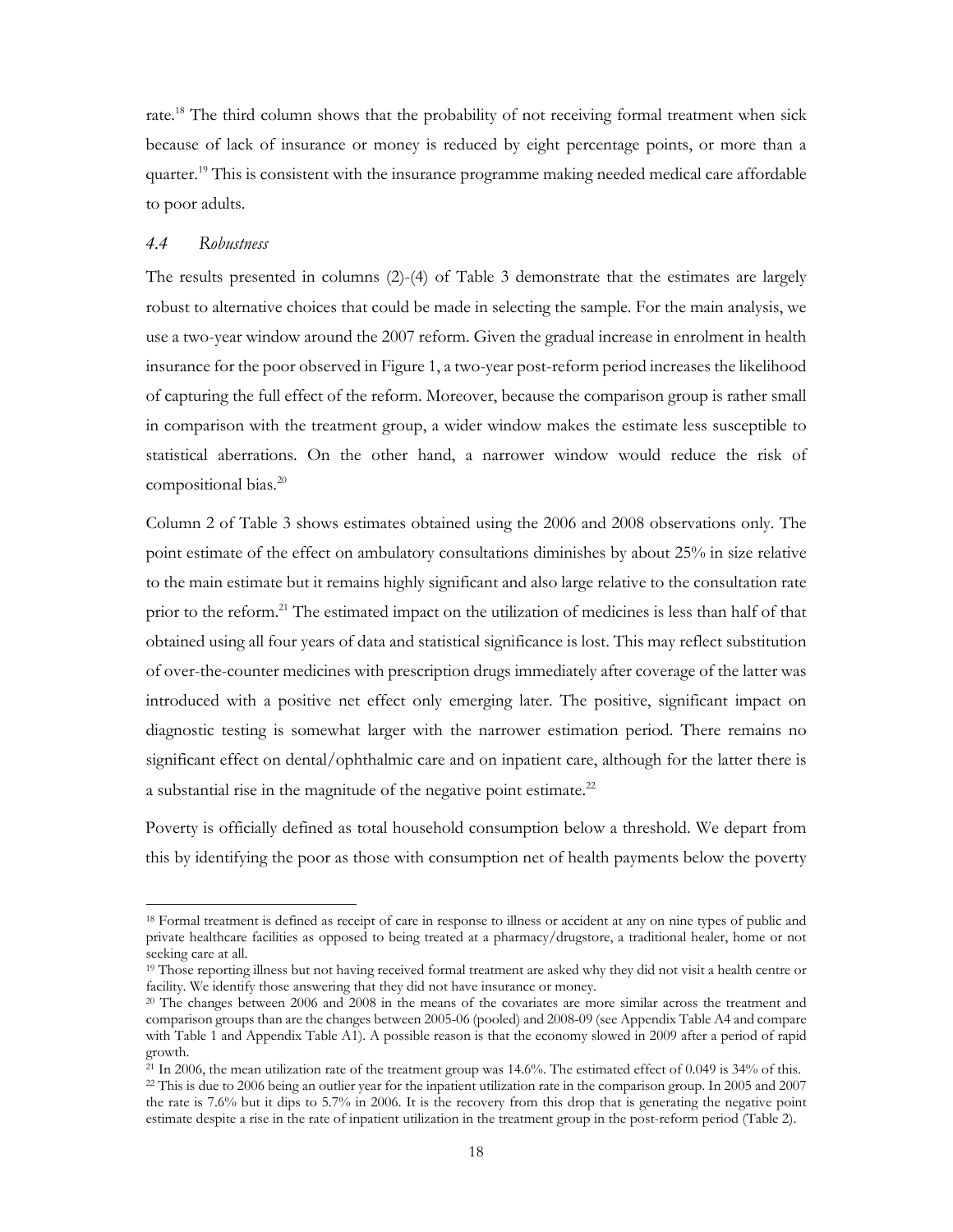rate.<sup>18</sup> The third column shows that the probability of not receiving formal treatment when sick because of lack of insurance or money is reduced by eight percentage points, or more than a quarter.<sup>19</sup> This is consistent with the insurance programme making needed medical care affordable to poor adults.

#### *4.4 Robustness*

The results presented in columns (2)-(4) of Table 3 demonstrate that the estimates are largely robust to alternative choices that could be made in selecting the sample. For the main analysis, we use a two-year window around the 2007 reform. Given the gradual increase in enrolment in health insurance for the poor observed in Figure 1, a two-year post-reform period increases the likelihood of capturing the full effect of the reform. Moreover, because the comparison group is rather small in comparison with the treatment group, a wider window makes the estimate less susceptible to statistical aberrations. On the other hand, a narrower window would reduce the risk of compositional bias.20

Column 2 of Table 3 shows estimates obtained using the 2006 and 2008 observations only. The point estimate of the effect on ambulatory consultations diminishes by about 25% in size relative to the main estimate but it remains highly significant and also large relative to the consultation rate prior to the reform.<sup>21</sup> The estimated impact on the utilization of medicines is less than half of that obtained using all four years of data and statistical significance is lost. This may reflect substitution of over-the-counter medicines with prescription drugs immediately after coverage of the latter was introduced with a positive net effect only emerging later. The positive, significant impact on diagnostic testing is somewhat larger with the narrower estimation period. There remains no significant effect on dental/ophthalmic care and on inpatient care, although for the latter there is a substantial rise in the magnitude of the negative point estimate.<sup>22</sup>

Poverty is officially defined as total household consumption below a threshold. We depart from this by identifying the poor as those with consumption net of health payments below the poverty

<sup>18</sup> Formal treatment is defined as receipt of care in response to illness or accident at any on nine types of public and private healthcare facilities as opposed to being treated at a pharmacy/drugstore, a traditional healer, home or not seeking care at all.

<sup>&</sup>lt;sup>19</sup> Those reporting illness but not having received formal treatment are asked why they did not visit a health centre or facility. We identify those answering that they did not have insurance or money.

<sup>&</sup>lt;sup>20</sup> The changes between 2006 and 2008 in the means of the covariates are more similar across the treatment and comparison groups than are the changes between 2005-06 (pooled) and 2008-09 (see Appendix Table A4 and compare with Table 1 and Appendix Table A1). A possible reason is that the economy slowed in 2009 after a period of rapid growth.

 $^{21}$  In 2006, the mean utilization rate of the treatment group was 14.6%. The estimated effect of 0.049 is 34% of this.<br><sup>22</sup> This is due to 2006 being an outlier year for the inpatient utilization rate in the comparison the rate is 7.6% but it dips to 5.7% in 2006. It is the recovery from this drop that is generating the negative point estimate despite a rise in the rate of inpatient utilization in the treatment group in the post-reform period (Table 2).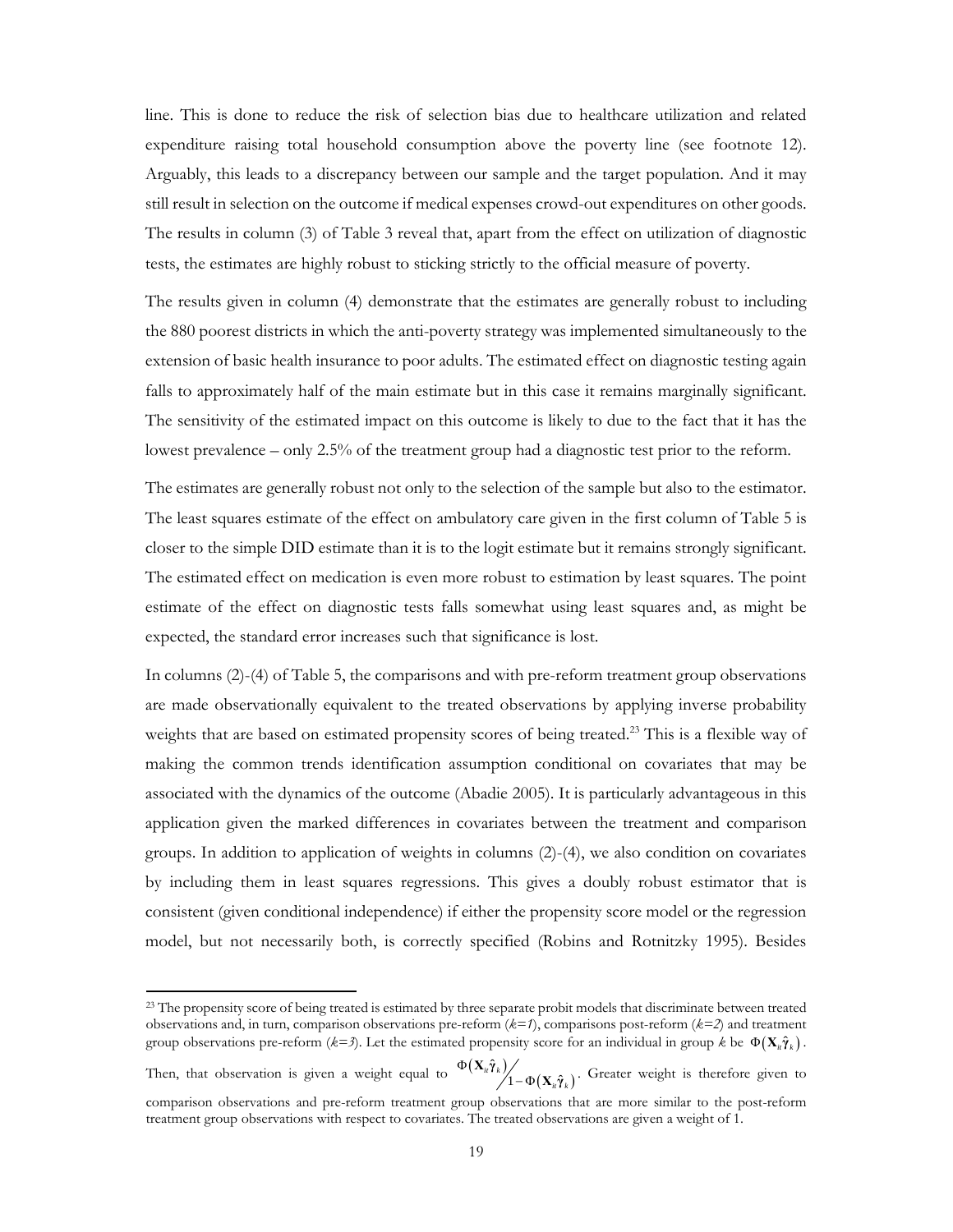line. This is done to reduce the risk of selection bias due to healthcare utilization and related expenditure raising total household consumption above the poverty line (see footnote 12). Arguably, this leads to a discrepancy between our sample and the target population. And it may still result in selection on the outcome if medical expenses crowd-out expenditures on other goods. The results in column (3) of Table 3 reveal that, apart from the effect on utilization of diagnostic tests, the estimates are highly robust to sticking strictly to the official measure of poverty.

The results given in column (4) demonstrate that the estimates are generally robust to including the 880 poorest districts in which the anti-poverty strategy was implemented simultaneously to the extension of basic health insurance to poor adults. The estimated effect on diagnostic testing again falls to approximately half of the main estimate but in this case it remains marginally significant. The sensitivity of the estimated impact on this outcome is likely to due to the fact that it has the lowest prevalence – only 2.5% of the treatment group had a diagnostic test prior to the reform.

The estimates are generally robust not only to the selection of the sample but also to the estimator. The least squares estimate of the effect on ambulatory care given in the first column of Table 5 is closer to the simple DID estimate than it is to the logit estimate but it remains strongly significant. The estimated effect on medication is even more robust to estimation by least squares. The point estimate of the effect on diagnostic tests falls somewhat using least squares and, as might be expected, the standard error increases such that significance is lost.

In columns (2)-(4) of Table 5, the comparisons and with pre-reform treatment group observations are made observationally equivalent to the treated observations by applying inverse probability weights that are based on estimated propensity scores of being treated.<sup>23</sup> This is a flexible way of making the common trends identification assumption conditional on covariates that may be associated with the dynamics of the outcome (Abadie 2005). It is particularly advantageous in this application given the marked differences in covariates between the treatment and comparison groups. In addition to application of weights in columns (2)-(4), we also condition on covariates by including them in least squares regressions. This gives a doubly robust estimator that is consistent (given conditional independence) if either the propensity score model or the regression model, but not necessarily both, is correctly specified (Robins and Rotnitzky 1995). Besides

<sup>&</sup>lt;sup>23</sup> The propensity score of being treated is estimated by three separate probit models that discriminate between treated observations and, in turn, comparison observations pre-reform (*k=1*), comparisons post-reform (*k=2*) and treatment group observations pre-reform ( $k=3$ ). Let the estimated propensity score for an individual in group  $k$  be  $\Phi(\mathbf{X}_i \hat{\boldsymbol{\gamma}}_k)$ . Φ

Then, that observation is given a weight equal to  $\Phi(\mathbf{X}_i \hat{\boldsymbol{\gamma}}_k)$   $\left.\left| \boldsymbol{\delta}(\mathbf{X}_i \hat{\boldsymbol{\gamma}}_k)\right|$  $-\Phi$  $\mathbf{X}_{ii} \hat{\mathbf{\gamma}}_k$   $\left\langle \frac{\hat{\mathbf{x}}_i \hat{\mathbf{\gamma}}_k}{1 - \Phi(\mathbf{X}_n \hat{\mathbf{\gamma}}_k)} \right\rangle$ . Greater weight is therefore given to comparison observations and pre-reform treatment group observations that are more similar to the post-reform treatment group observations with respect to covariates. The treated observations are given a weight of 1.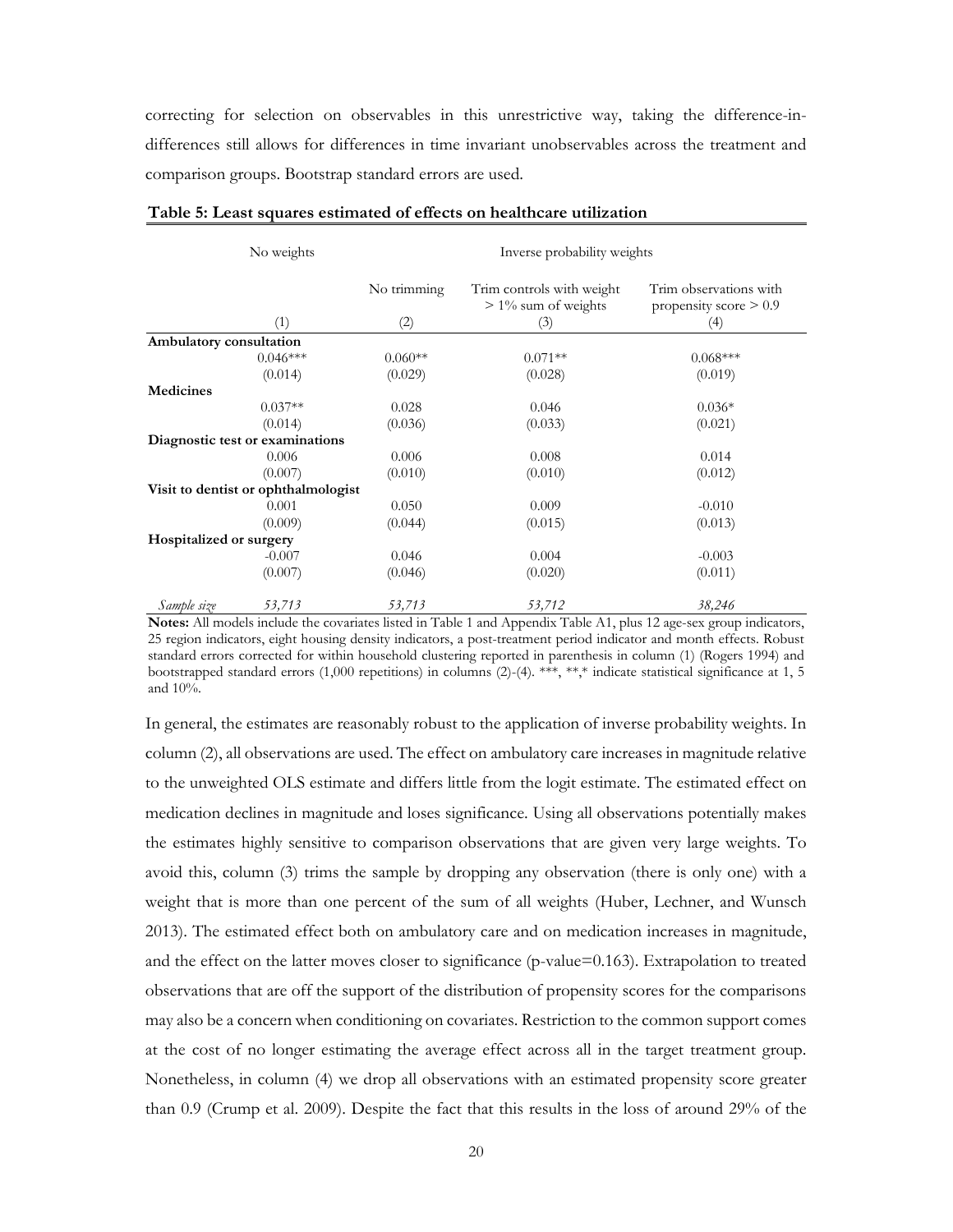correcting for selection on observables in this unrestrictive way, taking the difference-indifferences still allows for differences in time invariant unobservables across the treatment and comparison groups. Bootstrap standard errors are used.

|                         | No weights                          |             | Inverse probability weights                         |                                                    |  |  |  |  |
|-------------------------|-------------------------------------|-------------|-----------------------------------------------------|----------------------------------------------------|--|--|--|--|
|                         |                                     | No trimming | Trim controls with weight<br>$> 1\%$ sum of weights | Trim observations with<br>propensity score $> 0.9$ |  |  |  |  |
|                         | (1)                                 | (2)         | (3)                                                 | (4)                                                |  |  |  |  |
| Ambulatory consultation |                                     |             |                                                     |                                                    |  |  |  |  |
|                         | $0.046***$                          | $0.060**$   | $0.071**$                                           | $0.068***$                                         |  |  |  |  |
|                         | (0.014)                             | (0.029)     | (0.028)                                             | (0.019)                                            |  |  |  |  |
| <b>Medicines</b>        |                                     |             |                                                     |                                                    |  |  |  |  |
|                         | $0.037**$                           | 0.028       | 0.046                                               | $0.036*$                                           |  |  |  |  |
|                         | (0.014)                             | (0.036)     | (0.033)                                             | (0.021)                                            |  |  |  |  |
|                         | Diagnostic test or examinations     |             |                                                     |                                                    |  |  |  |  |
|                         | 0.006                               | 0.006       | 0.008                                               | 0.014                                              |  |  |  |  |
|                         | (0.007)                             | (0.010)     | (0.010)                                             | (0.012)                                            |  |  |  |  |
|                         | Visit to dentist or ophthalmologist |             |                                                     |                                                    |  |  |  |  |
|                         | 0.001                               | 0.050       | 0.009                                               | $-0.010$                                           |  |  |  |  |
|                         | (0.009)                             | (0.044)     | (0.015)                                             | (0.013)                                            |  |  |  |  |
| Hospitalized or surgery |                                     |             |                                                     |                                                    |  |  |  |  |
|                         | $-0.007$                            | 0.046       | 0.004                                               | $-0.003$                                           |  |  |  |  |
|                         | (0.007)                             | (0.046)     | (0.020)                                             | (0.011)                                            |  |  |  |  |
| Sample size             | 53,713                              | 53,713      | 53,712                                              | 38,246                                             |  |  |  |  |

**Table 5: Least squares estimated of effects on healthcare utilization** 

**Notes:** All models include the covariates listed in Table 1 and Appendix Table A1, plus 12 age-sex group indicators, 25 region indicators, eight housing density indicators, a post-treatment period indicator and month effects. Robust standard errors corrected for within household clustering reported in parenthesis in column (1) (Rogers 1994) and bootstrapped standard errors (1,000 repetitions) in columns (2)-(4). \*\*\*, \*\*,\* indicate statistical significance at 1, 5 and 10%.

In general, the estimates are reasonably robust to the application of inverse probability weights. In column (2), all observations are used. The effect on ambulatory care increases in magnitude relative to the unweighted OLS estimate and differs little from the logit estimate. The estimated effect on medication declines in magnitude and loses significance. Using all observations potentially makes the estimates highly sensitive to comparison observations that are given very large weights. To avoid this, column (3) trims the sample by dropping any observation (there is only one) with a weight that is more than one percent of the sum of all weights (Huber, Lechner, and Wunsch 2013). The estimated effect both on ambulatory care and on medication increases in magnitude, and the effect on the latter moves closer to significance (p-value=0.163). Extrapolation to treated observations that are off the support of the distribution of propensity scores for the comparisons may also be a concern when conditioning on covariates. Restriction to the common support comes at the cost of no longer estimating the average effect across all in the target treatment group. Nonetheless, in column (4) we drop all observations with an estimated propensity score greater than 0.9 (Crump et al. 2009). Despite the fact that this results in the loss of around 29% of the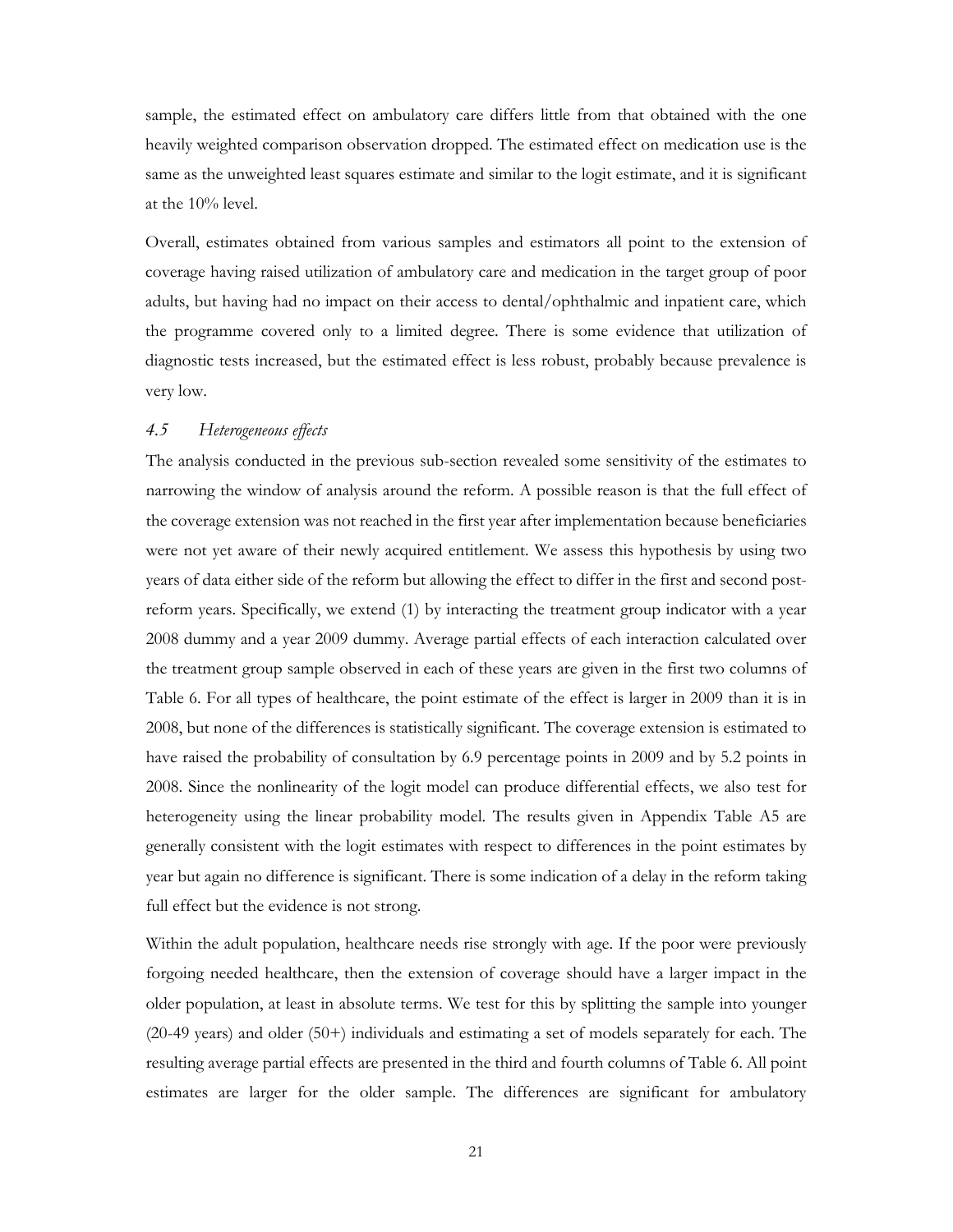sample, the estimated effect on ambulatory care differs little from that obtained with the one heavily weighted comparison observation dropped. The estimated effect on medication use is the same as the unweighted least squares estimate and similar to the logit estimate, and it is significant at the 10% level.

Overall, estimates obtained from various samples and estimators all point to the extension of coverage having raised utilization of ambulatory care and medication in the target group of poor adults, but having had no impact on their access to dental/ophthalmic and inpatient care, which the programme covered only to a limited degree. There is some evidence that utilization of diagnostic tests increased, but the estimated effect is less robust, probably because prevalence is very low.

## *4.5 Heterogeneous effects*

The analysis conducted in the previous sub-section revealed some sensitivity of the estimates to narrowing the window of analysis around the reform. A possible reason is that the full effect of the coverage extension was not reached in the first year after implementation because beneficiaries were not yet aware of their newly acquired entitlement. We assess this hypothesis by using two years of data either side of the reform but allowing the effect to differ in the first and second postreform years. Specifically, we extend (1) by interacting the treatment group indicator with a year 2008 dummy and a year 2009 dummy. Average partial effects of each interaction calculated over the treatment group sample observed in each of these years are given in the first two columns of Table 6. For all types of healthcare, the point estimate of the effect is larger in 2009 than it is in 2008, but none of the differences is statistically significant. The coverage extension is estimated to have raised the probability of consultation by 6.9 percentage points in 2009 and by 5.2 points in 2008. Since the nonlinearity of the logit model can produce differential effects, we also test for heterogeneity using the linear probability model. The results given in Appendix Table A5 are generally consistent with the logit estimates with respect to differences in the point estimates by year but again no difference is significant. There is some indication of a delay in the reform taking full effect but the evidence is not strong.

Within the adult population, healthcare needs rise strongly with age. If the poor were previously forgoing needed healthcare, then the extension of coverage should have a larger impact in the older population, at least in absolute terms. We test for this by splitting the sample into younger (20-49 years) and older (50+) individuals and estimating a set of models separately for each. The resulting average partial effects are presented in the third and fourth columns of Table 6. All point estimates are larger for the older sample. The differences are significant for ambulatory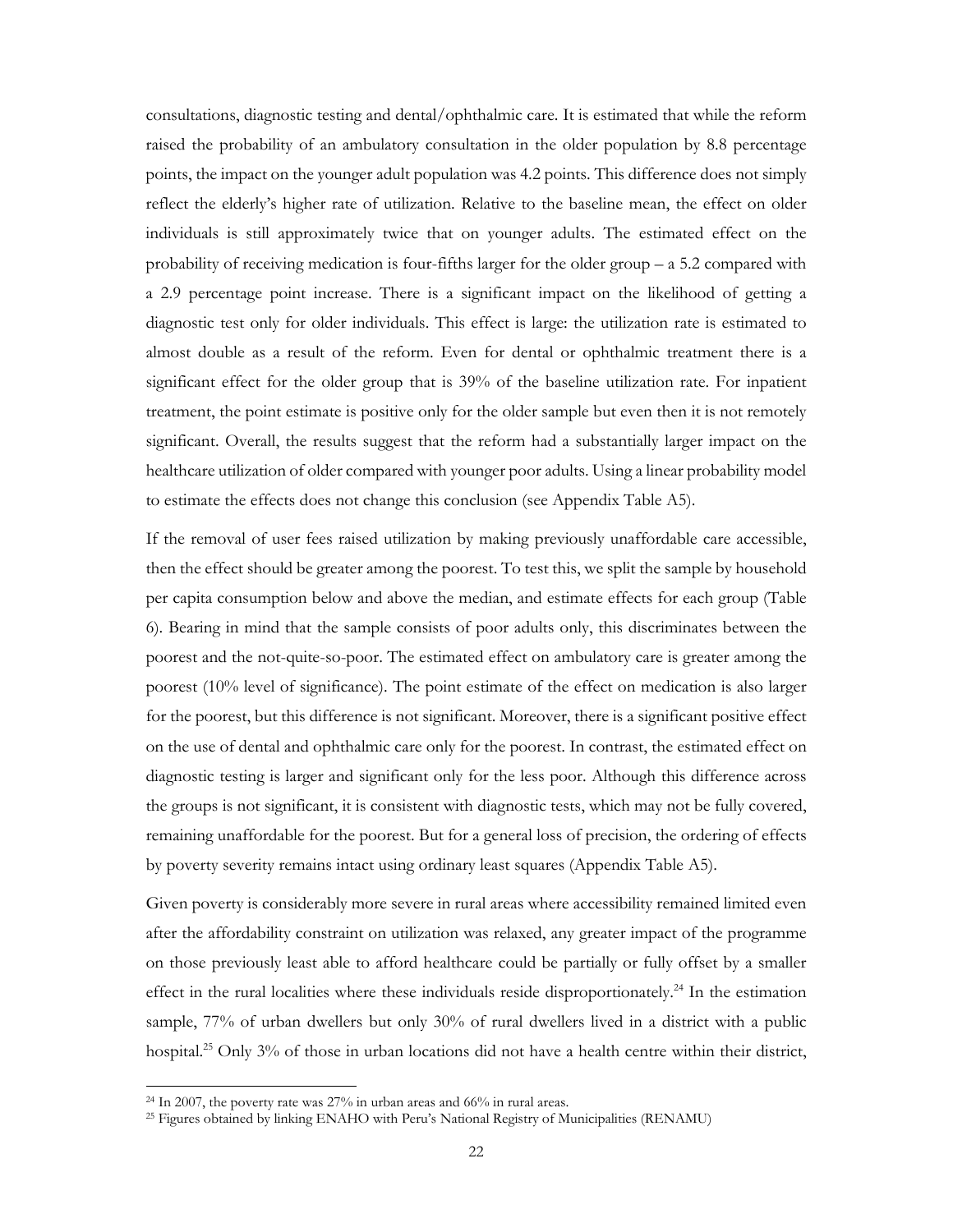consultations, diagnostic testing and dental/ophthalmic care. It is estimated that while the reform raised the probability of an ambulatory consultation in the older population by 8.8 percentage points, the impact on the younger adult population was 4.2 points. This difference does not simply reflect the elderly's higher rate of utilization. Relative to the baseline mean, the effect on older individuals is still approximately twice that on younger adults. The estimated effect on the probability of receiving medication is four-fifths larger for the older group – a 5.2 compared with a 2.9 percentage point increase. There is a significant impact on the likelihood of getting a diagnostic test only for older individuals. This effect is large: the utilization rate is estimated to almost double as a result of the reform. Even for dental or ophthalmic treatment there is a significant effect for the older group that is 39% of the baseline utilization rate. For inpatient treatment, the point estimate is positive only for the older sample but even then it is not remotely significant. Overall, the results suggest that the reform had a substantially larger impact on the healthcare utilization of older compared with younger poor adults. Using a linear probability model to estimate the effects does not change this conclusion (see Appendix Table A5).

If the removal of user fees raised utilization by making previously unaffordable care accessible, then the effect should be greater among the poorest. To test this, we split the sample by household per capita consumption below and above the median, and estimate effects for each group (Table 6). Bearing in mind that the sample consists of poor adults only, this discriminates between the poorest and the not-quite-so-poor. The estimated effect on ambulatory care is greater among the poorest (10% level of significance). The point estimate of the effect on medication is also larger for the poorest, but this difference is not significant. Moreover, there is a significant positive effect on the use of dental and ophthalmic care only for the poorest. In contrast, the estimated effect on diagnostic testing is larger and significant only for the less poor. Although this difference across the groups is not significant, it is consistent with diagnostic tests, which may not be fully covered, remaining unaffordable for the poorest. But for a general loss of precision, the ordering of effects by poverty severity remains intact using ordinary least squares (Appendix Table A5).

Given poverty is considerably more severe in rural areas where accessibility remained limited even after the affordability constraint on utilization was relaxed, any greater impact of the programme on those previously least able to afford healthcare could be partially or fully offset by a smaller effect in the rural localities where these individuals reside disproportionately.<sup>24</sup> In the estimation sample, 77% of urban dwellers but only 30% of rural dwellers lived in a district with a public hospital.<sup>25</sup> Only 3% of those in urban locations did not have a health centre within their district,

<sup>&</sup>lt;sup>24</sup> In 2007, the poverty rate was  $27\%$  in urban areas and 66% in rural areas.

<sup>25</sup> Figures obtained by linking ENAHO with Peru's National Registry of Municipalities (RENAMU)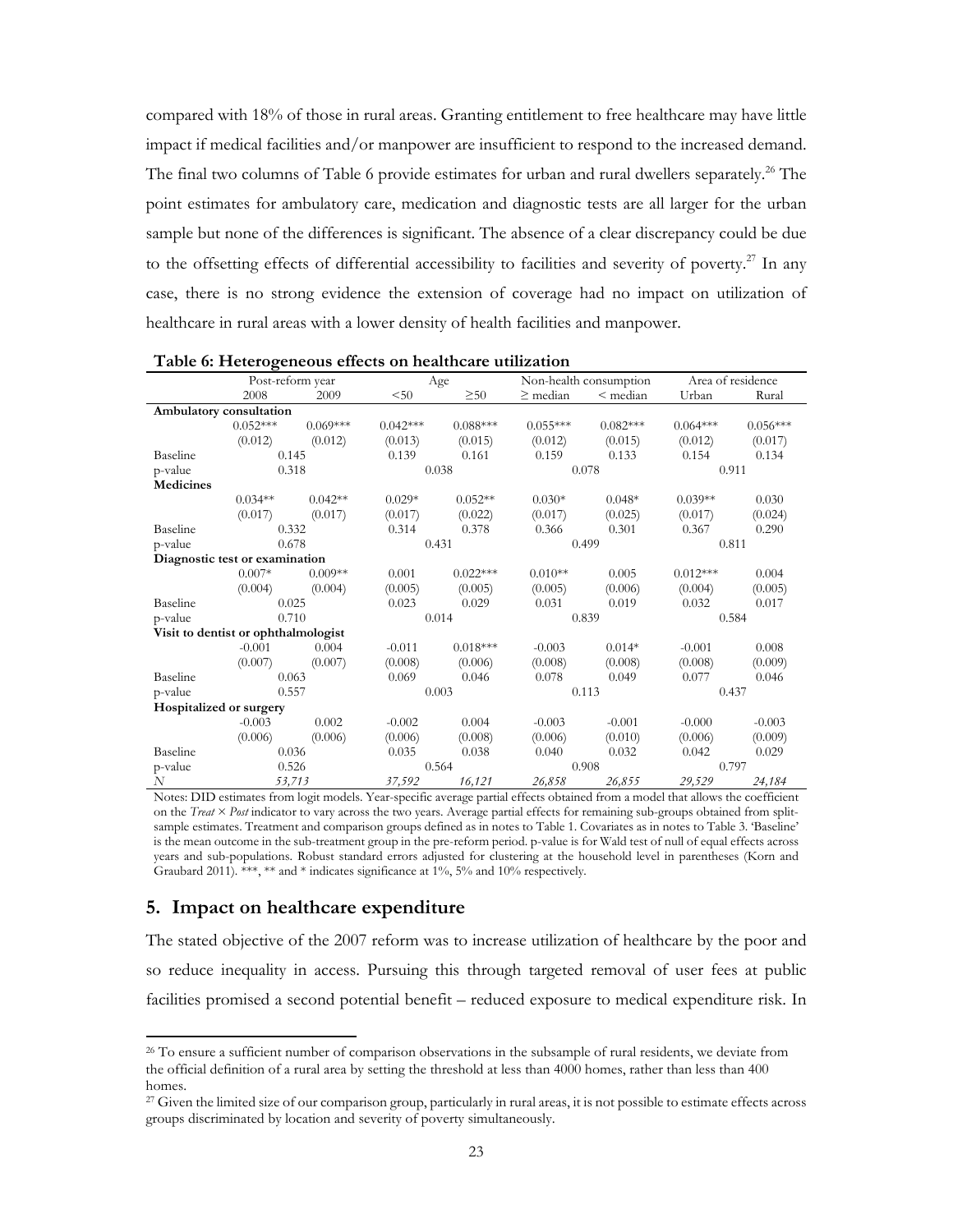compared with 18% of those in rural areas. Granting entitlement to free healthcare may have little impact if medical facilities and/or manpower are insufficient to respond to the increased demand. The final two columns of Table 6 provide estimates for urban and rural dwellers separately.<sup>26</sup> The point estimates for ambulatory care, medication and diagnostic tests are all larger for the urban sample but none of the differences is significant. The absence of a clear discrepancy could be due to the offsetting effects of differential accessibility to facilities and severity of poverty.<sup>27</sup> In any case, there is no strong evidence the extension of coverage had no impact on utilization of healthcare in rural areas with a lower density of health facilities and manpower.

|                         | o<br>Post-reform year               |            | Age        |            |               | Non-health consumption | Area of residence |            |  |
|-------------------------|-------------------------------------|------------|------------|------------|---------------|------------------------|-------------------|------------|--|
|                         | 2008                                | 2009       | $50$       | $\geq 50$  | $\geq$ median | $<$ median             | Urban             | Rural      |  |
|                         | Ambulatory consultation             |            |            |            |               |                        |                   |            |  |
|                         | $0.052***$                          | $0.069***$ | $0.042***$ | $0.088***$ | $0.055***$    | $0.082***$             | $0.064***$        | $0.056***$ |  |
|                         |                                     |            |            |            |               |                        |                   |            |  |
|                         | (0.012)                             | (0.012)    | (0.013)    | (0.015)    | (0.012)       | (0.015)                | (0.012)           | (0.017)    |  |
| Baseline                |                                     | 0.145      | 0.139      | 0.161      | 0.159         | 0.133                  | 0.154             | 0.134      |  |
| p-value                 |                                     | 0.318      |            | 0.038      |               | 0.078                  | 0.911             |            |  |
| <b>Medicines</b>        |                                     |            |            |            |               |                        |                   |            |  |
|                         | $0.034**$                           | $0.042**$  | $0.029*$   | $0.052**$  | $0.030*$      | $0.048*$               | $0.039**$         | 0.030      |  |
|                         | (0.017)                             | (0.017)    | (0.017)    | (0.022)    | (0.017)       | (0.025)                | (0.017)           | (0.024)    |  |
| Baseline                |                                     | 0.332      | 0.314      | 0.378      | 0.366         | 0.301                  | 0.367             | 0.290      |  |
| p-value                 |                                     | 0.678      |            | 0.431      |               | 0.499                  |                   | 0.811      |  |
|                         | Diagnostic test or examination      |            |            |            |               |                        |                   |            |  |
|                         | $0.007*$                            | $0.009**$  | 0.001      | $0.022***$ | $0.010**$     | 0.005                  | $0.012***$        | 0.004      |  |
|                         | (0.004)                             | (0.004)    | (0.005)    | (0.005)    | (0.005)       | (0.006)                | (0.004)           | (0.005)    |  |
| Baseline                |                                     | 0.025      | 0.023      | 0.029      | 0.031         | 0.019                  | 0.032             | 0.017      |  |
| p-value                 |                                     | 0.710      | 0.014      |            | 0.839         |                        | 0.584             |            |  |
|                         | Visit to dentist or ophthalmologist |            |            |            |               |                        |                   |            |  |
|                         | $-0.001$                            | 0.004      | $-0.011$   | $0.018***$ | $-0.003$      | $0.014*$               | $-0.001$          | 0.008      |  |
|                         | (0.007)                             | (0.007)    | (0.008)    | (0.006)    | (0.008)       | (0.008)                | (0.008)           | (0.009)    |  |
| Baseline                |                                     | 0.063      | 0.069      | 0.046      | 0.078         | 0.049                  | 0.077             | 0.046      |  |
| p-value                 |                                     | 0.557      |            | 0.003      |               | 0.113                  |                   | 0.437      |  |
| Hospitalized or surgery |                                     |            |            |            |               |                        |                   |            |  |
|                         | $-0.003$                            | 0.002      | $-0.002$   | 0.004      | $-0.003$      | $-0.001$               | $-0.000$          | $-0.003$   |  |
|                         | (0.006)                             | (0.006)    | (0.006)    | (0.008)    | (0.006)       | (0.010)                | (0.006)           | (0.009)    |  |
| Baseline                |                                     | 0.036      | 0.035      | 0.038      | 0.040         | 0.032                  | 0.042             | 0.029      |  |
| p-value                 |                                     | 0.526      |            | 0.564      |               | 0.908                  |                   | 0.797      |  |
| N                       | 53,713                              |            | 37,592     | 16,121     | 26,858        | 26,855                 | 29,529            | 24,184     |  |

**Table 6: Heterogeneous effects on healthcare utilization** 

Notes: DID estimates from logit models. Year-specific average partial effects obtained from a model that allows the coefficient on the *Treat × Post* indicator to vary across the two years. Average partial effects for remaining sub-groups obtained from splitsample estimates. Treatment and comparison groups defined as in notes to Table 1. Covariates as in notes to Table 3. 'Baseline' is the mean outcome in the sub-treatment group in the pre-reform period. p-value is for Wald test of null of equal effects across years and sub-populations. Robust standard errors adjusted for clustering at the household level in parentheses (Korn and Graubard 2011). \*\*\*, \*\* and \* indicates significance at  $1\%$ , 5% and 10% respectively.

## **5. Impact on healthcare expenditure**

The stated objective of the 2007 reform was to increase utilization of healthcare by the poor and so reduce inequality in access. Pursuing this through targeted removal of user fees at public facilities promised a second potential benefit – reduced exposure to medical expenditure risk. In

<sup>&</sup>lt;sup>26</sup> To ensure a sufficient number of comparison observations in the subsample of rural residents, we deviate from the official definition of a rural area by setting the threshold at less than 4000 homes, rather than less than 400 homes.

<sup>&</sup>lt;sup>27</sup> Given the limited size of our comparison group, particularly in rural areas, it is not possible to estimate effects across groups discriminated by location and severity of poverty simultaneously.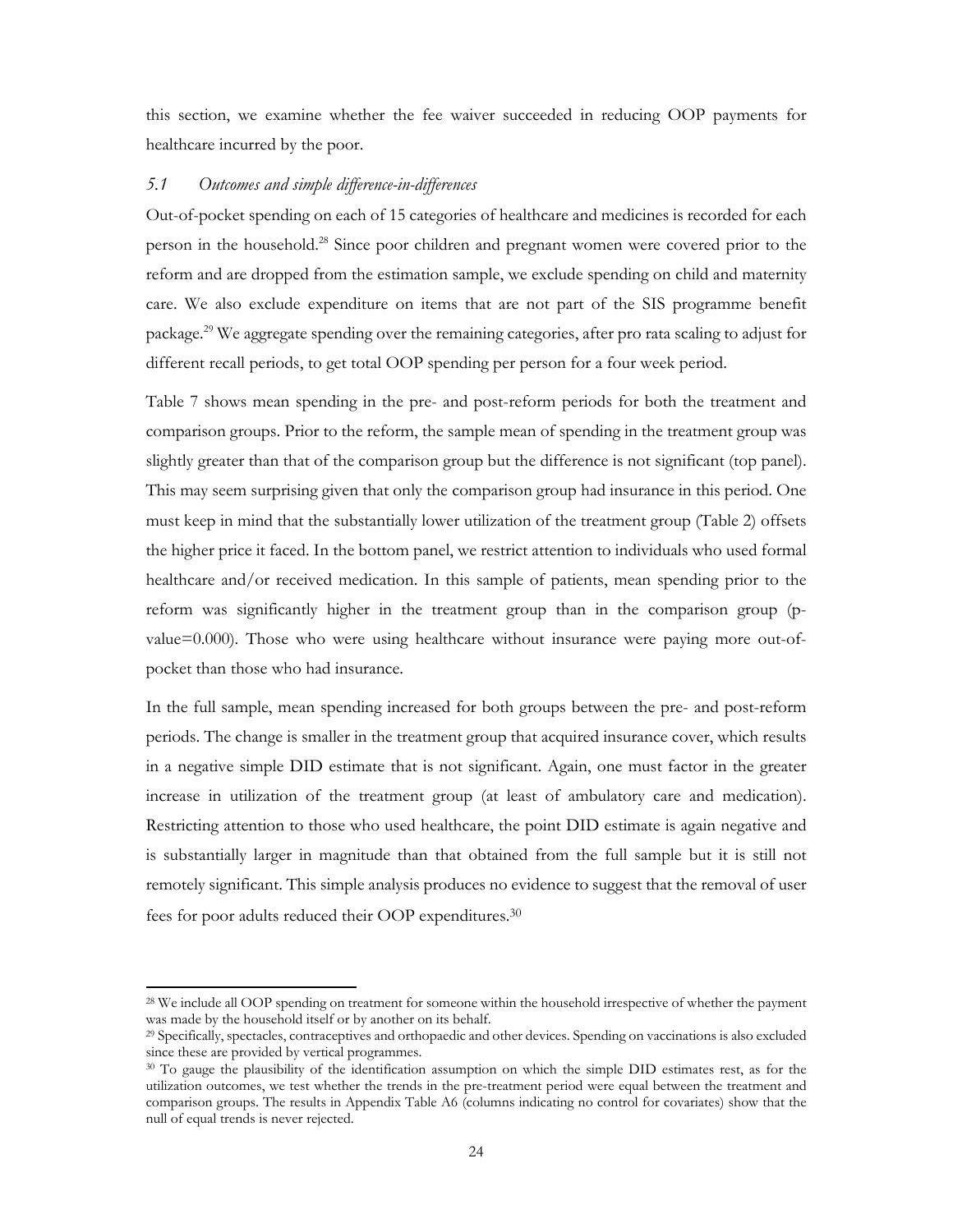this section, we examine whether the fee waiver succeeded in reducing OOP payments for healthcare incurred by the poor.

#### *5.1 Outcomes and simple difference-in-differences*

Out-of-pocket spending on each of 15 categories of healthcare and medicines is recorded for each person in the household.28 Since poor children and pregnant women were covered prior to the reform and are dropped from the estimation sample, we exclude spending on child and maternity care. We also exclude expenditure on items that are not part of the SIS programme benefit package.29 We aggregate spending over the remaining categories, after pro rata scaling to adjust for different recall periods, to get total OOP spending per person for a four week period.

Table 7 shows mean spending in the pre- and post-reform periods for both the treatment and comparison groups. Prior to the reform, the sample mean of spending in the treatment group was slightly greater than that of the comparison group but the difference is not significant (top panel). This may seem surprising given that only the comparison group had insurance in this period. One must keep in mind that the substantially lower utilization of the treatment group (Table 2) offsets the higher price it faced. In the bottom panel, we restrict attention to individuals who used formal healthcare and/or received medication. In this sample of patients, mean spending prior to the reform was significantly higher in the treatment group than in the comparison group (pvalue=0.000). Those who were using healthcare without insurance were paying more out-ofpocket than those who had insurance.

In the full sample, mean spending increased for both groups between the pre- and post-reform periods. The change is smaller in the treatment group that acquired insurance cover, which results in a negative simple DID estimate that is not significant. Again, one must factor in the greater increase in utilization of the treatment group (at least of ambulatory care and medication). Restricting attention to those who used healthcare, the point DID estimate is again negative and is substantially larger in magnitude than that obtained from the full sample but it is still not remotely significant. This simple analysis produces no evidence to suggest that the removal of user fees for poor adults reduced their OOP expenditures.30

<sup>&</sup>lt;sup>28</sup> We include all OOP spending on treatment for someone within the household irrespective of whether the payment was made by the household itself or by another on its behalf.

<sup>29</sup> Specifically, spectacles, contraceptives and orthopaedic and other devices. Spending on vaccinations is also excluded since these are provided by vertical programmes.

<sup>&</sup>lt;sup>30</sup> To gauge the plausibility of the identification assumption on which the simple DID estimates rest, as for the utilization outcomes, we test whether the trends in the pre-treatment period were equal between the treatment and comparison groups. The results in Appendix Table A6 (columns indicating no control for covariates) show that the null of equal trends is never rejected.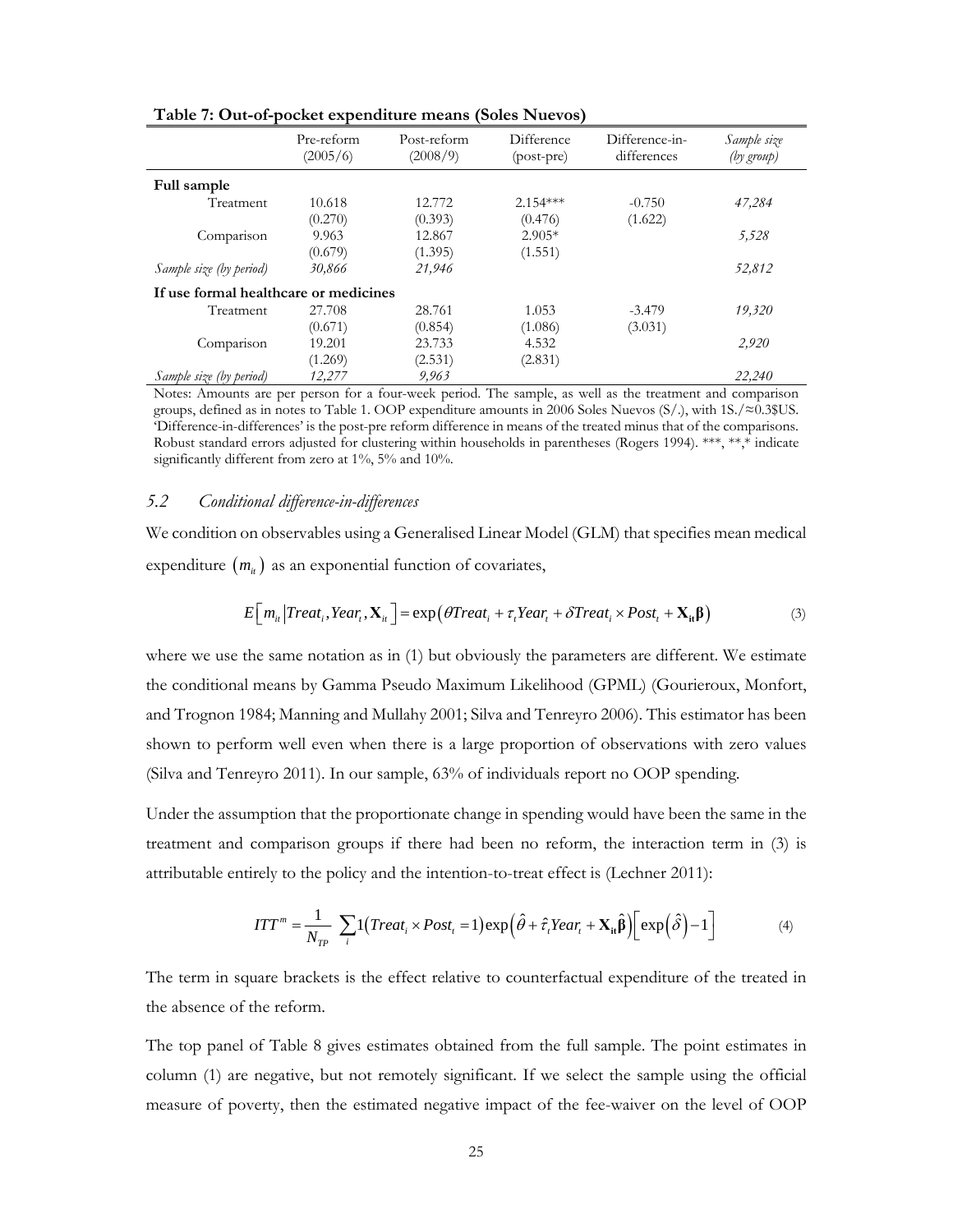|                                       | Pre-reform<br>(2005/6) | Post-reform<br>(2008/9) | Difference<br>(post-pre) | Difference-in-<br>differences | Sample size<br>(by group) |
|---------------------------------------|------------------------|-------------------------|--------------------------|-------------------------------|---------------------------|
| Full sample                           |                        |                         |                          |                               |                           |
| Treatment                             | 10.618                 | 12.772                  | $2.154***$               | $-0.750$                      | 47,284                    |
|                                       | (0.270)                | (0.393)                 | (0.476)                  | (1.622)                       |                           |
| Comparison                            | 9.963                  | 12.867                  | $2.905*$                 |                               | 5,528                     |
|                                       | (0.679)                | (1.395)                 | (1.551)                  |                               |                           |
| Sample size (by period)               | 30,866                 | 21,946                  |                          |                               | 52,812                    |
| If use formal healthcare or medicines |                        |                         |                          |                               |                           |
| Treatment                             | 27.708                 | 28.761                  | 1.053                    | $-3.479$                      | 19,320                    |
|                                       | (0.671)                | (0.854)                 | (1.086)                  | (3.031)                       |                           |
| Comparison                            | 19.201                 | 23.733                  | 4.532                    |                               | 2,920                     |
|                                       | (1.269)                | (2.531)                 | (2.831)                  |                               |                           |
| Sample size (by period)               | 12,277                 | 9,963                   |                          |                               | 22,240                    |

**Table 7: Out-of-pocket expenditure means (Soles Nuevos)**

Notes: Amounts are per person for a four-week period. The sample, as well as the treatment and comparison groups, defined as in notes to Table 1. OOP expenditure amounts in 2006 Soles Nuevos (S/.), with 1S./≈0.3\$US. 'Difference-in-differences' is the post-pre reform difference in means of the treated minus that of the comparisons. Robust standard errors adjusted for clustering within households in parentheses (Rogers 1994). \*\*\*, \*\*,\* indicate significantly different from zero at 1%, 5% and 10%.

#### *5.2 Conditional difference-in-differences*

We condition on observables using a Generalised Linear Model (GLM) that specifies mean medical expenditure  $(m_{ij})$  as an exponential function of covariates,

$$
E\Big[m_{ii}\Big|Treat_i, Year_i, \mathbf{X}_{ii}\Big] = \exp\Big(\theta Treat_i + \tau_i Year_i + \delta Treat_i \times Post_i + \mathbf{X}_{it}\mathbf{\beta}\Big) \tag{3}
$$

where we use the same notation as in (1) but obviously the parameters are different. We estimate the conditional means by Gamma Pseudo Maximum Likelihood (GPML) (Gourieroux, Monfort, and Trognon 1984; Manning and Mullahy 2001; Silva and Tenreyro 2006). This estimator has been shown to perform well even when there is a large proportion of observations with zero values (Silva and Tenreyro 2011). In our sample, 63% of individuals report no OOP spending.

Under the assumption that the proportionate change in spending would have been the same in the treatment and comparison groups if there had been no reform, the interaction term in (3) is attributable entirely to the policy and the intention-to-treat effect is (Lechner 2011):

$$
ITT^m = \frac{1}{N_{TP}} \sum_{i} \left( Treat_i \times Post_i = 1 \right) \exp \left( \hat{\theta} + \hat{\tau}_i Year_i + \mathbf{X}_{it} \hat{\beta} \right) \left[ \exp \left( \hat{\delta} \right) - 1 \right] \tag{4}
$$

The term in square brackets is the effect relative to counterfactual expenditure of the treated in the absence of the reform.

The top panel of Table 8 gives estimates obtained from the full sample. The point estimates in column (1) are negative, but not remotely significant. If we select the sample using the official measure of poverty, then the estimated negative impact of the fee-waiver on the level of OOP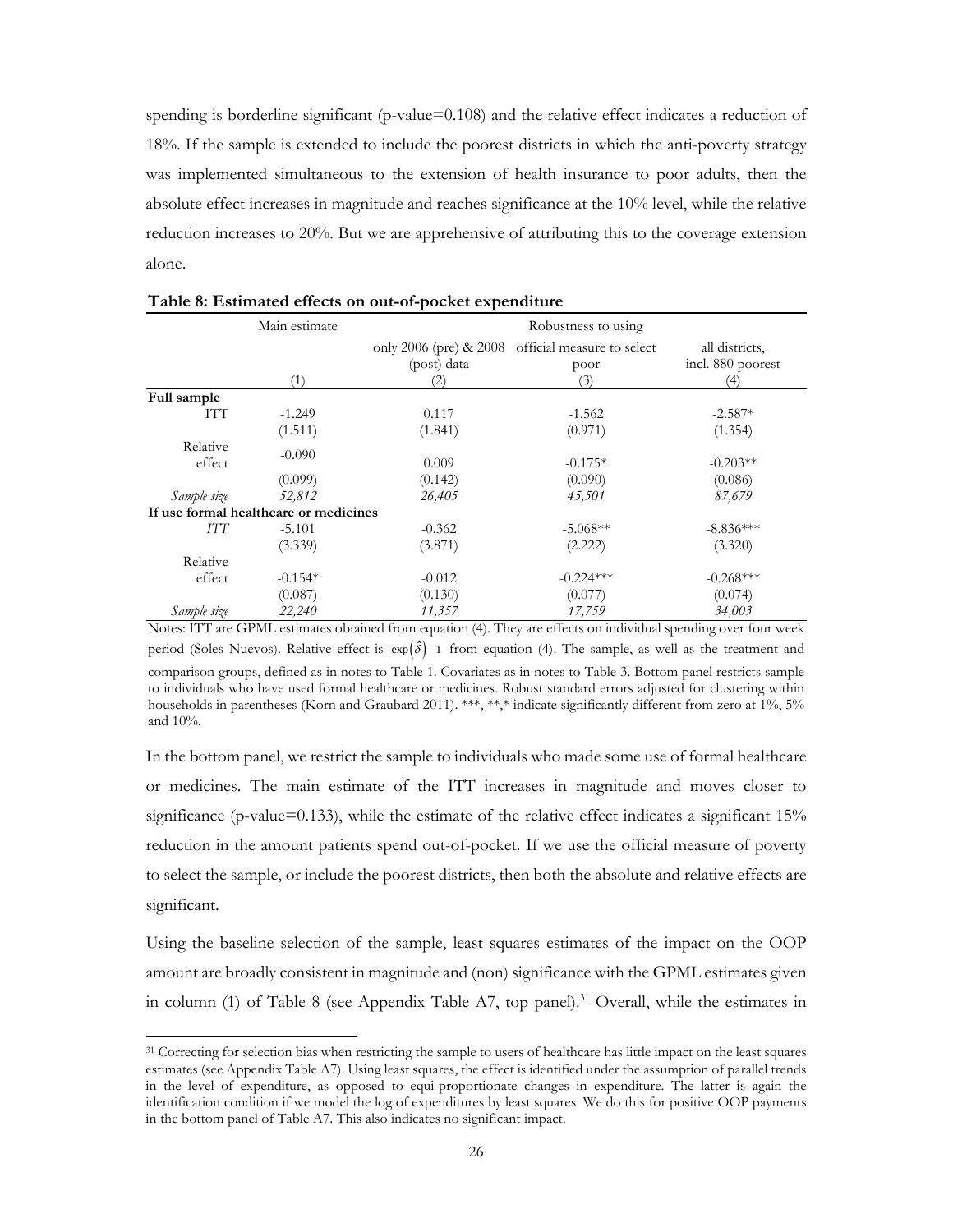spending is borderline significant (p-value=0.108) and the relative effect indicates a reduction of 18%. If the sample is extended to include the poorest districts in which the anti-poverty strategy was implemented simultaneous to the extension of health insurance to poor adults, then the absolute effect increases in magnitude and reaches significance at the 10% level, while the relative reduction increases to 20%. But we are apprehensive of attributing this to the coverage extension alone.

|                    | Main estimate                         |                  | Robustness to using                                              |                                            |  |  |  |
|--------------------|---------------------------------------|------------------|------------------------------------------------------------------|--------------------------------------------|--|--|--|
|                    | (1)                                   | (post) data<br>2 | only 2006 (pre) & 2008 official measure to select<br>poor<br>(3) | all districts,<br>incl. 880 poorest<br>(4) |  |  |  |
| Full sample        |                                       |                  |                                                                  |                                            |  |  |  |
| ΙТΤ                | $-1.249$                              | 0.117            | $-1.562$                                                         | $-2.587*$                                  |  |  |  |
|                    | (1.511)                               | (1.841)          | (0.971)                                                          | (1.354)                                    |  |  |  |
| Relative<br>effect | $-0.090$                              | 0.009            | $-0.175*$                                                        | $-0.203**$                                 |  |  |  |
|                    | (0.099)                               | (0.142)          | (0.090)                                                          | (0.086)                                    |  |  |  |
| Sample size        | 52,812                                | 26,405           | 45,501                                                           | 87,679                                     |  |  |  |
|                    | If use formal healthcare or medicines |                  |                                                                  |                                            |  |  |  |
| ITT                | $-5.101$                              | $-0.362$         | $-5.068**$                                                       | $-8.836***$                                |  |  |  |
|                    | (3.339)                               | (3.871)          | (2.222)                                                          | (3.320)                                    |  |  |  |
| Relative           |                                       |                  |                                                                  |                                            |  |  |  |
| effect             | $-0.154*$                             | $-0.012$         | $-0.224***$                                                      | $-0.268***$                                |  |  |  |
|                    | (0.087)                               | (0.130)          | (0.077)                                                          | (0.074)                                    |  |  |  |
| Sample size        | 22,240                                | 11,357           | 17,759                                                           | 34,003                                     |  |  |  |

**Table 8: Estimated effects on out-of-pocket expenditure** 

Notes: ITT are GPML estimates obtained from equation (4). They are effects on individual spending over four week period (Soles Nuevos). Relative effect is  $\exp(\hat{\delta})-1$  from equation (4). The sample, as well as the treatment and comparison groups, defined as in notes to Table 1. Covariates as in notes to Table 3. Bottom panel restricts sample to individuals who have used formal healthcare or medicines. Robust standard errors adjusted for clustering within households in parentheses (Korn and Graubard 2011). \*\*\*, \*\*,\* indicate significantly different from zero at 1%, 5% and 10%.

In the bottom panel, we restrict the sample to individuals who made some use of formal healthcare or medicines. The main estimate of the ITT increases in magnitude and moves closer to significance (p-value=0.133), while the estimate of the relative effect indicates a significant  $15\%$ reduction in the amount patients spend out-of-pocket. If we use the official measure of poverty to select the sample, or include the poorest districts, then both the absolute and relative effects are significant.

Using the baseline selection of the sample, least squares estimates of the impact on the OOP amount are broadly consistent in magnitude and (non) significance with the GPML estimates given in column (1) of Table 8 (see Appendix Table A7, top panel).<sup>31</sup> Overall, while the estimates in

<sup>&</sup>lt;sup>31</sup> Correcting for selection bias when restricting the sample to users of healthcare has little impact on the least squares estimates (see Appendix Table A7). Using least squares, the effect is identified under the assumption of parallel trends in the level of expenditure, as opposed to equi-proportionate changes in expenditure. The latter is again the identification condition if we model the log of expenditures by least squares. We do this for positive OOP payments in the bottom panel of Table A7. This also indicates no significant impact.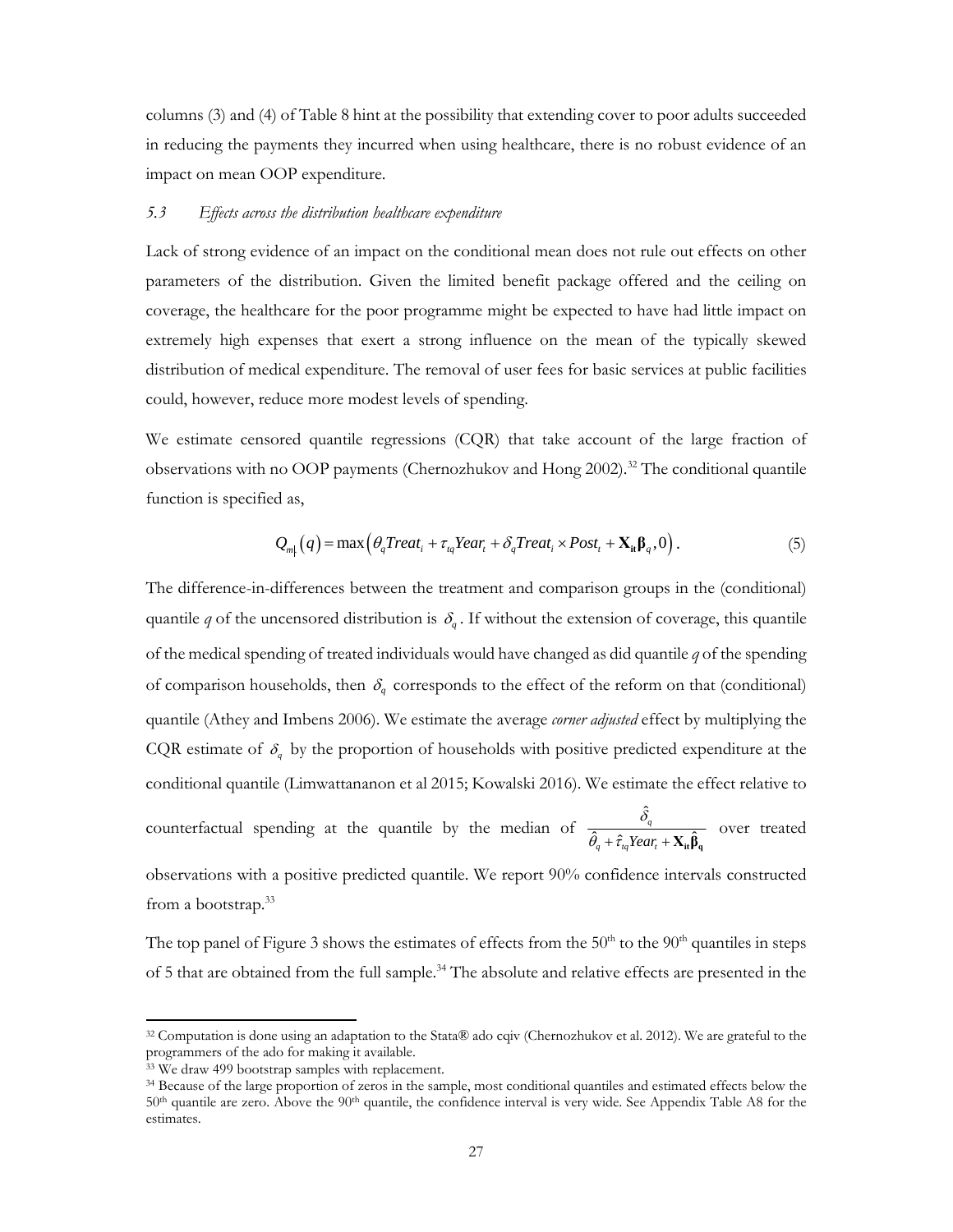columns (3) and (4) of Table 8 hint at the possibility that extending cover to poor adults succeeded in reducing the payments they incurred when using healthcare, there is no robust evidence of an impact on mean OOP expenditure.

#### *5.3 Effects across the distribution healthcare expenditure*

Lack of strong evidence of an impact on the conditional mean does not rule out effects on other parameters of the distribution. Given the limited benefit package offered and the ceiling on coverage, the healthcare for the poor programme might be expected to have had little impact on extremely high expenses that exert a strong influence on the mean of the typically skewed distribution of medical expenditure. The removal of user fees for basic services at public facilities could, however, reduce more modest levels of spending.

We estimate censored quantile regressions (CQR) that take account of the large fraction of observations with no OOP payments (Chernozhukov and Hong 2002).<sup>32</sup> The conditional quantile function is specified as,

$$
Q_{m}[(q) = \max(\theta_q Treat_i + \tau_{tq} Year_t + \delta_q Treat_i \times Post_t + \mathbf{X}_{it} \mathbf{\beta}_q, 0).
$$
 (5)

The difference-in-differences between the treatment and comparison groups in the (conditional) quantile *q* of the uncensored distribution is  $\delta_q$ . If without the extension of coverage, this quantile of the medical spending of treated individuals would have changed as did quantile *q* of the spending of comparison households, then  $\delta_q$  corresponds to the effect of the reform on that (conditional) quantile (Athey and Imbens 2006). We estimate the average *corner adjusted* effect by multiplying the CQR estimate of  $\delta_q$  by the proportion of households with positive predicted expenditure at the conditional quantile (Limwattananon et al 2015; Kowalski 2016). We estimate the effect relative to counterfactual spending at the quantile by the median of  $\frac{\hat{\delta}_q}{\hat{\theta}_q + \hat{\tau}_q \text{Year}, +\mathbf{X}_n \hat{\mathbf{\theta}}_q}$  $\hat{\tau}_q + \hat{\tau}_{tq}$ Year<sub>t</sub> δ  $\ddot{\theta}_q + \hat{\tau}_{iq}$ Year<sub>t</sub> + **X**<sub>it</sub> $\ddot{\beta}_q$  over treated observations with a positive predicted quantile. We report 90% confidence intervals constructed from a bootstrap.<sup>33</sup>

The top panel of Figure 3 shows the estimates of effects from the  $50<sup>th</sup>$  to the  $90<sup>th</sup>$  quantiles in steps of 5 that are obtained from the full sample.<sup>34</sup> The absolute and relative effects are presented in the

<sup>32</sup> Computation is done using an adaptation to the Stata® ado cqiv (Chernozhukov et al. 2012). We are grateful to the programmers of the ado for making it available.

<sup>&</sup>lt;sup>33</sup> We draw 499 bootstrap samples with replacement.

<sup>34</sup> Because of the large proportion of zeros in the sample, most conditional quantiles and estimated effects below the 50<sup>th</sup> quantile are zero. Above the 90<sup>th</sup> quantile, the confidence interval is very wide. See Appendix Table A8 for the estimates.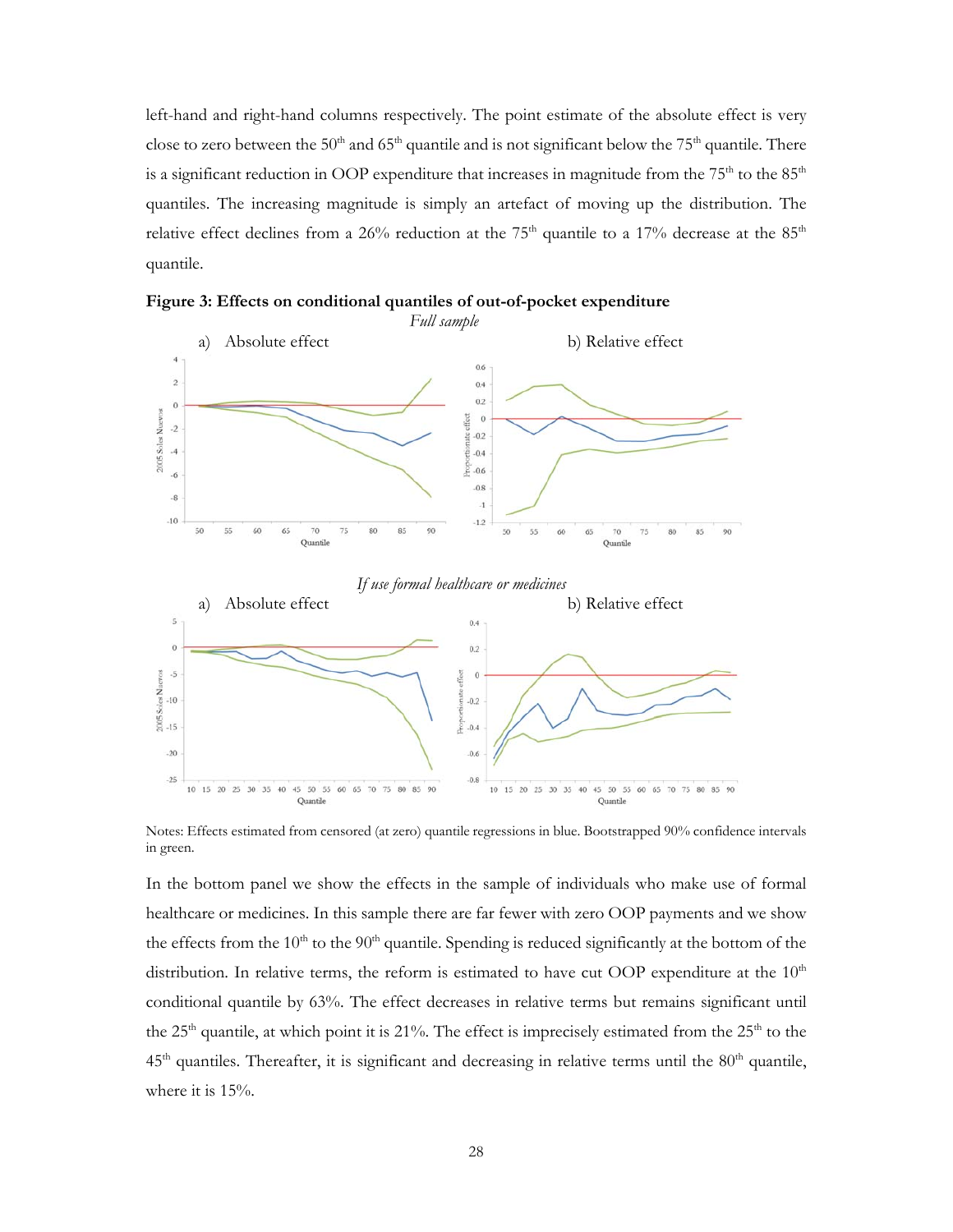left-hand and right-hand columns respectively. The point estimate of the absolute effect is very close to zero between the  $50<sup>th</sup>$  and  $65<sup>th</sup>$  quantile and is not significant below the  $75<sup>th</sup>$  quantile. There is a significant reduction in OOP expenditure that increases in magnitude from the  $75<sup>th</sup>$  to the  $85<sup>th</sup>$ quantiles. The increasing magnitude is simply an artefact of moving up the distribution. The relative effect declines from a 26% reduction at the  $75<sup>th</sup>$  quantile to a 17% decrease at the  $85<sup>th</sup>$ quantile.



**Figure 3: Effects on conditional quantiles of out-of-pocket expenditure** 



 $70$  $75$  $80$ 85

60

Oua

 $-25$ 

 $10$ 

15 20 25 35 40 45 50 55 65

 $30$ 

Notes: Effects estimated from censored (at zero) quantile regressions in blue. Bootstrapped 90% confidence intervals in green.

 $-0.8$ 

 $10\,$ 

15 20

25 35

30 40 65

70

75 80 85 90

50 55 60

45

Ouantile

In the bottom panel we show the effects in the sample of individuals who make use of formal healthcare or medicines. In this sample there are far fewer with zero OOP payments and we show the effects from the  $10<sup>th</sup>$  to the  $90<sup>th</sup>$  quantile. Spending is reduced significantly at the bottom of the distribution. In relative terms, the reform is estimated to have cut OOP expenditure at the  $10<sup>th</sup>$ conditional quantile by 63%. The effect decreases in relative terms but remains significant until the  $25<sup>th</sup>$  quantile, at which point it is 21%. The effect is imprecisely estimated from the  $25<sup>th</sup>$  to the 45<sup>th</sup> quantiles. Thereafter, it is significant and decreasing in relative terms until the 80<sup>th</sup> quantile, where it is 15%.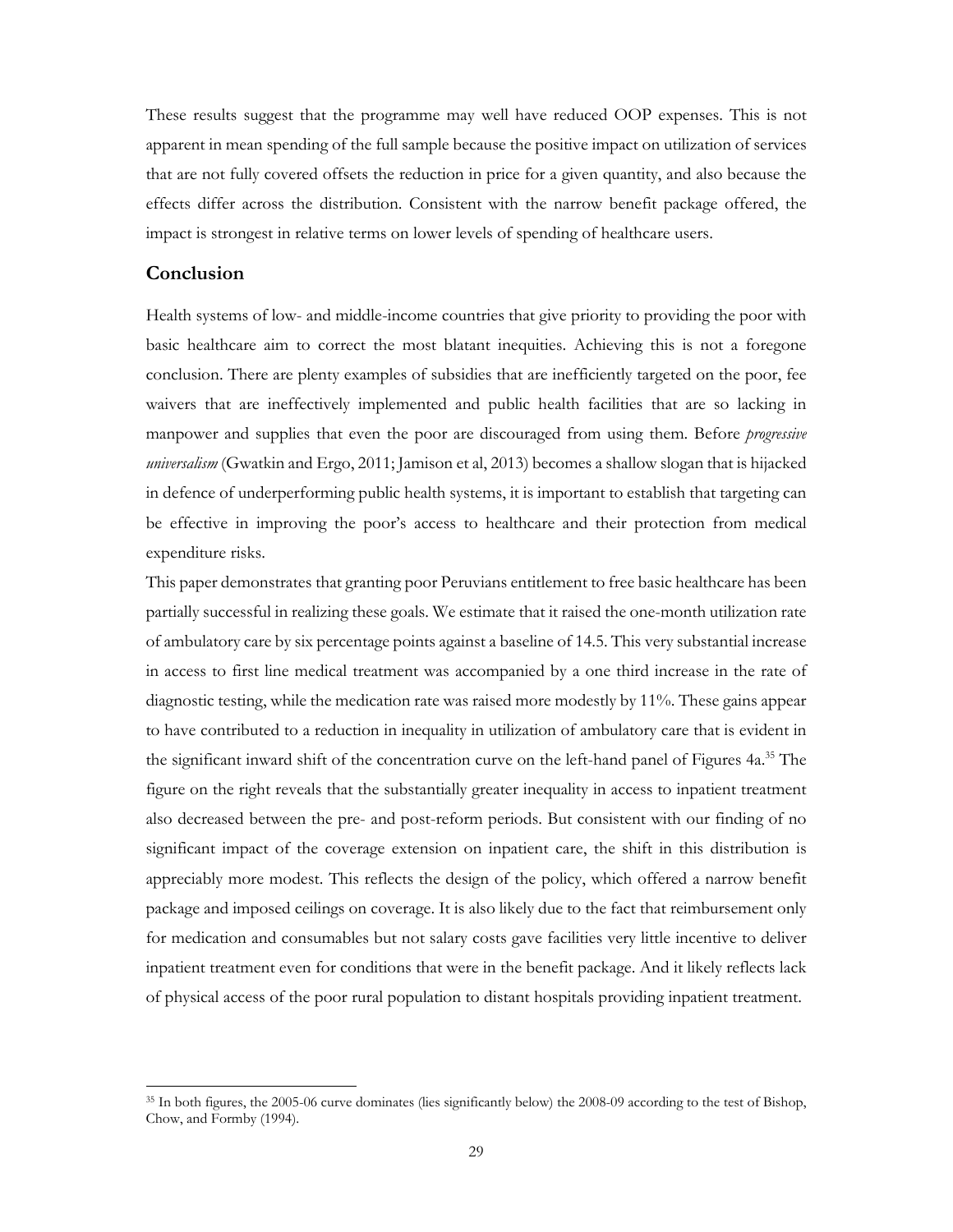These results suggest that the programme may well have reduced OOP expenses. This is not apparent in mean spending of the full sample because the positive impact on utilization of services that are not fully covered offsets the reduction in price for a given quantity, and also because the effects differ across the distribution. Consistent with the narrow benefit package offered, the impact is strongest in relative terms on lower levels of spending of healthcare users.

## **Conclusion**

Health systems of low- and middle-income countries that give priority to providing the poor with basic healthcare aim to correct the most blatant inequities. Achieving this is not a foregone conclusion. There are plenty examples of subsidies that are inefficiently targeted on the poor, fee waivers that are ineffectively implemented and public health facilities that are so lacking in manpower and supplies that even the poor are discouraged from using them. Before *progressive universalism* (Gwatkin and Ergo, 2011; Jamison et al, 2013) becomes a shallow slogan that is hijacked in defence of underperforming public health systems, it is important to establish that targeting can be effective in improving the poor's access to healthcare and their protection from medical expenditure risks.

This paper demonstrates that granting poor Peruvians entitlement to free basic healthcare has been partially successful in realizing these goals. We estimate that it raised the one-month utilization rate of ambulatory care by six percentage points against a baseline of 14.5. This very substantial increase in access to first line medical treatment was accompanied by a one third increase in the rate of diagnostic testing, while the medication rate was raised more modestly by 11%. These gains appear to have contributed to a reduction in inequality in utilization of ambulatory care that is evident in the significant inward shift of the concentration curve on the left-hand panel of Figures 4a.35 The figure on the right reveals that the substantially greater inequality in access to inpatient treatment also decreased between the pre- and post-reform periods. But consistent with our finding of no significant impact of the coverage extension on inpatient care, the shift in this distribution is appreciably more modest. This reflects the design of the policy, which offered a narrow benefit package and imposed ceilings on coverage. It is also likely due to the fact that reimbursement only for medication and consumables but not salary costs gave facilities very little incentive to deliver inpatient treatment even for conditions that were in the benefit package. And it likely reflects lack of physical access of the poor rural population to distant hospitals providing inpatient treatment.

<sup>35</sup> In both figures, the 2005-06 curve dominates (lies significantly below) the 2008-09 according to the test of Bishop, Chow, and Formby (1994).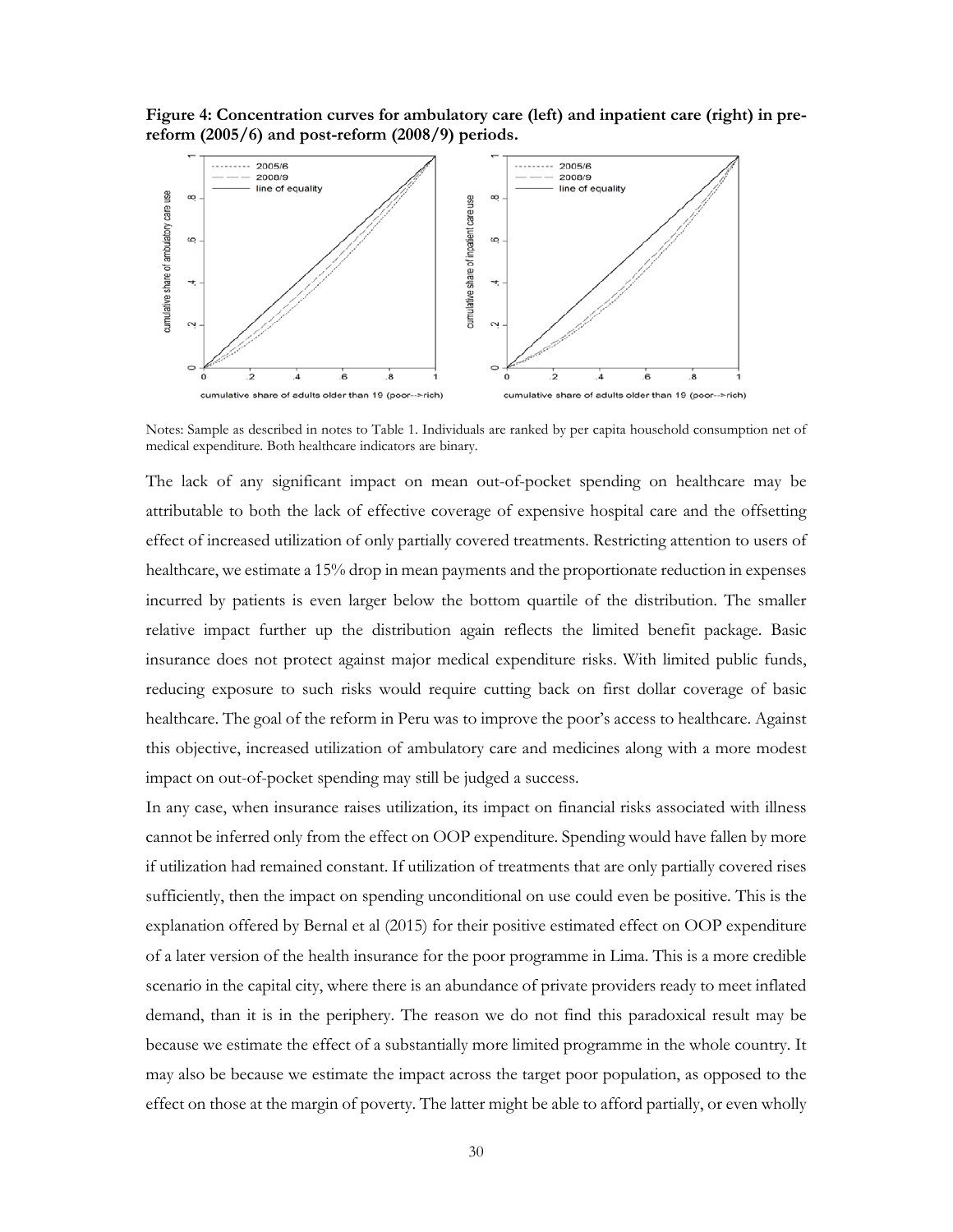**Figure 4: Concentration curves for ambulatory care (left) and inpatient care (right) in prereform (2005/6) and post-reform (2008/9) periods.** 



Notes: Sample as described in notes to Table 1. Individuals are ranked by per capita household consumption net of medical expenditure. Both healthcare indicators are binary.

The lack of any significant impact on mean out-of-pocket spending on healthcare may be attributable to both the lack of effective coverage of expensive hospital care and the offsetting effect of increased utilization of only partially covered treatments. Restricting attention to users of healthcare, we estimate a 15% drop in mean payments and the proportionate reduction in expenses incurred by patients is even larger below the bottom quartile of the distribution. The smaller relative impact further up the distribution again reflects the limited benefit package. Basic insurance does not protect against major medical expenditure risks. With limited public funds, reducing exposure to such risks would require cutting back on first dollar coverage of basic healthcare. The goal of the reform in Peru was to improve the poor's access to healthcare. Against this objective, increased utilization of ambulatory care and medicines along with a more modest impact on out-of-pocket spending may still be judged a success.

In any case, when insurance raises utilization, its impact on financial risks associated with illness cannot be inferred only from the effect on OOP expenditure. Spending would have fallen by more if utilization had remained constant. If utilization of treatments that are only partially covered rises sufficiently, then the impact on spending unconditional on use could even be positive. This is the explanation offered by Bernal et al (2015) for their positive estimated effect on OOP expenditure of a later version of the health insurance for the poor programme in Lima. This is a more credible scenario in the capital city, where there is an abundance of private providers ready to meet inflated demand, than it is in the periphery. The reason we do not find this paradoxical result may be because we estimate the effect of a substantially more limited programme in the whole country. It may also be because we estimate the impact across the target poor population, as opposed to the effect on those at the margin of poverty. The latter might be able to afford partially, or even wholly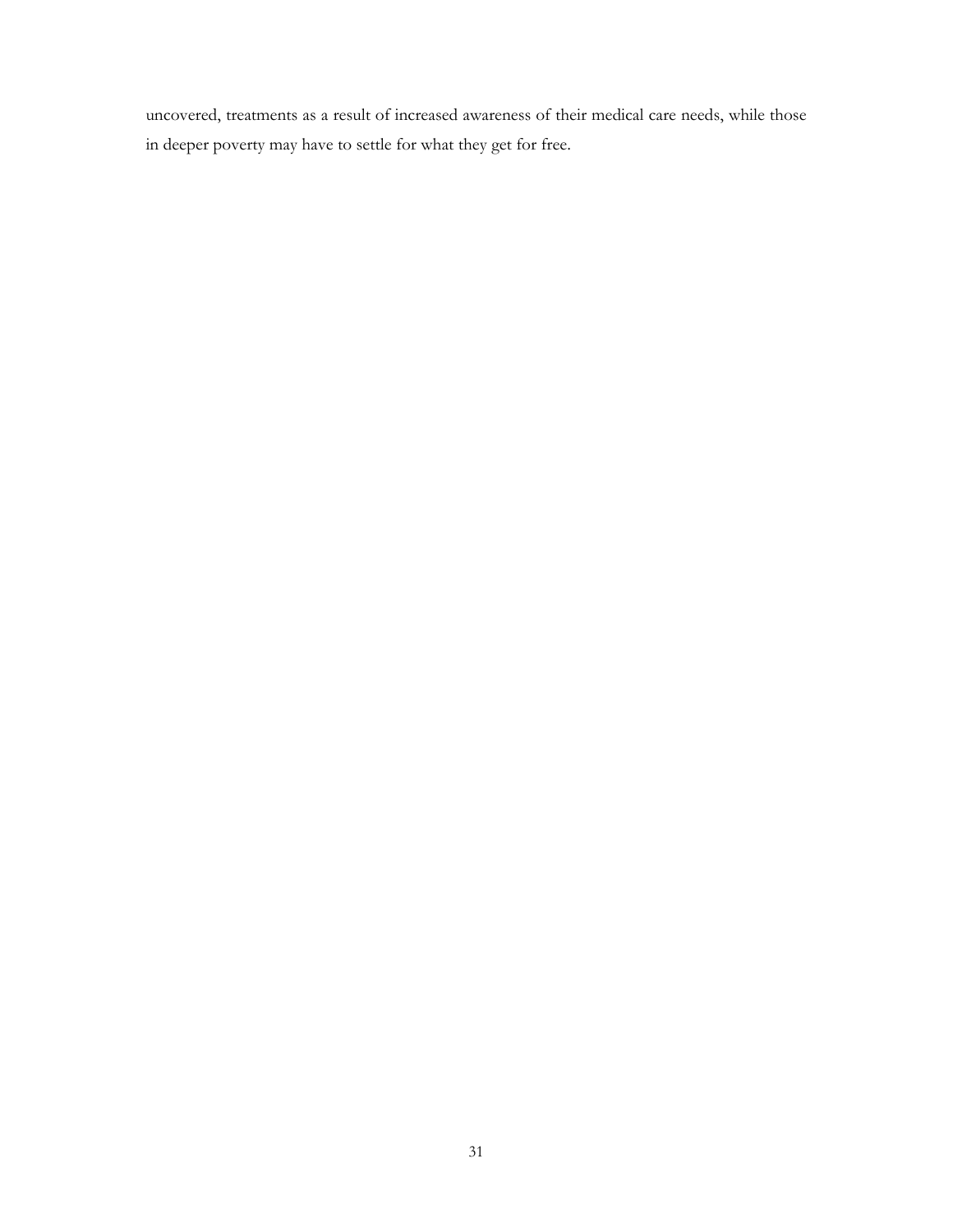uncovered, treatments as a result of increased awareness of their medical care needs, while those in deeper poverty may have to settle for what they get for free.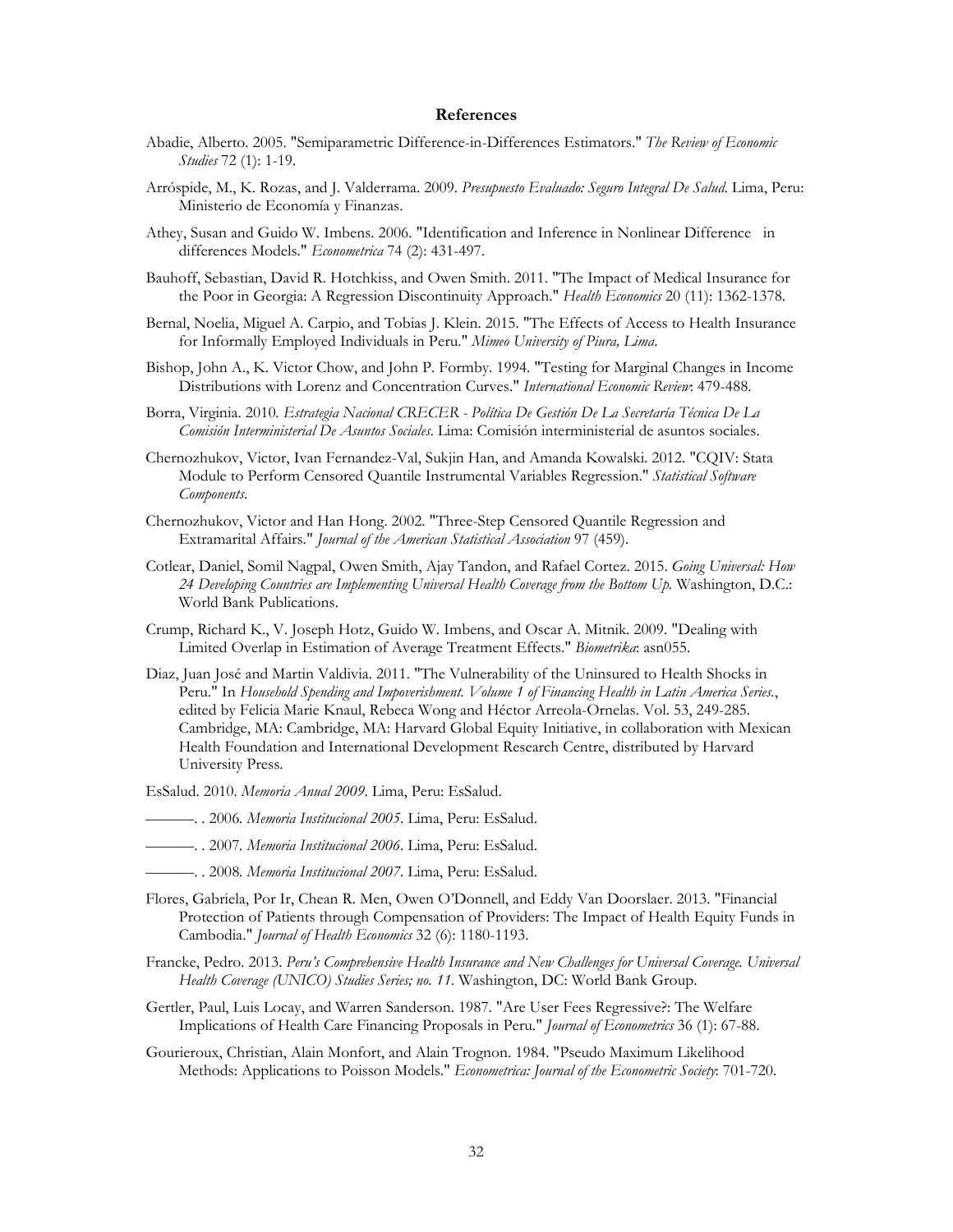#### **References**

- Abadie, Alberto. 2005. "Semiparametric Difference-in-Differences Estimators." *The Review of Economic Studies* 72 (1): 1-19.
- Arróspide, M., K. Rozas, and J. Valderrama. 2009*. Presupuesto Evaluado: Seguro Integral De Salud*. Lima, Peru: Ministerio de Economía y Finanzas.
- Athey, Susan and Guido W. Imbens. 2006. "Identification and Inference in Nonlinear Difference in differences Models." *Econometrica* 74 (2): 431-497.
- Bauhoff, Sebastian, David R. Hotchkiss, and Owen Smith. 2011. "The Impact of Medical Insurance for the Poor in Georgia: A Regression Discontinuity Approach." *Health Economics* 20 (11): 1362-1378.
- Bernal, Noelia, Miguel A. Carpio, and Tobias J. Klein. 2015. "The Effects of Access to Health Insurance for Informally Employed Individuals in Peru." *Mimeo University of Piura, Lima*.
- Bishop, John A., K. Victor Chow, and John P. Formby. 1994. "Testing for Marginal Changes in Income Distributions with Lorenz and Concentration Curves." *International Economic Review*: 479-488.
- Borra, Virginia. 2010*. Estrategia Nacional CRECER Política De Gestión De La Secretaría Técnica De La Comisión Interministerial De Asuntos Sociales*. Lima: Comisión interministerial de asuntos sociales.
- Chernozhukov, Victor, Ivan Fernandez-Val, Sukjin Han, and Amanda Kowalski. 2012. "CQIV: Stata Module to Perform Censored Quantile Instrumental Variables Regression." *Statistical Software Components*.
- Chernozhukov, Victor and Han Hong. 2002. "Three-Step Censored Quantile Regression and Extramarital Affairs." *Journal of the American Statistical Association* 97 (459).
- Cotlear, Daniel, Somil Nagpal, Owen Smith, Ajay Tandon, and Rafael Cortez. 2015. *Going Universal: How 24 Developing Countries are Implementing Universal Health Coverage from the Bottom Up.* Washington, D.C.: World Bank Publications.
- Crump, Richard K., V. Joseph Hotz, Guido W. Imbens, and Oscar A. Mitnik. 2009. "Dealing with Limited Overlap in Estimation of Average Treatment Effects." *Biometrika*: asn055.
- Diaz, Juan José and Martin Valdivia. 2011. "The Vulnerability of the Uninsured to Health Shocks in Peru." In *Household Spending and Impoverishment. Volume 1 of Financing Health in Latin America Series.*, edited by Felicia Marie Knaul, Rebeca Wong and Héctor Arreola-Ornelas. Vol. 53, 249-285. Cambridge, MA: Cambridge, MA: Harvard Global Equity Initiative, in collaboration with Mexican Health Foundation and International Development Research Centre, distributed by Harvard University Press.
- EsSalud. 2010*. Memoria Anual 2009*. Lima, Peru: EsSalud.
- ———. . 2006*. Memoria Institucional 2005*. Lima, Peru: EsSalud.
- ———. . 2007*. Memoria Institucional 2006*. Lima, Peru: EsSalud.
- ———. . 2008*. Memoria Institucional 2007*. Lima, Peru: EsSalud.
- Flores, Gabriela, Por Ir, Chean R. Men, Owen O'Donnell, and Eddy Van Doorslaer. 2013. "Financial Protection of Patients through Compensation of Providers: The Impact of Health Equity Funds in Cambodia." *Journal of Health Economics* 32 (6): 1180-1193.
- Francke, Pedro. 2013. *Peru's Comprehensive Health Insurance and New Challenges for Universal Coverage. Universal Health Coverage (UNICO) Studies Series; no. 11*. Washington, DC: World Bank Group.
- Gertler, Paul, Luis Locay, and Warren Sanderson. 1987. "Are User Fees Regressive?: The Welfare Implications of Health Care Financing Proposals in Peru." *Journal of Econometrics* 36 (1): 67-88.
- Gourieroux, Christian, Alain Monfort, and Alain Trognon. 1984. "Pseudo Maximum Likelihood Methods: Applications to Poisson Models." *Econometrica: Journal of the Econometric Society*: 701-720.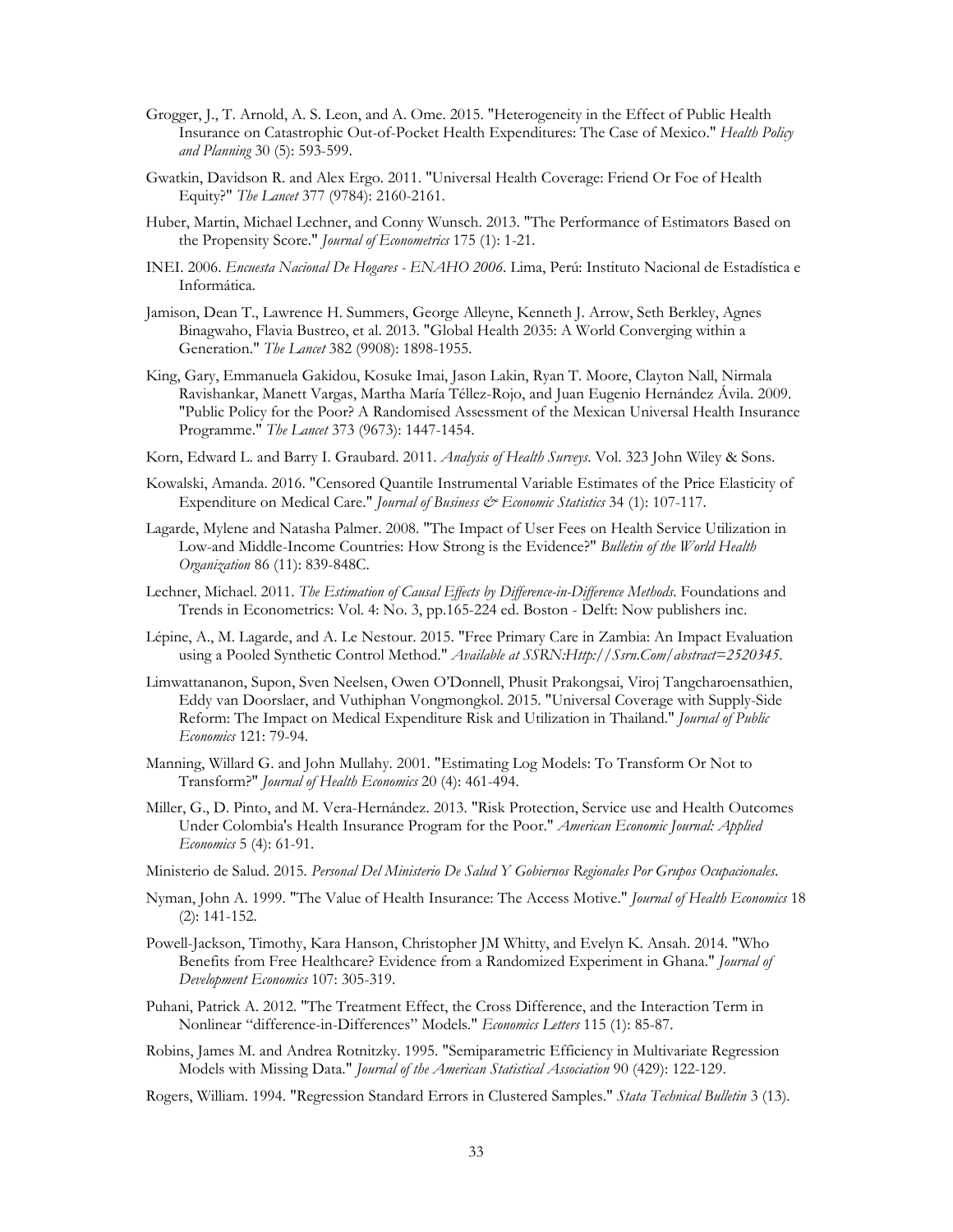- Grogger, J., T. Arnold, A. S. Leon, and A. Ome. 2015. "Heterogeneity in the Effect of Public Health Insurance on Catastrophic Out-of-Pocket Health Expenditures: The Case of Mexico." *Health Policy and Planning* 30 (5): 593-599.
- Gwatkin, Davidson R. and Alex Ergo. 2011. "Universal Health Coverage: Friend Or Foe of Health Equity?" *The Lancet* 377 (9784): 2160-2161.
- Huber, Martin, Michael Lechner, and Conny Wunsch. 2013. "The Performance of Estimators Based on the Propensity Score." *Journal of Econometrics* 175 (1): 1-21.
- INEI. 2006. *Encuesta Nacional De Hogares ENAHO 2006*. Lima, Perú: Instituto Nacional de Estadística e Informática.
- Jamison, Dean T., Lawrence H. Summers, George Alleyne, Kenneth J. Arrow, Seth Berkley, Agnes Binagwaho, Flavia Bustreo, et al. 2013. "Global Health 2035: A World Converging within a Generation." *The Lancet* 382 (9908): 1898-1955.
- King, Gary, Emmanuela Gakidou, Kosuke Imai, Jason Lakin, Ryan T. Moore, Clayton Nall, Nirmala Ravishankar, Manett Vargas, Martha María Téllez-Rojo, and Juan Eugenio Hernández Ávila. 2009. "Public Policy for the Poor? A Randomised Assessment of the Mexican Universal Health Insurance Programme." *The Lancet* 373 (9673): 1447-1454.
- Korn, Edward L. and Barry I. Graubard. 2011. *Analysis of Health Surveys*. Vol. 323 John Wiley & Sons.
- Kowalski, Amanda. 2016. "Censored Quantile Instrumental Variable Estimates of the Price Elasticity of Expenditure on Medical Care." *Journal of Business & Economic Statistics* 34 (1): 107-117.
- Lagarde, Mylene and Natasha Palmer. 2008. "The Impact of User Fees on Health Service Utilization in Low-and Middle-Income Countries: How Strong is the Evidence?" *Bulletin of the World Health Organization* 86 (11): 839-848C.
- Lechner, Michael. 2011. *The Estimation of Causal Effects by Difference-in-Difference Methods*. Foundations and Trends in Econometrics: Vol. 4: No. 3, pp.165-224 ed. Boston - Delft: Now publishers inc.
- Lépine, A., M. Lagarde, and A. Le Nestour. 2015. "Free Primary Care in Zambia: An Impact Evaluation using a Pooled Synthetic Control Method." *Available at SSRN:Http://Ssrn.Com/abstract=2520345*.
- Limwattananon, Supon, Sven Neelsen, Owen O'Donnell, Phusit Prakongsai, Viroj Tangcharoensathien, Eddy van Doorslaer, and Vuthiphan Vongmongkol. 2015. "Universal Coverage with Supply-Side Reform: The Impact on Medical Expenditure Risk and Utilization in Thailand." *Journal of Public Economics* 121: 79-94.
- Manning, Willard G. and John Mullahy. 2001. "Estimating Log Models: To Transform Or Not to Transform?" *Journal of Health Economics* 20 (4): 461-494.
- Miller, G., D. Pinto, and M. Vera-Hernández. 2013. "Risk Protection, Service use and Health Outcomes Under Colombia's Health Insurance Program for the Poor." *American Economic Journal: Applied Economics* 5 (4): 61-91.
- Ministerio de Salud. 2015*. Personal Del Ministerio De Salud Y Gobiernos Regionales Por Grupos Ocupacionales*.
- Nyman, John A. 1999. "The Value of Health Insurance: The Access Motive." *Journal of Health Economics* 18 (2): 141-152.
- Powell-Jackson, Timothy, Kara Hanson, Christopher JM Whitty, and Evelyn K. Ansah. 2014. "Who Benefits from Free Healthcare? Evidence from a Randomized Experiment in Ghana." *Journal of Development Economics* 107: 305-319.
- Puhani, Patrick A. 2012. "The Treatment Effect, the Cross Difference, and the Interaction Term in Nonlinear "difference-in-Differences" Models." *Economics Letters* 115 (1): 85-87.
- Robins, James M. and Andrea Rotnitzky. 1995. "Semiparametric Efficiency in Multivariate Regression Models with Missing Data." *Journal of the American Statistical Association* 90 (429): 122-129.
- Rogers, William. 1994. "Regression Standard Errors in Clustered Samples." *Stata Technical Bulletin* 3 (13).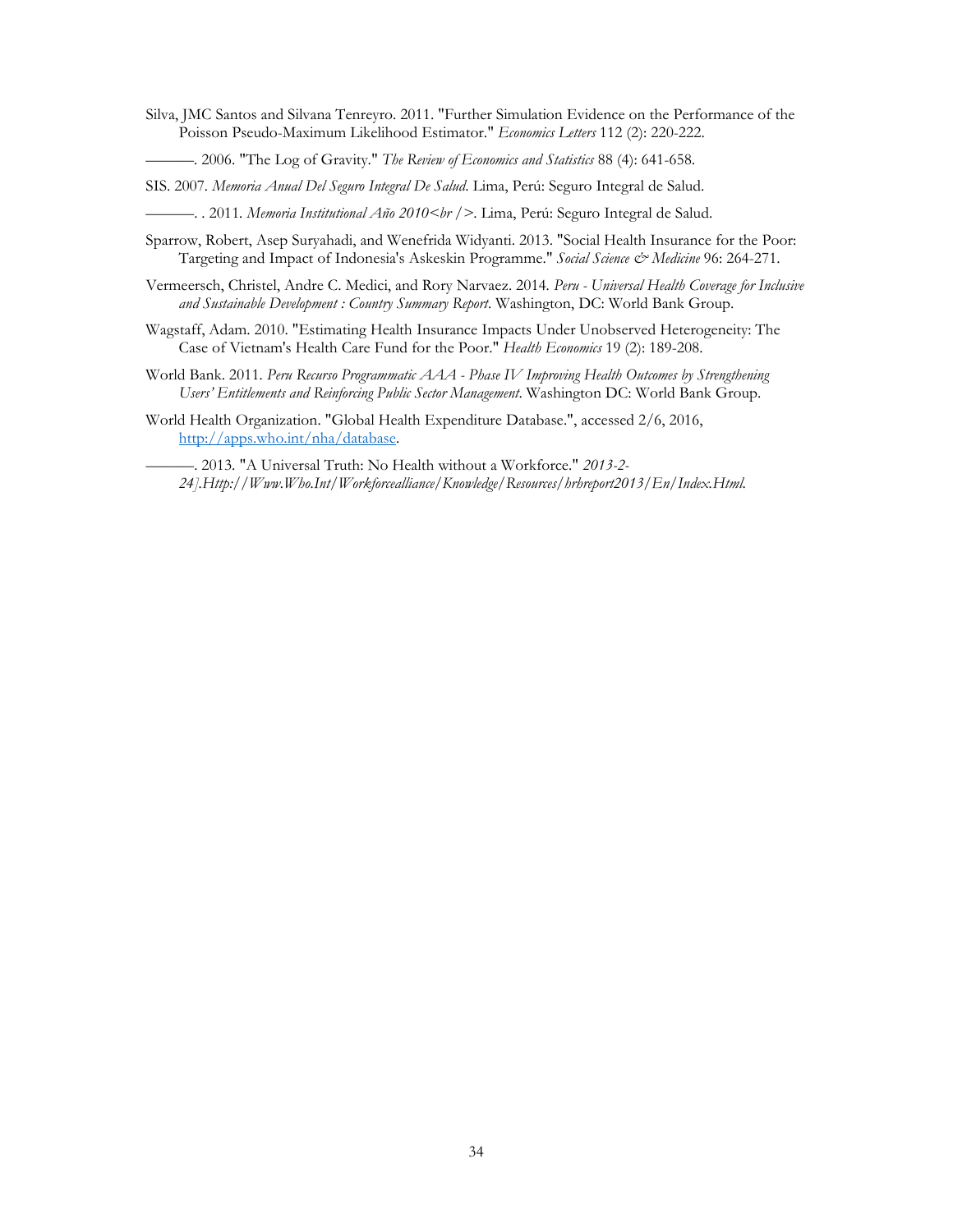- Silva, JMC Santos and Silvana Tenreyro. 2011. "Further Simulation Evidence on the Performance of the Poisson Pseudo-Maximum Likelihood Estimator." *Economics Letters* 112 (2): 220-222.
	- ———. 2006. "The Log of Gravity." *The Review of Economics and Statistics* 88 (4): 641-658.
- SIS. 2007*. Memoria Anual Del Seguro Integral De Salud*. Lima, Perú: Seguro Integral de Salud.
	- ———. . 2011*. Memoria Institutional Año 2010<br />*. Lima, Perú: Seguro Integral de Salud.
- Sparrow, Robert, Asep Suryahadi, and Wenefrida Widyanti. 2013. "Social Health Insurance for the Poor: Targeting and Impact of Indonesia's Askeskin Programme." *Social Science & Medicine* 96: 264-271.
- Vermeersch, Christel, Andre C. Medici, and Rory Narvaez. 2014*. Peru Universal Health Coverage for Inclusive and Sustainable Development : Country Summary Report*. Washington, DC: World Bank Group.
- Wagstaff, Adam. 2010. "Estimating Health Insurance Impacts Under Unobserved Heterogeneity: The Case of Vietnam's Health Care Fund for the Poor." *Health Economics* 19 (2): 189-208.
- World Bank. 2011*. Peru Recurso Programmatic AAA Phase IV Improving Health Outcomes by Strengthening Users' Entitlements and Reinforcing Public Sector Management*. Washington DC: World Bank Group.
- World Health Organization. "Global Health Expenditure Database.", accessed 2/6, 2016, http://apps.who.int/nha/database.

———. 2013. "A Universal Truth: No Health without a Workforce." *2013-2- 24].Http://Www.Who.Int/Workforcealliance/Knowledge/Resources/hrhreport2013/En/Index.Html*.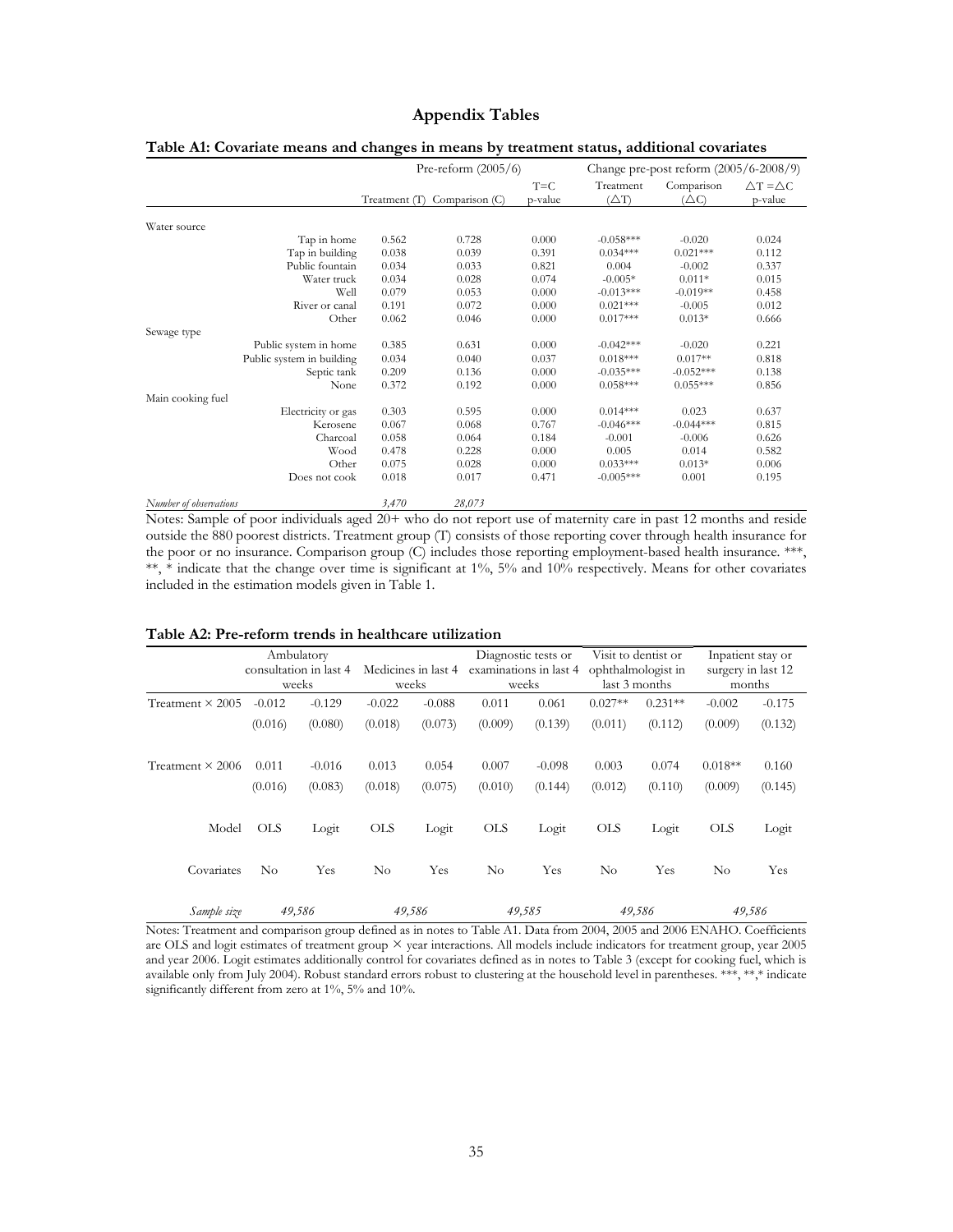|                           | Pre-reform $(2005/6)$ |                |                  | Change pre-post reform $(2005/6-2008/9)$ |                               |                                        |  |
|---------------------------|-----------------------|----------------|------------------|------------------------------------------|-------------------------------|----------------------------------------|--|
|                           | Treatment (T)         | Comparison (C) | $T=C$<br>p-value | Treatment<br>$(\Delta T)$                | Comparison<br>$(\triangle C)$ | $\triangle T = \triangle C$<br>p-value |  |
| Water source              |                       |                |                  |                                          |                               |                                        |  |
| Tap in home               | 0.562                 | 0.728          | 0.000            | $-0.058***$                              | $-0.020$                      | 0.024                                  |  |
| Tap in building           | 0.038                 | 0.039          | 0.391            | $0.034***$                               | $0.021***$                    | 0.112                                  |  |
| Public fountain           | 0.034                 | 0.033          | 0.821            | 0.004                                    | $-0.002$                      | 0.337                                  |  |
| Water truck               | 0.034                 | 0.028          | 0.074            | $-0.005*$                                | $0.011*$                      | 0.015                                  |  |
| Well                      | 0.079                 | 0.053          | 0.000            | $-0.013***$                              | $-0.019**$                    | 0.458                                  |  |
| River or canal            | 0.191                 | 0.072          | 0.000            | $0.021***$                               | $-0.005$                      | 0.012                                  |  |
| Other                     | 0.062                 | 0.046          | 0.000            | $0.017***$                               | $0.013*$                      | 0.666                                  |  |
| Sewage type               |                       |                |                  |                                          |                               |                                        |  |
| Public system in home     | 0.385                 | 0.631          | 0.000            | $-0.042***$                              | $-0.020$                      | 0.221                                  |  |
| Public system in building | 0.034                 | 0.040          | 0.037            | $0.018***$                               | $0.017**$                     | 0.818                                  |  |
| Septic tank               | 0.209                 | 0.136          | 0.000            | $-0.035***$                              | $-0.052***$                   | 0.138                                  |  |
| None                      | 0.372                 | 0.192          | 0.000            | $0.058***$                               | $0.055***$                    | 0.856                                  |  |
| Main cooking fuel         |                       |                |                  |                                          |                               |                                        |  |
| Electricity or gas        | 0.303                 | 0.595          | 0.000            | $0.014***$                               | 0.023                         | 0.637                                  |  |
| Kerosene                  | 0.067                 | 0.068          | 0.767            | $-0.046***$                              | $-0.044***$                   | 0.815                                  |  |
| Charcoal                  | 0.058                 | 0.064          | 0.184            | $-0.001$                                 | $-0.006$                      | 0.626                                  |  |
| Wood                      | 0.478                 | 0.228          | 0.000            | 0.005                                    | 0.014                         | 0.582                                  |  |
| Other                     | 0.075                 | 0.028          | 0.000            | $0.033***$                               | $0.013*$                      | 0.006                                  |  |
| Does not cook             | 0.018                 | 0.017          | 0.471            | $-0.005***$                              | 0.001                         | 0.195                                  |  |
| Number of observations    | 3,470                 | 28,073         |                  |                                          |                               |                                        |  |

#### **Appendix Tables**

#### **Table A1: Covariate means and changes in means by treatment status, additional covariates**

Notes: Sample of poor individuals aged 20+ who do not report use of maternity care in past 12 months and reside outside the 880 poorest districts. Treatment group (T) consists of those reporting cover through health insurance for the poor or no insurance. Comparison group (C) includes those reporting employment-based health insurance. \*\*\*, \*\*, \* indicate that the change over time is significant at 1%, 5% and 10% respectively. Means for other covariates included in the estimation models given in Table 1.

|                         |            | Ambulatory<br>consultation in last 4<br>weeks | Medicines in last 4<br>weeks |          | Diagnostic tests or<br>examinations in last 4<br>weeks |          | Visit to dentist or<br>ophthalmologist in<br>last 3 months |           | Inpatient stay or<br>surgery in last 12<br>months |          |
|-------------------------|------------|-----------------------------------------------|------------------------------|----------|--------------------------------------------------------|----------|------------------------------------------------------------|-----------|---------------------------------------------------|----------|
| Treatment $\times$ 2005 | $-0.012$   | $-0.129$                                      | $-0.022$                     | $-0.088$ | 0.011                                                  | 0.061    | $0.027**$                                                  | $0.231**$ | $-0.002$                                          | $-0.175$ |
|                         | (0.016)    | (0.080)                                       | (0.018)                      | (0.073)  | (0.009)                                                | (0.139)  | (0.011)                                                    | (0.112)   | (0.009)                                           | (0.132)  |
| Treatment $\times$ 2006 | 0.011      | $-0.016$                                      | 0.013                        | 0.054    | 0.007                                                  | $-0.098$ | 0.003                                                      | 0.074     | $0.018**$                                         | 0.160    |
|                         | (0.016)    | (0.083)                                       | (0.018)                      | (0.075)  | (0.010)                                                | (0.144)  | (0.012)                                                    | (0.110)   | (0.009)                                           | (0.145)  |
| Model                   | <b>OLS</b> | Logit                                         | <b>OLS</b>                   | Logit    | <b>OLS</b>                                             | Logit    | <b>OLS</b>                                                 | Logit     | <b>OLS</b>                                        | Logit    |
| Covariates              | No         | Yes                                           | $\rm No$                     | Yes      | No                                                     | Yes      | No                                                         | Yes       | $\rm No$                                          | Yes      |
| Sample size             |            | 49,586                                        |                              | 49,586   |                                                        | 49,585   |                                                            | 49,586    | 49,586                                            |          |

Notes: Treatment and comparison group defined as in notes to Table A1. Data from 2004, 2005 and 2006 ENAHO. Coefficients are OLS and logit estimates of treatment group  $\times$  year interactions. All models include indicators for treatment group, year 2005 and year 2006. Logit estimates additionally control for covariates defined as in notes to Table 3 (except for cooking fuel, which is available only from July 2004). Robust standard errors robust to clustering at the household level in parentheses. \*\*\*, \*\*,\* indicate significantly different from zero at 1%, 5% and 10%.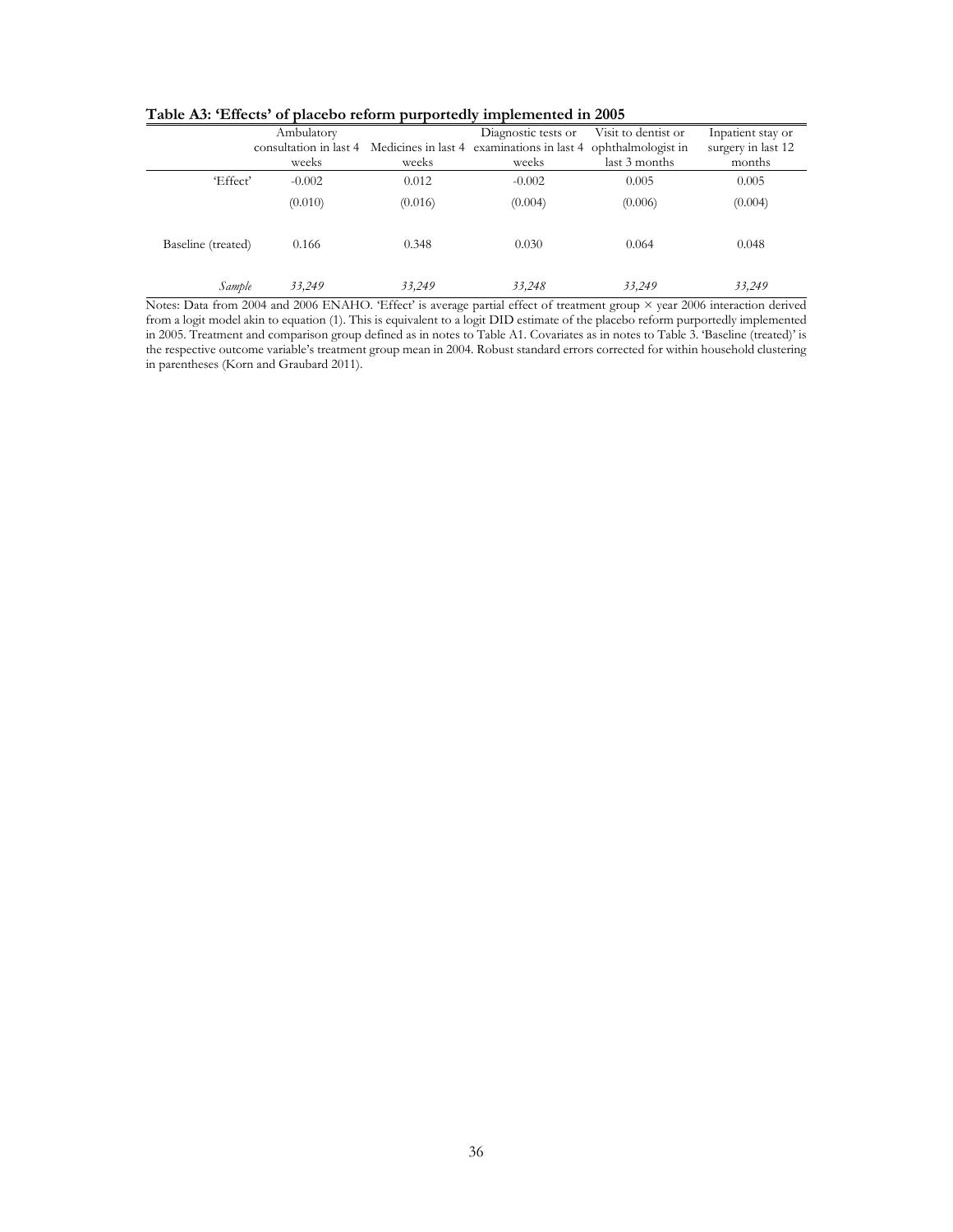**Table A3: 'Effects' of placebo reform purportedly implemented in 2005**

|                    | Ambulatory<br>weeks | weeks   | Diagnostic tests or<br>consultation in last 4 Medicines in last 4 examinations in last 4 ophthalmologist in<br>weeks | Visit to dentist or<br>last 3 months | Inpatient stay or<br>surgery in last 12<br>months |
|--------------------|---------------------|---------|----------------------------------------------------------------------------------------------------------------------|--------------------------------------|---------------------------------------------------|
|                    |                     |         |                                                                                                                      |                                      |                                                   |
| 'Effect'           | $-0.002$            | 0.012   | $-0.002$                                                                                                             | 0.005                                | 0.005                                             |
|                    | (0.010)             | (0.016) | (0.004)                                                                                                              | (0.006)                              | (0.004)                                           |
| Baseline (treated) | 0.166               | 0.348   | 0.030                                                                                                                | 0.064                                | 0.048                                             |
| Sample             | 33,249              | 33,249  | 33,248                                                                                                               | 33.249                               | 33,249                                            |

Notes: Data from 2004 and 2006 ENAHO. 'Effect' is average partial effect of treatment group × year 2006 interaction derived from a logit model akin to equation (1). This is equivalent to a logit DID estimate of the placebo reform purportedly implemented in 2005. Treatment and comparison group defined as in notes to Table A1. Covariates as in notes to Table 3. 'Baseline (treated)' is the respective outcome variable's treatment group mean in 2004. Robust standard errors corrected for within household clustering in parentheses (Korn and Graubard 2011).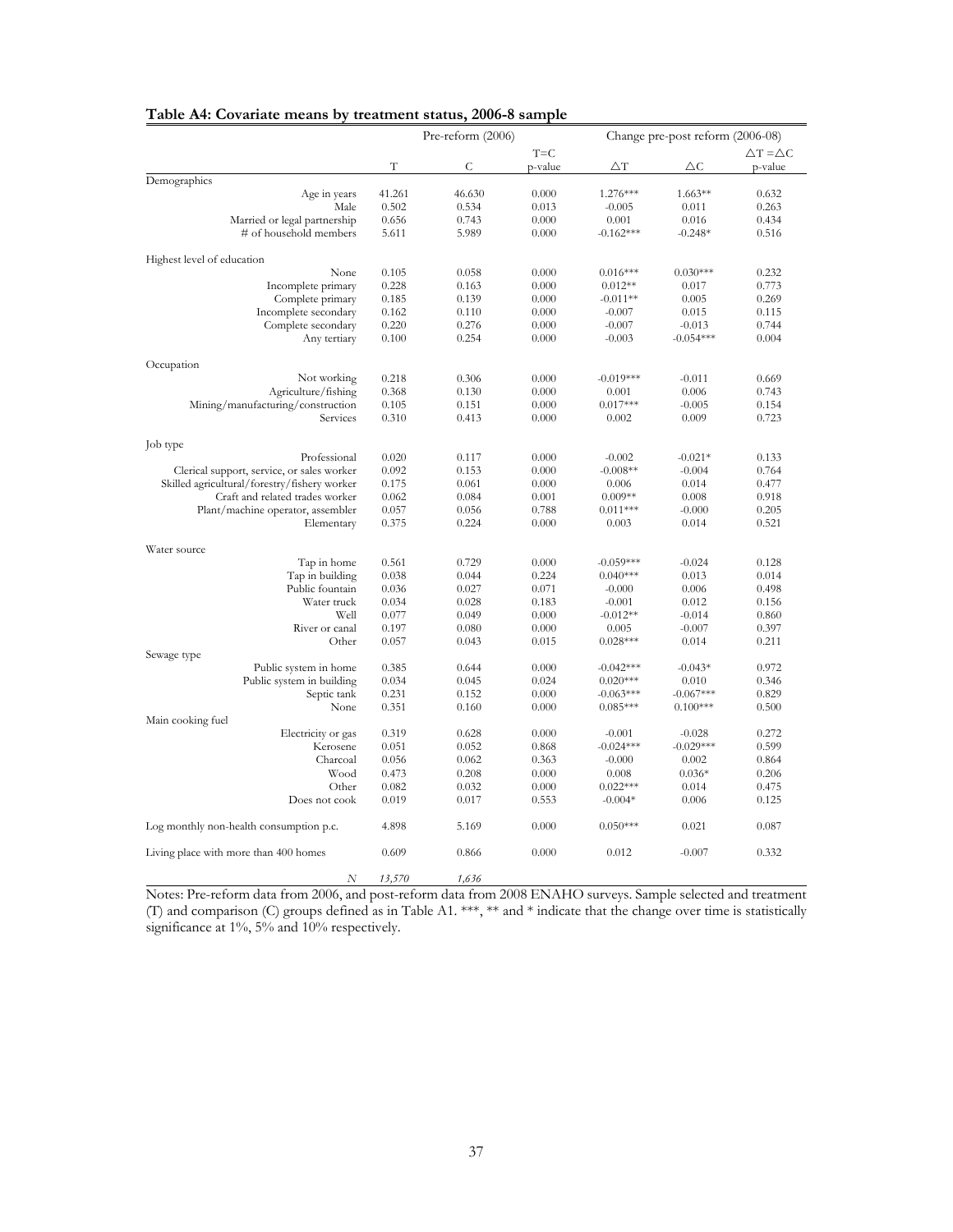| Table A4: Covariate means by treatment status, 2006-8 sample |  |
|--------------------------------------------------------------|--|
|--------------------------------------------------------------|--|

|                                              |        | Pre-reform (2006) |         |               | Change pre-post reform (2006-08) |                             |
|----------------------------------------------|--------|-------------------|---------|---------------|----------------------------------|-----------------------------|
|                                              |        |                   | $T = C$ |               |                                  | $\triangle T = \triangle C$ |
|                                              | T      | $\mathsf{C}$      | p-value | $\triangle T$ | $\triangle \mathsf{C}$           | p-value                     |
| Demographics                                 |        |                   |         |               |                                  |                             |
| Age in years                                 | 41.261 | 46.630            | 0.000   | $1.276***$    | $1.663**$                        | 0.632                       |
| Male                                         | 0.502  | 0.534             | 0.013   | $-0.005$      | 0.011                            | 0.263                       |
| Married or legal partnership                 | 0.656  | 0.743             | 0.000   | 0.001         | 0.016                            | 0.434                       |
| # of household members                       | 5.611  | 5.989             | 0.000   | $-0.162***$   | $-0.248*$                        | 0.516                       |
| Highest level of education                   |        |                   |         |               |                                  |                             |
| None                                         | 0.105  | 0.058             | 0.000   | $0.016***$    | $0.030***$                       | 0.232                       |
| Incomplete primary                           | 0.228  | 0.163             | 0.000   | $0.012**$     | 0.017                            | 0.773                       |
| Complete primary                             | 0.185  | 0.139             | 0.000   | $-0.011**$    | 0.005                            | 0.269                       |
| Incomplete secondary                         | 0.162  | 0.110             | 0.000   | $-0.007$      | 0.015                            | 0.115                       |
| Complete secondary                           | 0.220  | 0.276             | 0.000   | $-0.007$      | $-0.013$                         | 0.744                       |
| Any tertiary                                 | 0.100  | 0.254             | 0.000   | $-0.003$      | $-0.054***$                      | 0.004                       |
| Occupation                                   |        |                   |         |               |                                  |                             |
| Not working                                  | 0.218  | 0.306             | 0.000   | $-0.019***$   | $-0.011$                         | 0.669                       |
| Agriculture/fishing                          | 0.368  | 0.130             | 0.000   | 0.001         | 0.006                            | 0.743                       |
| Mining/manufacturing/construction            | 0.105  | 0.151             | 0.000   | $0.017***$    | $-0.005$                         | 0.154                       |
| Services                                     | 0.310  | 0.413             | 0.000   | 0.002         | 0.009                            | 0.723                       |
| Job type                                     |        |                   |         |               |                                  |                             |
| Professional                                 | 0.020  | 0.117             | 0.000   | $-0.002$      | $-0.021*$                        | 0.133                       |
| Clerical support, service, or sales worker   | 0.092  | 0.153             | 0.000   | $-0.008**$    | $-0.004$                         | 0.764                       |
| Skilled agricultural/forestry/fishery worker | 0.175  | 0.061             | 0.000   | 0.006         | 0.014                            | 0.477                       |
| Craft and related trades worker              | 0.062  | 0.084             | 0.001   | $0.009**$     | 0.008                            | 0.918                       |
| Plant/machine operator, assembler            | 0.057  | 0.056             | 0.788   | $0.011***$    | $-0.000$                         | 0.205                       |
| Elementary                                   | 0.375  | 0.224             | 0.000   | 0.003         | 0.014                            | 0.521                       |
| Water source                                 |        |                   |         |               |                                  |                             |
| Tap in home                                  | 0.561  | 0.729             | 0.000   | $-0.059***$   | $-0.024$                         | 0.128                       |
| Tap in building                              | 0.038  | 0.044             | 0.224   | $0.040***$    | 0.013                            | 0.014                       |
| Public fountain                              | 0.036  | 0.027             | 0.071   | $-0.000$      | 0.006                            | 0.498                       |
| Water truck                                  | 0.034  | 0.028             | 0.183   | $-0.001$      | 0.012                            | 0.156                       |
| Well                                         | 0.077  | 0.049             | 0.000   | $-0.012**$    | $-0.014$                         | 0.860                       |
| River or canal                               | 0.197  | 0.080             | 0.000   | 0.005         | $-0.007$                         | 0.397                       |
| Other                                        | 0.057  | 0.043             | 0.015   | $0.028***$    | 0.014                            | 0.211                       |
| Sewage type                                  |        |                   |         |               |                                  |                             |
| Public system in home                        | 0.385  | 0.644             | 0.000   | $-0.042***$   | $-0.043*$                        | 0.972                       |
| Public system in building                    | 0.034  | 0.045             | 0.024   | $0.020***$    | 0.010                            | 0.346                       |
| Septic tank                                  | 0.231  | 0.152             | 0.000   | $-0.063***$   | $-0.067***$                      | 0.829                       |
| None                                         | 0.351  | 0.160             | 0.000   | $0.085***$    | $0.100***$                       | 0.500                       |
| Main cooking fuel                            |        |                   |         |               |                                  |                             |
| Electricity or gas                           | 0.319  | 0.628             | 0.000   | $-0.001$      | $-0.028$                         | 0.272                       |
| Kerosene                                     | 0.051  | 0.052             | 0.868   | $-0.024***$   | $-0.029***$                      | 0.599                       |
| Charcoal                                     | 0.056  | 0.062             | 0.363   | $-0.000$      | 0.002                            | 0.864                       |
| Wood                                         | 0.473  | 0.208             | 0.000   | 0.008         | $0.036*$                         | 0.206                       |
| Other                                        | 0.082  | 0.032             | 0.000   | $0.022***$    | 0.014                            | 0.475                       |
| Does not cook                                | 0.019  | 0.017             | 0.553   | $-0.004*$     | 0.006                            | 0.125                       |
| Log monthly non-health consumption p.c.      | 4.898  | 5.169             | 0.000   | $0.050***$    | 0.021                            | 0.087                       |
| Living place with more than 400 homes        | 0.609  | 0.866             | 0.000   | 0.012         | $-0.007$                         | 0.332                       |
| N                                            | 13,570 | 1,636             |         |               |                                  |                             |

Notes: Pre-reform data from 2006, and post-reform data from 2008 ENAHO surveys. Sample selected and treatment (T) and comparison (C) groups defined as in Table A1. \*\*\*, \*\* and \* indicate that the change over time is statistically significance at 1%, 5% and 10% respectively.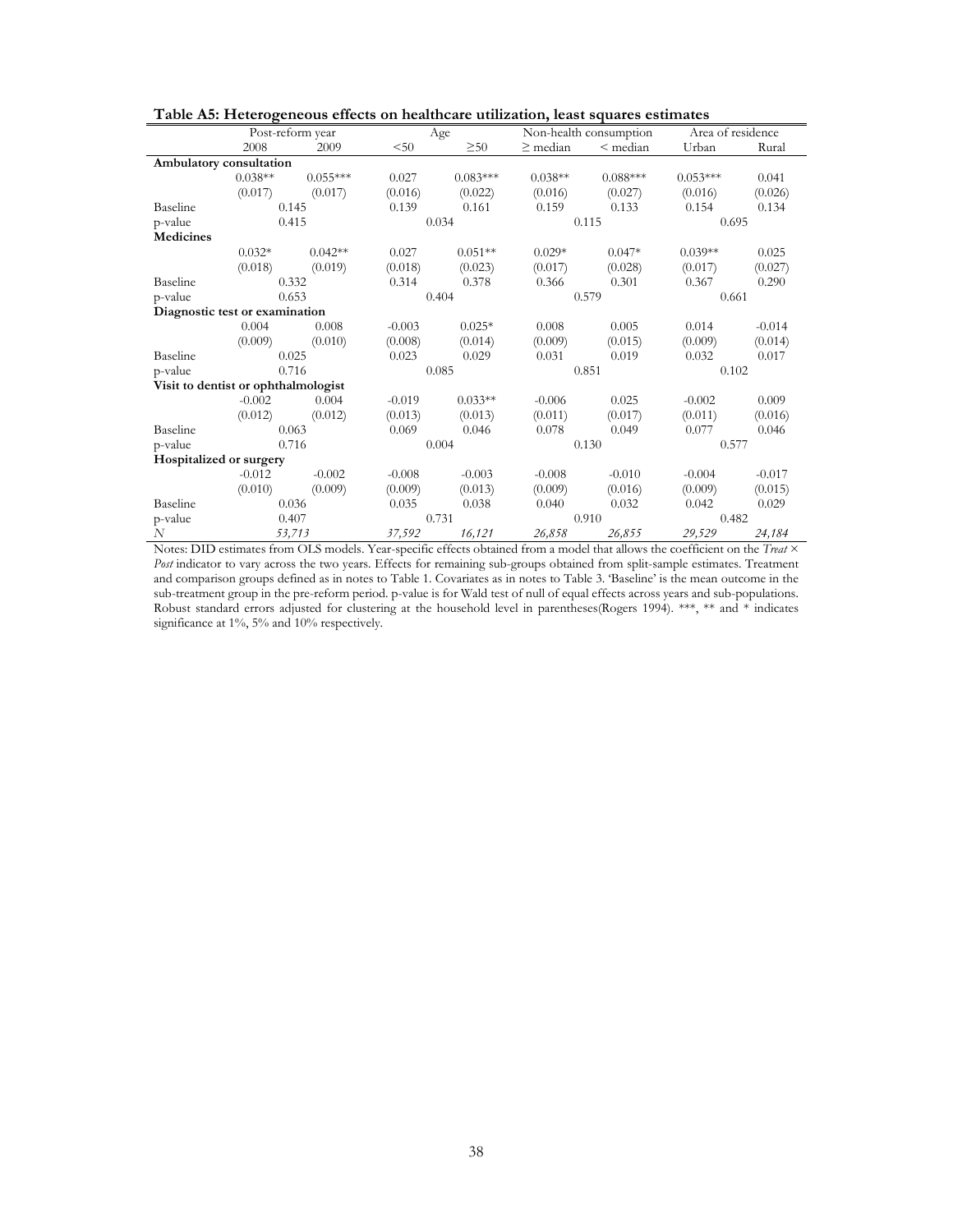| Table A5: Heterogeneous effects on healthcare utilization, least squares estimates |  |  |  |
|------------------------------------------------------------------------------------|--|--|--|
|                                                                                    |  |  |  |

|                         | Post-reform year                    |            |          | Age        |                | Non-health consumption | Area of residence |          |  |
|-------------------------|-------------------------------------|------------|----------|------------|----------------|------------------------|-------------------|----------|--|
|                         | 2008                                | 2009       | $<$ 50   | $\geq 50$  | $\geq$ median  | $<$ median             | Urban             | Rural    |  |
|                         | Ambulatory consultation             |            |          |            |                |                        |                   |          |  |
|                         | $0.038**$                           | $0.055***$ | 0.027    | $0.083***$ | $0.038**$      | $0.088***$             | $0.053***$        | 0.041    |  |
|                         | (0.017)                             | (0.017)    | (0.016)  | (0.022)    | (0.016)        | (0.027)                | (0.016)           | (0.026)  |  |
| Baseline                |                                     | 0.145      | 0.139    | 0.161      | 0.159          | 0.133                  | 0.154             | 0.134    |  |
| p-value                 |                                     | 0.415      |          | 0.034      |                | 0.115                  | 0.695             |          |  |
| <b>Medicines</b>        |                                     |            |          |            |                |                        |                   |          |  |
|                         | $0.032*$                            | $0.042**$  | 0.027    | $0.051**$  | $0.029*$       | $0.047*$               | $0.039**$         | 0.025    |  |
|                         | (0.018)                             | (0.019)    | (0.018)  | (0.023)    | (0.017)        | (0.028)                | (0.017)           | (0.027)  |  |
| Baseline                |                                     | 0.332      | 0.314    | 0.378      | 0.366          | 0.301                  | 0.367             | 0.290    |  |
| p-value                 |                                     | 0.653      |          | 0.404      |                | 0.579                  | 0.661             |          |  |
|                         | Diagnostic test or examination      |            |          |            |                |                        |                   |          |  |
|                         | 0.004                               | 0.008      | $-0.003$ | $0.025*$   | 0.008          | 0.005                  | 0.014             | $-0.014$ |  |
|                         | (0.009)                             | (0.010)    | (0.008)  | (0.014)    | (0.009)        | (0.015)                | (0.009)           | (0.014)  |  |
| Baseline                |                                     | 0.025      | 0.023    | 0.029      | 0.031          | 0.019                  | 0.032             | 0.017    |  |
| p-value                 |                                     | 0.716      |          | 0.085      |                | 0.851                  | 0.102             |          |  |
|                         | Visit to dentist or ophthalmologist |            |          |            |                |                        |                   |          |  |
|                         | $-0.002$                            | 0.004      | $-0.019$ | $0.033**$  | $-0.006$       | 0.025                  | $-0.002$          | 0.009    |  |
|                         | (0.012)                             | (0.012)    | (0.013)  | (0.013)    | (0.011)        | (0.017)                | (0.011)           | (0.016)  |  |
| Baseline                |                                     | 0.063      | 0.069    | 0.046      | 0.078          | 0.049                  | 0.077             | 0.046    |  |
| p-value                 |                                     | 0.716      |          | 0.004      |                | 0.130                  | 0.577             |          |  |
| Hospitalized or surgery |                                     |            |          |            |                |                        |                   |          |  |
|                         | $-0.012$                            | $-0.002$   | $-0.008$ | $-0.003$   | $-0.008$       | $-0.010$               | $-0.004$          | $-0.017$ |  |
|                         | (0.010)                             | (0.009)    | (0.009)  | (0.013)    | (0.009)        | (0.016)                | (0.009)           | (0.015)  |  |
| Baseline                |                                     | 0.036      | 0.035    | 0.038      | 0.040<br>0.032 |                        | 0.042             | 0.029    |  |
| p-value                 |                                     | 0.407      |          | 0.731      |                | 0.910                  | 0.482             |          |  |
| N                       |                                     | 53,713     | 37,592   | 16,121     | 26,858         | 26,855                 | 29,529            | 24,184   |  |

Notes: DID estimates from OLS models. Year-specific effects obtained from a model that allows the coefficient on the *Treat × Post* indicator to vary across the two years. Effects for remaining sub-groups obtained from split-sample estimates. Treatment and comparison groups defined as in notes to Table 1. Covariates as in notes to Table 3. 'Baseline' is the mean outcome in the sub-treatment group in the pre-reform period. p-value is for Wald test of null of equal effects across years and sub-populations. Robust standard errors adjusted for clustering at the household level in parentheses(Rogers 1994). \*\*\*, \*\* and \* indicates significance at 1%, 5% and 10% respectively.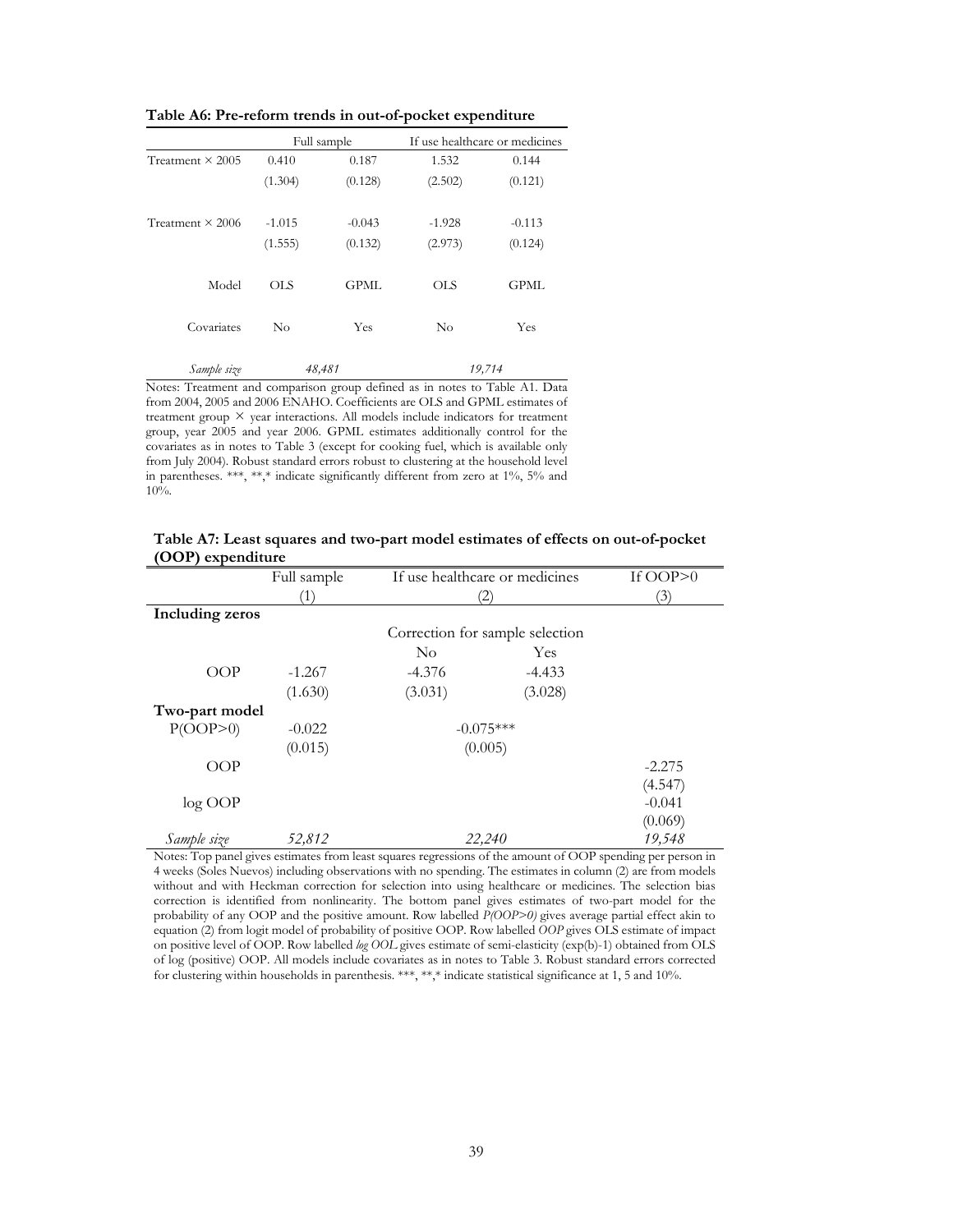**Table A6: Pre-reform trends in out-of-pocket expenditure** 

|                         |          | Full sample |            | If use healthcare or medicines |
|-------------------------|----------|-------------|------------|--------------------------------|
| Treatment $\times$ 2005 | 0.410    | 0.187       | 1.532      | 0.144                          |
|                         | (1.304)  | (0.128)     | (2.502)    | (0.121)                        |
|                         |          |             |            |                                |
| Treatment $\times$ 2006 | $-1.015$ | $-0.043$    | $-1.928$   | $-0.113$                       |
|                         | (1.555)  | (0.132)     | (2.973)    | (0.124)                        |
|                         |          |             |            |                                |
| Model                   | OLS.     | <b>GPML</b> | <b>OLS</b> | <b>GPML</b>                    |
|                         |          |             |            |                                |
| Covariates              | No       | Yes         | No         | Yes                            |
|                         |          |             |            |                                |
| Sample size             |          | 48,481      |            | 19,714                         |

Notes: Treatment and comparison group defined as in notes to Table A1. Data from 2004, 2005 and 2006 ENAHO. Coefficients are OLS and GPML estimates of treatment group  $\times$  year interactions. All models include indicators for treatment group, year 2005 and year 2006. GPML estimates additionally control for the covariates as in notes to Table 3 (except for cooking fuel, which is available only from July 2004). Robust standard errors robust to clustering at the household level in parentheses. \*\*\*, \*\*,\* indicate significantly different from zero at 1%, 5% and 10%.

|                        | Full sample | If use healthcare or medicines |                                 | If $OOP>0$ |
|------------------------|-------------|--------------------------------|---------------------------------|------------|
|                        | (1)         |                                | (2)                             | (3)        |
| <b>Including zeros</b> |             |                                |                                 |            |
|                        |             |                                | Correction for sample selection |            |
|                        |             | $\rm No$                       | Yes                             |            |
| OOP                    | $-1.267$    | $-4.376$                       | $-4.433$                        |            |
|                        | (1.630)     | (3.031)                        | (3.028)                         |            |
| Two-part model         |             |                                |                                 |            |
| P(OOP>0)               | $-0.022$    | $-0.075***$                    |                                 |            |
|                        | (0.015)     |                                | (0.005)                         |            |
| <b>OOP</b>             |             |                                |                                 | $-2.275$   |
|                        |             |                                |                                 | (4.547)    |
| $log$ OOP              |             |                                |                                 | $-0.041$   |
|                        |             |                                |                                 | (0.069)    |
| Sample size            | 52,812      |                                | 22,240                          | 19,548     |

| Table A7: Least squares and two-part model estimates of effects on out-of-pocket |
|----------------------------------------------------------------------------------|
| (OOP) expenditure                                                                |

Notes: Top panel gives estimates from least squares regressions of the amount of OOP spending per person in 4 weeks (Soles Nuevos) including observations with no spending. The estimates in column (2) are from models without and with Heckman correction for selection into using healthcare or medicines. The selection bias correction is identified from nonlinearity. The bottom panel gives estimates of two-part model for the probability of any OOP and the positive amount. Row labelled *P(OOP>0)* gives average partial effect akin to equation (2) from logit model of probability of positive OOP. Row labelled *OOP* gives OLS estimate of impact on positive level of OOP. Row labelled *log OOL* gives estimate of semi-elasticity (exp(b)-1) obtained from OLS of log (positive) OOP. All models include covariates as in notes to Table 3. Robust standard errors corrected for clustering within households in parenthesis. \*\*\*, \*\*,\* indicate statistical significance at 1, 5 and 10%.